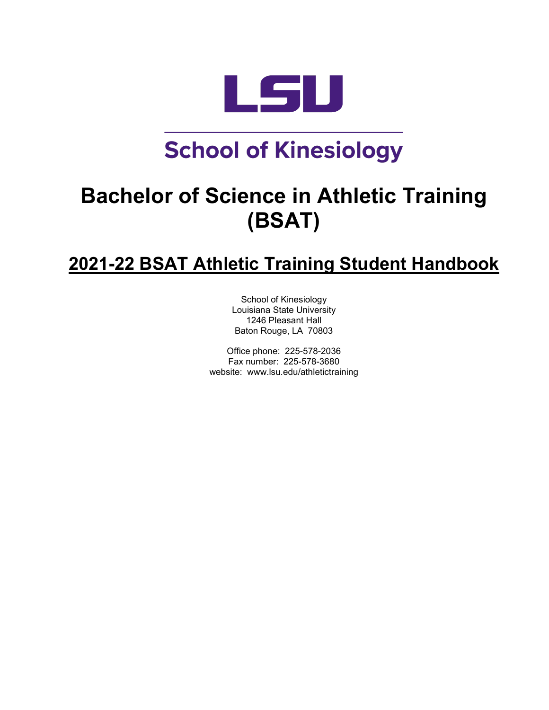

# **School of Kinesiology**

# **Bachelor of Science in Athletic Training (BSAT)**

# **2021-22 BSAT Athletic Training Student Handbook**

School of Kinesiology Louisiana State University 1246 Pleasant Hall Baton Rouge, LA 70803

Office phone: 225-578-2036 Fax number: 225-578-3680 website: www.lsu.edu/athletictraining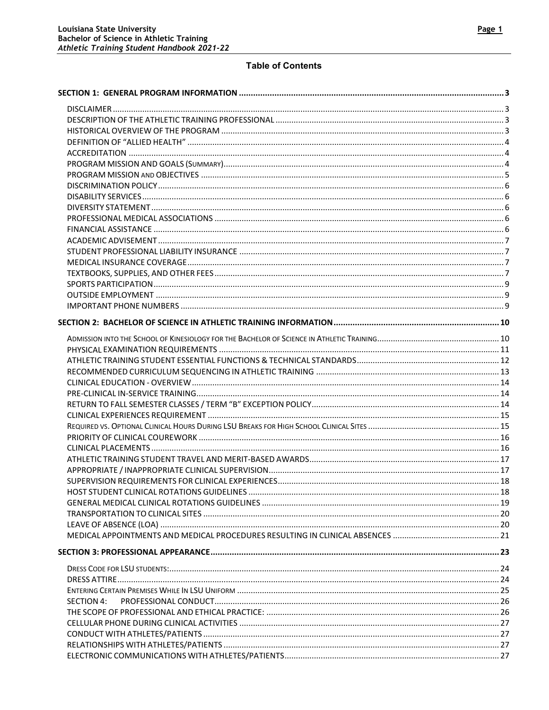| SECTION 4: |  |
|------------|--|
|            |  |
|            |  |
|            |  |
|            |  |
|            |  |

**Table of Contents**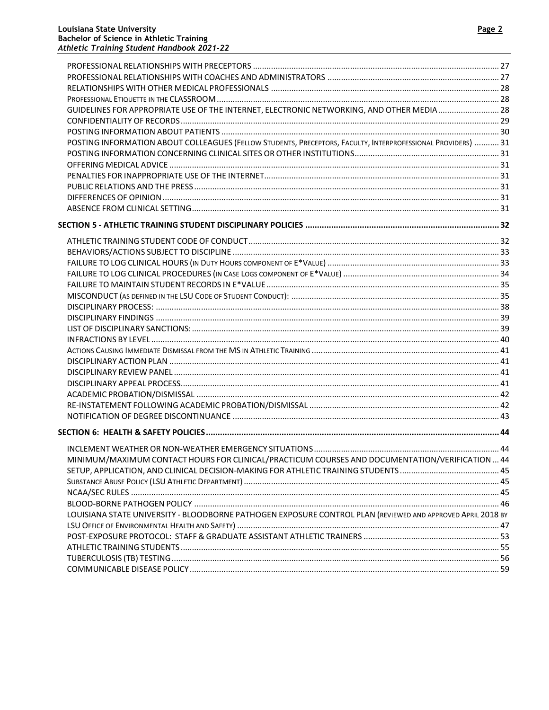| GUIDELINES FOR APPROPRIATE USE OF THE INTERNET, ELECTRONIC NETWORKING, AND OTHER MEDIA28                     |  |
|--------------------------------------------------------------------------------------------------------------|--|
|                                                                                                              |  |
|                                                                                                              |  |
| POSTING INFORMATION ABOUT COLLEAGUES (FELLOW STUDENTS, PRECEPTORS, FACULTY, INTERPROFESSIONAL PROVIDERS)  31 |  |
|                                                                                                              |  |
|                                                                                                              |  |
|                                                                                                              |  |
|                                                                                                              |  |
|                                                                                                              |  |
|                                                                                                              |  |
|                                                                                                              |  |
|                                                                                                              |  |
|                                                                                                              |  |
|                                                                                                              |  |
|                                                                                                              |  |
|                                                                                                              |  |
|                                                                                                              |  |
|                                                                                                              |  |
|                                                                                                              |  |
|                                                                                                              |  |
|                                                                                                              |  |
|                                                                                                              |  |
|                                                                                                              |  |
|                                                                                                              |  |
|                                                                                                              |  |
|                                                                                                              |  |
|                                                                                                              |  |
|                                                                                                              |  |
|                                                                                                              |  |
|                                                                                                              |  |
|                                                                                                              |  |
| MINIMUM/MAXIMUM CONTACT HOURS FOR CLINICAL/PRACTICUM COURSES AND DOCUMENTATION/VERIFICATION  44              |  |
|                                                                                                              |  |
|                                                                                                              |  |
|                                                                                                              |  |
|                                                                                                              |  |
| LOUISIANA STATE UNIVERSITY - BLOODBORNE PATHOGEN EXPOSURE CONTROL PLAN (REVIEWED AND APPROVED APRIL 2018 BY  |  |
|                                                                                                              |  |
|                                                                                                              |  |
|                                                                                                              |  |
|                                                                                                              |  |
|                                                                                                              |  |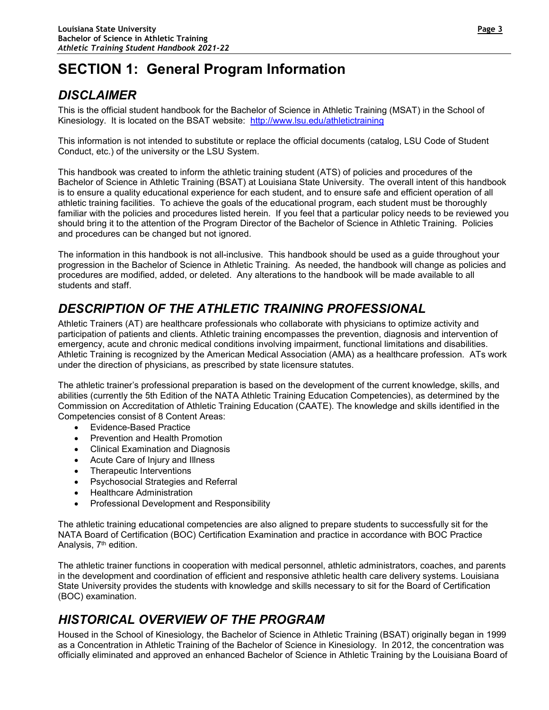# <span id="page-3-0"></span>**SECTION 1: General Program Information**

## <span id="page-3-1"></span>*DISCLAIMER*

This is the official student handbook for the Bachelor of Science in Athletic Training (MSAT) in the School of Kinesiology. It is located on the BSAT website: <http://www.lsu.edu/athletictraining>

This information is not intended to substitute or replace the official documents (catalog, LSU Code of Student Conduct, etc.) of the university or the LSU System.

This handbook was created to inform the athletic training student (ATS) of policies and procedures of the Bachelor of Science in Athletic Training (BSAT) at Louisiana State University. The overall intent of this handbook is to ensure a quality educational experience for each student, and to ensure safe and efficient operation of all athletic training facilities. To achieve the goals of the educational program, each student must be thoroughly familiar with the policies and procedures listed herein. If you feel that a particular policy needs to be reviewed you should bring it to the attention of the Program Director of the Bachelor of Science in Athletic Training. Policies and procedures can be changed but not ignored.

The information in this handbook is not all-inclusive. This handbook should be used as a guide throughout your progression in the Bachelor of Science in Athletic Training. As needed, the handbook will change as policies and procedures are modified, added, or deleted. Any alterations to the handbook will be made available to all students and staff.

## <span id="page-3-2"></span>*DESCRIPTION OF THE ATHLETIC TRAINING PROFESSIONAL*

Athletic Trainers (AT) are healthcare professionals who collaborate with physicians to optimize activity and participation of patients and clients. Athletic training encompasses the prevention, diagnosis and intervention of emergency, acute and chronic medical conditions involving impairment, functional limitations and disabilities. Athletic Training is recognized by the American Medical Association (AMA) as a healthcare profession. ATs work under the direction of physicians, as prescribed by state licensure statutes.

The athletic trainer's professional preparation is based on the development of the current knowledge, skills, and abilities (currently the 5th Edition of the NATA Athletic Training Education Competencies), as determined by the Commission on Accreditation of Athletic Training Education (CAATE). The knowledge and skills identified in the Competencies consist of 8 Content Areas:

- Evidence-Based Practice
- Prevention and Health Promotion
- Clinical Examination and Diagnosis
- Acute Care of Injury and Illness
- Therapeutic Interventions
- Psychosocial Strategies and Referral
- Healthcare Administration
- Professional Development and Responsibility

The athletic training educational competencies are also aligned to prepare students to successfully sit for the NATA Board of Certification (BOC) Certification Examination and practice in accordance with BOC Practice Analysis, 7<sup>th</sup> edition.

The athletic trainer functions in cooperation with medical personnel, athletic administrators, coaches, and parents in the development and coordination of efficient and responsive athletic health care delivery systems. Louisiana State University provides the students with knowledge and skills necessary to sit for the Board of Certification (BOC) examination.

## <span id="page-3-3"></span>*HISTORICAL OVERVIEW OF THE PROGRAM*

Housed in the School of Kinesiology, the Bachelor of Science in Athletic Training (BSAT) originally began in 1999 as a Concentration in Athletic Training of the Bachelor of Science in Kinesiology. In 2012, the concentration was officially eliminated and approved an enhanced Bachelor of Science in Athletic Training by the Louisiana Board of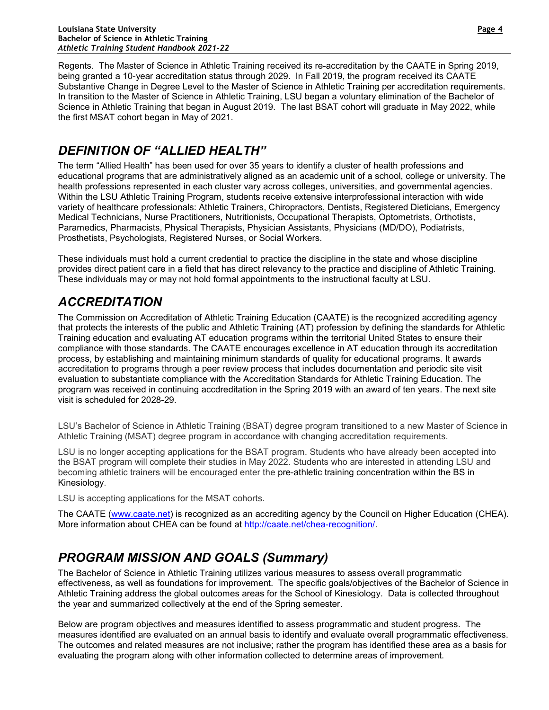Regents. The Master of Science in Athletic Training received its re-accreditation by the CAATE in Spring 2019, being granted a 10-year accreditation status through 2029. In Fall 2019, the program received its CAATE Substantive Change in Degree Level to the Master of Science in Athletic Training per accreditation requirements. In transition to the Master of Science in Athletic Training, LSU began a voluntary elimination of the Bachelor of Science in Athletic Training that began in August 2019. The last BSAT cohort will graduate in May 2022, while the first MSAT cohort began in May of 2021.

## <span id="page-4-0"></span>*DEFINITION OF "ALLIED HEALTH"*

The term "Allied Health" has been used for over 35 years to identify a cluster of health professions and educational programs that are administratively aligned as an academic unit of a school, college or university. The health professions represented in each cluster vary across colleges, universities, and governmental agencies. Within the LSU Athletic Training Program, students receive extensive interprofessional interaction with wide variety of healthcare professionals: Athletic Trainers, Chiropractors, Dentists, Registered Dieticians, Emergency Medical Technicians, Nurse Practitioners, Nutritionists, Occupational Therapists, Optometrists, Orthotists, Paramedics, Pharmacists, Physical Therapists, Physician Assistants, Physicians (MD/DO), Podiatrists, Prosthetists, Psychologists, Registered Nurses, or Social Workers.

These individuals must hold a current credential to practice the discipline in the state and whose discipline provides direct patient care in a field that has direct relevancy to the practice and discipline of Athletic Training. These individuals may or may not hold formal appointments to the instructional faculty at LSU.

## <span id="page-4-1"></span>*ACCREDITATION*

The Commission on Accreditation of Athletic Training Education (CAATE) is the recognized accrediting agency that protects the interests of the public and Athletic Training (AT) profession by defining the standards for Athletic Training education and evaluating AT education programs within the territorial United States to ensure their compliance with those standards. The CAATE encourages excellence in AT education through its accreditation process, by establishing and maintaining minimum standards of quality for educational programs. It awards accreditation to programs through a peer review process that includes documentation and periodic site visit evaluation to substantiate compliance with the Accreditation Standards for Athletic Training Education. The program was received in continuing accdreditation in the Spring 2019 with an award of ten years. The next site visit is scheduled for 2028-29.

LSU's Bachelor of Science in Athletic Training (BSAT) degree program transitioned to a new Master of Science in Athletic Training (MSAT) degree program in accordance with changing accreditation requirements.

LSU is no longer accepting applications for the BSAT program. Students who have already been accepted into the BSAT program will complete their studies in May 2022. Students who are interested in attending LSU and becoming athletic trainers will be encouraged enter the pre-athletic training concentration within the BS in Kinesiology.

LSU is accepting applications for the MSAT cohorts.

The CAATE [\(www.caate.net\)](http://www.caate.net/) is recognized as an accrediting agency by the Council on Higher Education (CHEA). More information about CHEA can be found at [http://caate.net/chea-recognition/.](http://caate.net/chea-recognition/)

## <span id="page-4-2"></span>*PROGRAM MISSION AND GOALS (Summary)*

The Bachelor of Science in Athletic Training utilizes various measures to assess overall programmatic effectiveness, as well as foundations for improvement. The specific goals/objectives of the Bachelor of Science in Athletic Training address the global outcomes areas for the School of Kinesiology. Data is collected throughout the year and summarized collectively at the end of the Spring semester.

Below are program objectives and measures identified to assess programmatic and student progress. The measures identified are evaluated on an annual basis to identify and evaluate overall programmatic effectiveness. The outcomes and related measures are not inclusive; rather the program has identified these area as a basis for evaluating the program along with other information collected to determine areas of improvement.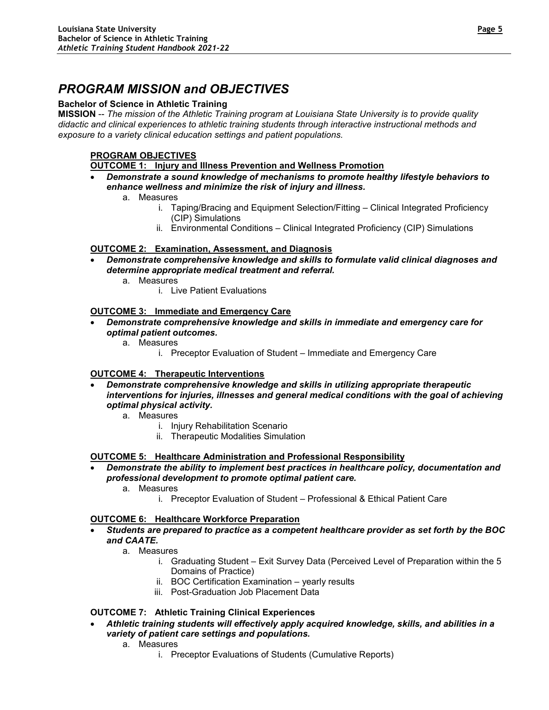## <span id="page-5-0"></span>*PROGRAM MISSION and OBJECTIVES*

#### **Bachelor of Science in Athletic Training**

**MISSION** -- *The mission of the Athletic Training program at Louisiana State University is to provide quality didactic and clinical experiences to athletic training students through interactive instructional methods and exposure to a variety clinical education settings and patient populations.*

### **PROGRAM OBJECTIVES**

**OUTCOME 1: Injury and Illness Prevention and Wellness Promotion**

- *Demonstrate a sound knowledge of mechanisms to promote healthy lifestyle behaviors to enhance wellness and minimize the risk of injury and illness.*
	- a. Measures
		- i. Taping/Bracing and Equipment Selection/Fitting Clinical Integrated Proficiency (CIP) Simulations
		- ii. Environmental Conditions Clinical Integrated Proficiency (CIP) Simulations

#### **OUTCOME 2: Examination, Assessment, and Diagnosis**

- *Demonstrate comprehensive knowledge and skills to formulate valid clinical diagnoses and determine appropriate medical treatment and referral.*
	- a. Measures
		- i. Live Patient Evaluations

### **OUTCOME 3: Immediate and Emergency Care**

- *Demonstrate comprehensive knowledge and skills in immediate and emergency care for optimal patient outcomes.*
	- a. Measures
		- i. Preceptor Evaluation of Student Immediate and Emergency Care

### **OUTCOME 4: Therapeutic Interventions**

- *Demonstrate comprehensive knowledge and skills in utilizing appropriate therapeutic interventions for injuries, illnesses and general medical conditions with the goal of achieving optimal physical activity.*
	- a. Measures
		- i. Injury Rehabilitation Scenario
		- ii. Therapeutic Modalities Simulation

#### **OUTCOME 5: Healthcare Administration and Professional Responsibility**

- *Demonstrate the ability to implement best practices in healthcare policy, documentation and professional development to promote optimal patient care.*
	- a. Measures
		- i. Preceptor Evaluation of Student Professional & Ethical Patient Care

#### **OUTCOME 6: Healthcare Workforce Preparation**

- *Students are prepared to practice as a competent healthcare provider as set forth by the BOC and CAATE.*
	- a. Measures
		- i. Graduating Student Exit Survey Data (Perceived Level of Preparation within the 5 Domains of Practice)
		- ii. BOC Certification Examination yearly results
		- iii. Post-Graduation Job Placement Data

### **OUTCOME 7: Athletic Training Clinical Experiences**

- *Athletic training students will effectively apply acquired knowledge, skills, and abilities in a variety of patient care settings and populations.*
	- a. Measures
		- i. Preceptor Evaluations of Students (Cumulative Reports)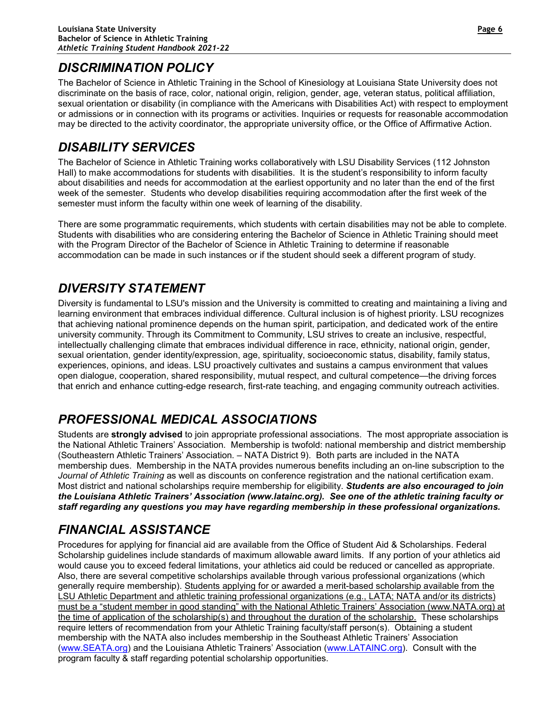## <span id="page-6-0"></span>*DISCRIMINATION POLICY*

The Bachelor of Science in Athletic Training in the School of Kinesiology at Louisiana State University does not discriminate on the basis of race, color, national origin, religion, gender, age, veteran status, political affiliation, sexual orientation or disability (in compliance with the Americans with Disabilities Act) with respect to employment or admissions or in connection with its programs or activities. Inquiries or requests for reasonable accommodation may be directed to the activity coordinator, the appropriate university office, or the Office of Affirmative Action.

## <span id="page-6-1"></span>*DISABILITY SERVICES*

The Bachelor of Science in Athletic Training works collaboratively with LSU Disability Services (112 Johnston Hall) to make accommodations for students with disabilities. It is the student's responsibility to inform faculty about disabilities and needs for accommodation at the earliest opportunity and no later than the end of the first week of the semester. Students who develop disabilities requiring accommodation after the first week of the semester must inform the faculty within one week of learning of the disability.

There are some programmatic requirements, which students with certain disabilities may not be able to complete. Students with disabilities who are considering entering the Bachelor of Science in Athletic Training should meet with the Program Director of the Bachelor of Science in Athletic Training to determine if reasonable accommodation can be made in such instances or if the student should seek a different program of study.

## <span id="page-6-2"></span>*DIVERSITY STATEMENT*

Diversity is fundamental to LSU's mission and the University is committed to creating and maintaining a living and learning environment that embraces individual difference. Cultural inclusion is of highest priority. LSU recognizes that achieving national prominence depends on the human spirit, participation, and dedicated work of the entire university community. Through its Commitment to Community, LSU strives to create an inclusive, respectful, intellectually challenging climate that embraces individual difference in race, ethnicity, national origin, gender, sexual orientation, gender identity/expression, age, spirituality, socioeconomic status, disability, family status, experiences, opinions, and ideas. LSU proactively cultivates and sustains a campus environment that values open dialogue, cooperation, shared responsibility, mutual respect, and cultural competence—the driving forces that enrich and enhance cutting-edge research, first-rate teaching, and engaging community outreach activities.

## <span id="page-6-3"></span>*PROFESSIONAL MEDICAL ASSOCIATIONS*

Students are **strongly advised** to join appropriate professional associations. The most appropriate association is the National Athletic Trainers' Association. Membership is twofold: national membership and district membership (Southeastern Athletic Trainers' Association. – NATA District 9). Both parts are included in the NATA membership dues. Membership in the NATA provides numerous benefits including an on-line subscription to the *Journal of Athletic Training* as well as discounts on conference registration and the national certification exam. Most district and national scholarships require membership for eligibility. *Students are also encouraged to join the Louisiana Athletic Trainers' Association (www.latainc.org). See one of the athletic training faculty or staff regarding any questions you may have regarding membership in these professional organizations.*

## <span id="page-6-4"></span>*FINANCIAL ASSISTANCE*

Procedures for applying for financial aid are available from the Office of Student Aid & Scholarships. Federal Scholarship guidelines include standards of maximum allowable award limits. If any portion of your athletics aid would cause you to exceed federal limitations, your athletics aid could be reduced or cancelled as appropriate. Also, there are several competitive scholarships available through various professional organizations (which generally require membership). Students applying for or awarded a merit-based scholarship available from the LSU Athletic Department and athletic training professional organizations (e.g., LATA; NATA and/or its districts) must be a "student member in good standing" with the National Athletic Trainers' Association (www.NATA.org) at the time of application of the scholarship(s) and throughout the duration of the scholarship. These scholarships require letters of recommendation from your Athletic Training faculty/staff person(s). Obtaining a student membership with the NATA also includes membership in the Southeast Athletic Trainers' Association [\(www.SEATA.org\)](http://www.seata.org/) and the Louisiana Athletic Trainers' Association [\(www.LATAINC.org\)](http://www.latainc.org/). Consult with the program faculty & staff regarding potential scholarship opportunities.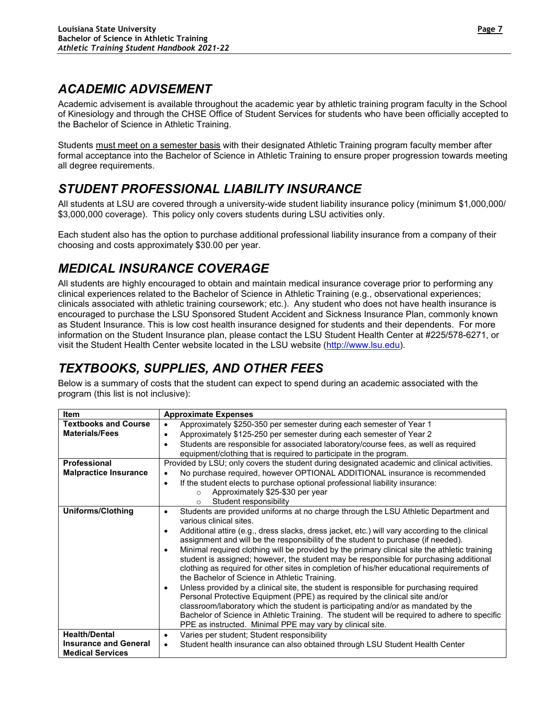## <span id="page-7-0"></span>*ACADEMIC ADVISEMENT*

Academic advisement is available throughout the academic year by athletic training program faculty in the School of Kinesiology and through the CHSE Office of Student Services for students who have been officially accepted to the Bachelor of Science in Athletic Training.

Students must meet on a semester basis with their designated Athletic Training program faculty member after formal acceptance into the Bachelor of Science in Athletic Training to ensure proper progression towards meeting all degree requirements.

## <span id="page-7-1"></span>*STUDENT PROFESSIONAL LIABILITY INSURANCE*

All students at LSU are covered through a university-wide student liability insurance policy (minimum \$1,000,000/ \$3,000,000 coverage). This policy only covers students during LSU activities only.

Each student also has the option to purchase additional professional liability insurance from a company of their choosing and costs approximately \$30.00 per year.

## <span id="page-7-2"></span>*MEDICAL INSURANCE COVERAGE*

All students are highly encouraged to obtain and maintain medical insurance coverage prior to performing any clinical experiences related to the Bachelor of Science in Athletic Training (e.g., observational experiences; clinicals associated with athletic training coursework; etc.). Any student who does not have health insurance is encouraged to purchase the LSU Sponsored Student Accident and Sickness Insurance Plan, commonly known as Student Insurance. This is low cost health insurance designed for students and their dependents. For more information on the Student Insurance plan, please contact the LSU Student Health Center at #225/578-6271, or visit the Student Health Center website located in the LSU website [\(http://www.lsu.edu\)](http://www.lsu.edu/).

## <span id="page-7-3"></span>*TEXTBOOKS, SUPPLIES, AND OTHER FEES*

Below is a summary of costs that the student can expect to spend during an academic associated with the program (this list is not inclusive):

| <b>Item</b>                                             | <b>Approximate Expenses</b>                                                                                                                                                                                                                                                                                                                                                                                                          |
|---------------------------------------------------------|--------------------------------------------------------------------------------------------------------------------------------------------------------------------------------------------------------------------------------------------------------------------------------------------------------------------------------------------------------------------------------------------------------------------------------------|
| <b>Textbooks and Course</b>                             | Approximately \$250-350 per semester during each semester of Year 1<br>$\bullet$                                                                                                                                                                                                                                                                                                                                                     |
| <b>Materials/Fees</b>                                   | Approximately \$125-250 per semester during each semester of Year 2<br>$\bullet$                                                                                                                                                                                                                                                                                                                                                     |
|                                                         | Students are responsible for associated laboratory/course fees, as well as required<br>$\bullet$                                                                                                                                                                                                                                                                                                                                     |
|                                                         | equipment/clothing that is required to participate in the program.                                                                                                                                                                                                                                                                                                                                                                   |
| Professional                                            | Provided by LSU; only covers the student during designated academic and clinical activities.                                                                                                                                                                                                                                                                                                                                         |
| <b>Malpractice Insurance</b>                            | No purchase required, however OPTIONAL ADDITIONAL insurance is recommended<br>$\bullet$                                                                                                                                                                                                                                                                                                                                              |
|                                                         | If the student elects to purchase optional professional liability insurance:<br>$\bullet$                                                                                                                                                                                                                                                                                                                                            |
|                                                         | Approximately \$25-\$30 per year<br>$\circ$                                                                                                                                                                                                                                                                                                                                                                                          |
|                                                         | Student responsibility<br>$\Omega$                                                                                                                                                                                                                                                                                                                                                                                                   |
| <b>Uniforms/Clothing</b>                                | Students are provided uniforms at no charge through the LSU Athletic Department and<br>$\bullet$                                                                                                                                                                                                                                                                                                                                     |
|                                                         | various clinical sites.                                                                                                                                                                                                                                                                                                                                                                                                              |
|                                                         | Additional attire (e.g., dress slacks, dress jacket, etc.) will vary according to the clinical<br>$\bullet$<br>assignment and will be the responsibility of the student to purchase (if needed).                                                                                                                                                                                                                                     |
|                                                         | Minimal required clothing will be provided by the primary clinical site the athletic training<br>$\bullet$<br>student is assigned; however, the student may be responsible for purchasing additional<br>clothing as required for other sites in completion of his/her educational requirements of<br>the Bachelor of Science in Athletic Training.                                                                                   |
|                                                         | Unless provided by a clinical site, the student is responsible for purchasing required<br>$\bullet$<br>Personal Protective Equipment (PPE) as required by the clinical site and/or<br>classroom/laboratory which the student is participating and/or as mandated by the<br>Bachelor of Science in Athletic Training. The student will be required to adhere to specific<br>PPE as instructed. Minimal PPE may vary by clinical site. |
| <b>Health/Dental</b>                                    | Varies per student; Student responsibility<br>$\bullet$                                                                                                                                                                                                                                                                                                                                                                              |
| <b>Insurance and General</b><br><b>Medical Services</b> | Student health insurance can also obtained through LSU Student Health Center<br>$\bullet$                                                                                                                                                                                                                                                                                                                                            |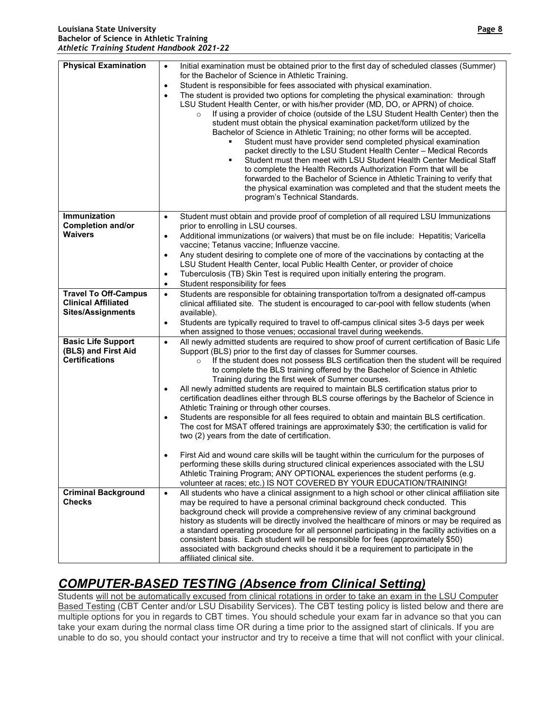| <b>Physical Examination</b>                                                           | Initial examination must be obtained prior to the first day of scheduled classes (Summer)<br>$\bullet$<br>for the Bachelor of Science in Athletic Training.<br>Student is responsibible for fees associated with physical examination.<br>$\bullet$<br>The student is provided two options for completing the physical examination: through<br>$\bullet$<br>LSU Student Health Center, or with his/her provider (MD, DO, or APRN) of choice.<br>If using a provider of choice (outside of the LSU Student Health Center) then the<br>$\circ$<br>student must obtain the physical examination packet/form utilized by the<br>Bachelor of Science in Athletic Training; no other forms will be accepted.<br>Student must have provider send completed physical examination<br>packet directly to the LSU Student Health Center - Medical Records<br>Student must then meet with LSU Student Health Center Medical Staff<br>to complete the Health Records Authorization Form that will be<br>forwarded to the Bachelor of Science in Athletic Training to verify that<br>the physical examination was completed and that the student meets the<br>program's Technical Standards.                                                                                                                  |
|---------------------------------------------------------------------------------------|-------------------------------------------------------------------------------------------------------------------------------------------------------------------------------------------------------------------------------------------------------------------------------------------------------------------------------------------------------------------------------------------------------------------------------------------------------------------------------------------------------------------------------------------------------------------------------------------------------------------------------------------------------------------------------------------------------------------------------------------------------------------------------------------------------------------------------------------------------------------------------------------------------------------------------------------------------------------------------------------------------------------------------------------------------------------------------------------------------------------------------------------------------------------------------------------------------------------------------------------------------------------------------------------------|
| Immunization<br><b>Completion and/or</b><br><b>Waivers</b>                            | Student must obtain and provide proof of completion of all required LSU Immunizations<br>$\bullet$<br>prior to enrolling in LSU courses.<br>Additional immunizations (or waivers) that must be on file include: Hepatitis; Varicella<br>$\bullet$<br>vaccine; Tetanus vaccine; Influenze vaccine.<br>Any student desiring to complete one of more of the vaccinations by contacting at the<br>$\bullet$<br>LSU Student Health Center, local Public Health Center, or provider of choice<br>Tuberculosis (TB) Skin Test is required upon initially entering the program.<br>$\bullet$<br>Student responsibility for fees<br>$\bullet$                                                                                                                                                                                                                                                                                                                                                                                                                                                                                                                                                                                                                                                            |
| <b>Travel To Off-Campus</b><br><b>Clinical Affiliated</b><br><b>Sites/Assignments</b> | Students are responsible for obtaining transportation to/from a designated off-campus<br>$\bullet$<br>clinical affiliated site. The student is encouraged to car-pool with fellow students (when<br>available).<br>Students are typically required to travel to off-campus clinical sites 3-5 days per week<br>$\bullet$<br>when assigned to those venues; occasional travel during weekends.                                                                                                                                                                                                                                                                                                                                                                                                                                                                                                                                                                                                                                                                                                                                                                                                                                                                                                   |
| <b>Basic Life Support</b><br>(BLS) and First Aid<br><b>Certifications</b>             | All newly admitted students are required to show proof of current certification of Basic Life<br>$\bullet$<br>Support (BLS) prior to the first day of classes for Summer courses.<br>If the student does not possess BLS certification then the student will be required<br>$\circ$<br>to complete the BLS training offered by the Bachelor of Science in Athletic<br>Training during the first week of Summer courses.<br>All newly admitted students are required to maintain BLS certification status prior to<br>$\bullet$<br>certification deadlines either through BLS course offerings by the Bachelor of Science in<br>Athletic Training or through other courses.<br>Students are responsible for all fees required to obtain and maintain BLS certification.<br>$\bullet$<br>The cost for MSAT offered trainings are approximately \$30; the certification is valid for<br>two (2) years from the date of certification.<br>First Aid and wound care skills will be taught within the curriculum for the purposes of<br>$\bullet$<br>performing these skills during structured clinical experiences associated with the LSU<br>Athletic Training Program; ANY OPTIONAL experiences the student performs (e.g.<br>volunteer at races; etc.) IS NOT COVERED BY YOUR EDUCATION/TRAINING! |
| <b>Criminal Background</b><br><b>Checks</b>                                           | All students who have a clinical assignment to a high school or other clinical affiliation site<br>$\bullet$<br>may be required to have a personal criminal background check conducted. This<br>background check will provide a comprehensive review of any criminal background<br>history as students will be directly involved the healthcare of minors or may be required as<br>a standard operating procedure for all personnel participating in the facility activities on a<br>consistent basis. Each student will be responsible for fees (approximately \$50)<br>associated with background checks should it be a requirement to participate in the<br>affiliated clinical site.                                                                                                                                                                                                                                                                                                                                                                                                                                                                                                                                                                                                        |

## *COMPUTER-BASED TESTING (Absence from Clinical Setting)*

Students will not be automatically excused from clinical rotations in order to take an exam in the LSU Computer Based Testing (CBT Center and/or LSU Disability Services). The CBT testing policy is listed below and there are multiple options for you in regards to CBT times. You should schedule your exam far in advance so that you can take your exam during the normal class time OR during a time prior to the assigned start of clinicals. If you are unable to do so, you should contact your instructor and try to receive a time that will not conflict with your clinical.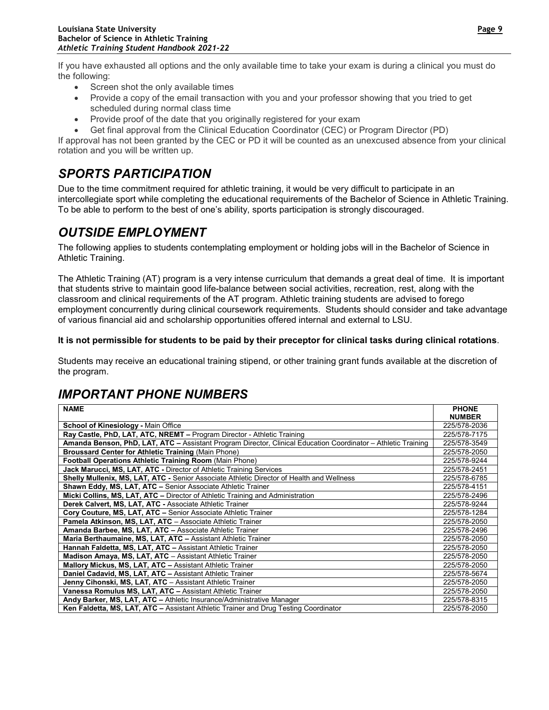If you have exhausted all options and the only available time to take your exam is during a clinical you must do the following:

- Screen shot the only available times
- Provide a copy of the email transaction with you and your professor showing that you tried to get scheduled during normal class time
- Provide proof of the date that you originally registered for your exam
- Get final approval from the Clinical Education Coordinator (CEC) or Program Director (PD)

If approval has not been granted by the CEC or PD it will be counted as an unexcused absence from your clinical rotation and you will be written up.

## <span id="page-9-0"></span>*SPORTS PARTICIPATION*

Due to the time commitment required for athletic training, it would be very difficult to participate in an intercollegiate sport while completing the educational requirements of the Bachelor of Science in Athletic Training. To be able to perform to the best of one's ability, sports participation is strongly discouraged.

## <span id="page-9-1"></span>*OUTSIDE EMPLOYMENT*

The following applies to students contemplating employment or holding jobs will in the Bachelor of Science in Athletic Training.

The Athletic Training (AT) program is a very intense curriculum that demands a great deal of time. It is important that students strive to maintain good life-balance between social activities, recreation, rest, along with the classroom and clinical requirements of the AT program. Athletic training students are advised to forego employment concurrently during clinical coursework requirements. Students should consider and take advantage of various financial aid and scholarship opportunities offered internal and external to LSU.

#### **It is not permissible for students to be paid by their preceptor for clinical tasks during clinical rotations**.

Students may receive an educational training stipend, or other training grant funds available at the discretion of the program.

### <span id="page-9-2"></span>*IMPORTANT PHONE NUMBERS*

| <b>NAME</b>                                                                                                   | <b>PHONE</b>  |
|---------------------------------------------------------------------------------------------------------------|---------------|
|                                                                                                               | <b>NUMBER</b> |
| <b>School of Kinesiology - Main Office</b>                                                                    | 225/578-2036  |
| Ray Castle, PhD, LAT, ATC, NREMT - Program Director - Athletic Training                                       | 225/578-7175  |
| Amanda Benson, PhD, LAT, ATC - Assistant Program Director, Clinical Education Coordinator - Athletic Training | 225/578-3549  |
| <b>Broussard Center for Athletic Training (Main Phone)</b>                                                    | 225/578-2050  |
| <b>Football Operations Athletic Training Room (Main Phone)</b>                                                | 225/578-9244  |
| Jack Marucci, MS, LAT, ATC - Director of Athletic Training Services                                           | 225/578-2451  |
| <b>Shelly Mullenix, MS, LAT, ATC - Senior Associate Athletic Director of Health and Wellness</b>              | 225/578-6785  |
| <b>Shawn Eddy, MS, LAT, ATC - Senior Associate Athletic Trainer</b>                                           | 225/578-4151  |
| <b>Micki Collins, MS, LAT, ATC – Director of Athletic Training and Administration</b>                         | 225/578-2496  |
| Derek Calvert, MS, LAT, ATC - Associate Athletic Trainer                                                      | 225/578-9244  |
| Cory Couture, MS, LAT, ATC - Senior Associate Athletic Trainer                                                | 225/578-1284  |
| Pamela Atkinson, MS, LAT, ATC - Associate Athletic Trainer                                                    | 225/578-2050  |
| Amanda Barbee, MS. LAT. ATC - Associate Athletic Trainer                                                      | 225/578-2496  |
| Maria Berthaumaine, MS, LAT, ATC - Assistant Athletic Trainer                                                 | 225/578-2050  |
| Hannah Faldetta, MS, LAT, ATC - Assistant Athletic Trainer                                                    | 225/578-2050  |
| Madison Amaya, MS, LAT, ATC - Assistant Athletic Trainer                                                      | 225/578-2050  |
| Mallory Mickus, MS, LAT, ATC - Assistant Athletic Trainer                                                     | 225/578-2050  |
| Daniel Cadavid, MS, LAT, ATC - Assistant Athletic Trainer                                                     | 225/578-5674  |
| Jenny Cihonski, MS, LAT, ATC - Assistant Athletic Trainer                                                     | 225/578-2050  |
| Vanessa Romulus MS, LAT, ATC - Assistant Athletic Trainer                                                     | 225/578-2050  |
| Andy Barker, MS, LAT, ATC - Athletic Insurance/Administrative Manager                                         | 225/578-8315  |
| Ken Faldetta, MS, LAT, ATC - Assistant Athletic Trainer and Drug Testing Coordinator                          | 225/578-2050  |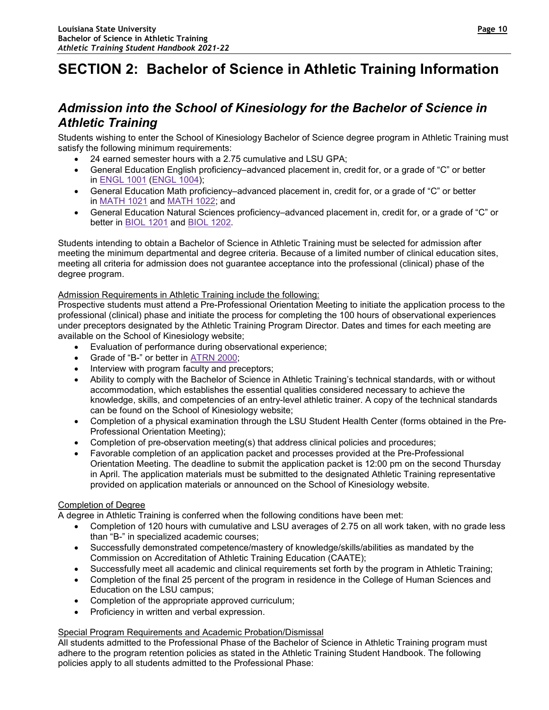# <span id="page-10-0"></span>**SECTION 2: Bachelor of Science in Athletic Training Information**

## <span id="page-10-1"></span>*Admission into the School of Kinesiology for the Bachelor of Science in Athletic Training*

Students wishing to enter the School of Kinesiology Bachelor of Science degree program in Athletic Training must satisfy the following minimum requirements:

- 24 earned semester hours with a 2.75 cumulative and LSU GPA;
- General Education English proficiency–advanced placement in, credit for, or a grade of "C" or better in [ENGL](http://catalog.lsu.edu/preview_entity.php?catoid=12&ent_oid=2745#tt505) 1001 [\(ENGL](http://catalog.lsu.edu/preview_entity.php?catoid=12&ent_oid=2745#tt1251) 1004);
- General Education Math proficiency–advanced placement in, credit for, or a grade of "C" or better in [MATH](http://catalog.lsu.edu/preview_entity.php?catoid=12&ent_oid=2745#tt1187) 1021 and [MATH](http://catalog.lsu.edu/preview_entity.php?catoid=12&ent_oid=2745#tt8036) 1022; and
- General Education Natural Sciences proficiency–advanced placement in, credit for, or a grade of "C" or better in [BIOL](http://catalog.lsu.edu/preview_entity.php?catoid=12&ent_oid=2745#tt1272) 1201 and BIOL [1202.](http://catalog.lsu.edu/preview_entity.php?catoid=12&ent_oid=2745#tt4260)

Students intending to obtain a Bachelor of Science in Athletic Training must be selected for admission after meeting the minimum departmental and degree criteria. Because of a limited number of clinical education sites, meeting all criteria for admission does not guarantee acceptance into the professional (clinical) phase of the degree program.

#### Admission Requirements in Athletic Training include the following:

Prospective students must attend a Pre-Professional Orientation Meeting to initiate the application process to the professional (clinical) phase and initiate the process for completing the 100 hours of observational experiences under preceptors designated by the Athletic Training Program Director. Dates and times for each meeting are available on the School of Kinesiology website;

- Evaluation of performance during observational experience;
- Grade of "B-" or better in [ATRN](http://catalog.lsu.edu/preview_entity.php?catoid=12&ent_oid=2745#tt2201) 2000;
- Interview with program faculty and preceptors;
- Ability to comply with the Bachelor of Science in Athletic Training's technical standards, with or without accommodation, which establishes the essential qualities considered necessary to achieve the knowledge, skills, and competencies of an entry-level athletic trainer. A copy of the technical standards can be found on the School of Kinesiology website;
- Completion of a physical examination through the LSU Student Health Center (forms obtained in the Pre-Professional Orientation Meeting);
- Completion of pre-observation meeting(s) that address clinical policies and procedures;
- Favorable completion of an application packet and processes provided at the Pre-Professional Orientation Meeting. The deadline to submit the application packet is 12:00 pm on the second Thursday in April. The application materials must be submitted to the designated Athletic Training representative provided on application materials or announced on the School of Kinesiology website.

#### Completion of Degree

A degree in Athletic Training is conferred when the following conditions have been met:

- Completion of 120 hours with cumulative and LSU averages of 2.75 on all work taken, with no grade less than "B-" in specialized academic courses;
- Successfully demonstrated competence/mastery of knowledge/skills/abilities as mandated by the Commission on Accreditation of Athletic Training Education (CAATE);
- Successfully meet all academic and clinical requirements set forth by the program in Athletic Training;
- Completion of the final 25 percent of the program in residence in the College of Human Sciences and Education on the LSU campus;
- Completion of the appropriate approved curriculum;
- Proficiency in written and verbal expression.

#### Special Program Requirements and Academic Probation/Dismissal

All students admitted to the Professional Phase of the Bachelor of Science in Athletic Training program must adhere to the program retention policies as stated in the Athletic Training Student Handbook. The following policies apply to all students admitted to the Professional Phase: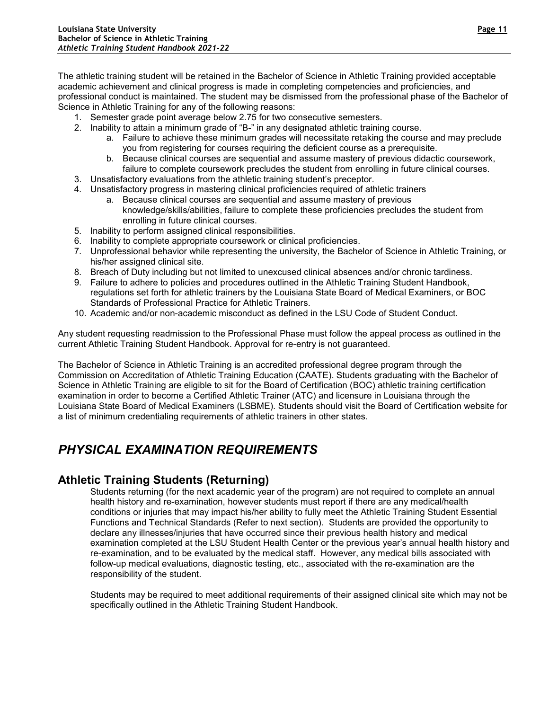The athletic training student will be retained in the Bachelor of Science in Athletic Training provided acceptable academic achievement and clinical progress is made in completing competencies and proficiencies, and professional conduct is maintained. The student may be dismissed from the professional phase of the Bachelor of Science in Athletic Training for any of the following reasons:

- 1. Semester grade point average below 2.75 for two consecutive semesters.
- 2. Inability to attain a minimum grade of "B-" in any designated athletic training course.
	- a. Failure to achieve these minimum grades will necessitate retaking the course and may preclude you from registering for courses requiring the deficient course as a prerequisite.
	- b. Because clinical courses are sequential and assume mastery of previous didactic coursework, failure to complete coursework precludes the student from enrolling in future clinical courses.
- 3. Unsatisfactory evaluations from the athletic training student's preceptor.
- 4. Unsatisfactory progress in mastering clinical proficiencies required of athletic trainers
	- a. Because clinical courses are sequential and assume mastery of previous knowledge/skills/abilities, failure to complete these proficiencies precludes the student from enrolling in future clinical courses.
- 5. Inability to perform assigned clinical responsibilities.
- 6. Inability to complete appropriate coursework or clinical proficiencies.
- 7. Unprofessional behavior while representing the university, the Bachelor of Science in Athletic Training, or his/her assigned clinical site.
- 8. Breach of Duty including but not limited to unexcused clinical absences and/or chronic tardiness.
- 9. Failure to adhere to policies and procedures outlined in the Athletic Training Student Handbook, regulations set forth for athletic trainers by the Louisiana State Board of Medical Examiners, or BOC Standards of Professional Practice for Athletic Trainers.
- 10. Academic and/or non-academic misconduct as defined in the LSU Code of Student Conduct.

Any student requesting readmission to the Professional Phase must follow the appeal process as outlined in the current Athletic Training Student Handbook. Approval for re-entry is not guaranteed.

The Bachelor of Science in Athletic Training is an accredited professional degree program through the Commission on Accreditation of Athletic Training Education (CAATE). Students graduating with the Bachelor of Science in Athletic Training are eligible to sit for the Board of Certification (BOC) athletic training certification examination in order to become a Certified Athletic Trainer (ATC) and licensure in Louisiana through the Louisiana State Board of Medical Examiners (LSBME). Students should visit the Board of Certification website for a list of minimum credentialing requirements of athletic trainers in other states.

## <span id="page-11-0"></span>*PHYSICAL EXAMINATION REQUIREMENTS*

### **Athletic Training Students (Returning)**

Students returning (for the next academic year of the program) are not required to complete an annual health history and re-examination, however students must report if there are any medical/health conditions or injuries that may impact his/her ability to fully meet the Athletic Training Student Essential Functions and Technical Standards (Refer to next section). Students are provided the opportunity to declare any illnesses/injuries that have occurred since their previous health history and medical examination completed at the LSU Student Health Center or the previous year's annual health history and re-examination, and to be evaluated by the medical staff. However, any medical bills associated with follow-up medical evaluations, diagnostic testing, etc., associated with the re-examination are the responsibility of the student.

Students may be required to meet additional requirements of their assigned clinical site which may not be specifically outlined in the Athletic Training Student Handbook.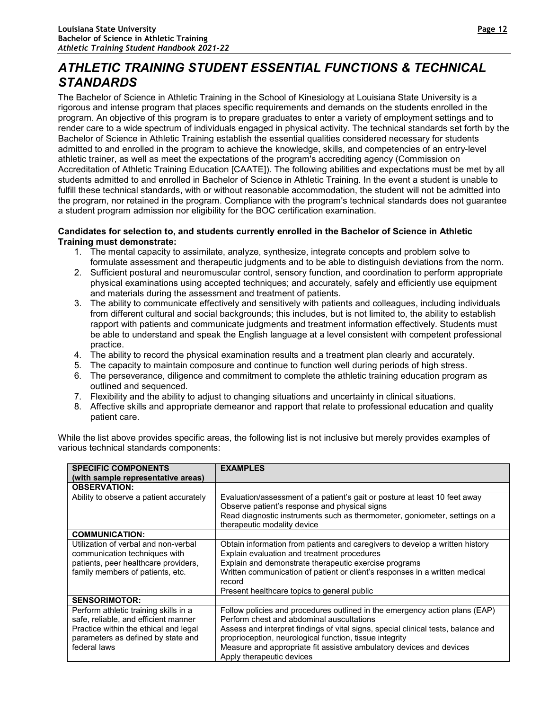## <span id="page-12-0"></span>*ATHLETIC TRAINING STUDENT ESSENTIAL FUNCTIONS & TECHNICAL STANDARDS*

The Bachelor of Science in Athletic Training in the School of Kinesiology at Louisiana State University is a rigorous and intense program that places specific requirements and demands on the students enrolled in the program. An objective of this program is to prepare graduates to enter a variety of employment settings and to render care to a wide spectrum of individuals engaged in physical activity. The technical standards set forth by the Bachelor of Science in Athletic Training establish the essential qualities considered necessary for students admitted to and enrolled in the program to achieve the knowledge, skills, and competencies of an entry-level athletic trainer, as well as meet the expectations of the program's accrediting agency (Commission on Accreditation of Athletic Training Education [CAATE]). The following abilities and expectations must be met by all students admitted to and enrolled in Bachelor of Science in Athletic Training. In the event a student is unable to fulfill these technical standards, with or without reasonable accommodation, the student will not be admitted into the program, nor retained in the program. Compliance with the program's technical standards does not guarantee a student program admission nor eligibility for the BOC certification examination.

#### **Candidates for selection to, and students currently enrolled in the Bachelor of Science in Athletic Training must demonstrate:**

- 1. The mental capacity to assimilate, analyze, synthesize, integrate concepts and problem solve to formulate assessment and therapeutic judgments and to be able to distinguish deviations from the norm.
- 2. Sufficient postural and neuromuscular control, sensory function, and coordination to perform appropriate physical examinations using accepted techniques; and accurately, safely and efficiently use equipment and materials during the assessment and treatment of patients.
- 3. The ability to communicate effectively and sensitively with patients and colleagues, including individuals from different cultural and social backgrounds; this includes, but is not limited to, the ability to establish rapport with patients and communicate judgments and treatment information effectively. Students must be able to understand and speak the English language at a level consistent with competent professional practice.
- 4. The ability to record the physical examination results and a treatment plan clearly and accurately.
- 5. The capacity to maintain composure and continue to function well during periods of high stress.
- 6. The perseverance, diligence and commitment to complete the athletic training education program as outlined and sequenced.
- 7. Flexibility and the ability to adjust to changing situations and uncertainty in clinical situations.
- 8. Affective skills and appropriate demeanor and rapport that relate to professional education and quality patient care.

While the list above provides specific areas, the following list is not inclusive but merely provides examples of various technical standards components:

| <b>SPECIFIC COMPONENTS</b><br>(with sample representative areas)                                                                                                             | <b>EXAMPLES</b>                                                                                                                                                                                                                                                                                                                                                               |
|------------------------------------------------------------------------------------------------------------------------------------------------------------------------------|-------------------------------------------------------------------------------------------------------------------------------------------------------------------------------------------------------------------------------------------------------------------------------------------------------------------------------------------------------------------------------|
| <b>OBSERVATION:</b>                                                                                                                                                          |                                                                                                                                                                                                                                                                                                                                                                               |
| Ability to observe a patient accurately                                                                                                                                      | Evaluation/assessment of a patient's gait or posture at least 10 feet away<br>Observe patient's response and physical signs<br>Read diagnostic instruments such as thermometer, goniometer, settings on a<br>therapeutic modality device                                                                                                                                      |
| <b>COMMUNICATION:</b>                                                                                                                                                        |                                                                                                                                                                                                                                                                                                                                                                               |
| Utilization of verbal and non-verbal<br>communication techniques with<br>patients, peer healthcare providers,<br>family members of patients, etc.                            | Obtain information from patients and caregivers to develop a written history<br>Explain evaluation and treatment procedures<br>Explain and demonstrate therapeutic exercise programs<br>Written communication of patient or client's responses in a written medical<br>record<br>Present healthcare topics to general public                                                  |
| <b>SENSORIMOTOR:</b>                                                                                                                                                         |                                                                                                                                                                                                                                                                                                                                                                               |
| Perform athletic training skills in a<br>safe, reliable, and efficient manner<br>Practice within the ethical and legal<br>parameters as defined by state and<br>federal laws | Follow policies and procedures outlined in the emergency action plans (EAP)<br>Perform chest and abdominal auscultations<br>Assess and interpret findings of vital signs, special clinical tests, balance and<br>proprioception, neurological function, tissue integrity<br>Measure and appropriate fit assistive ambulatory devices and devices<br>Apply therapeutic devices |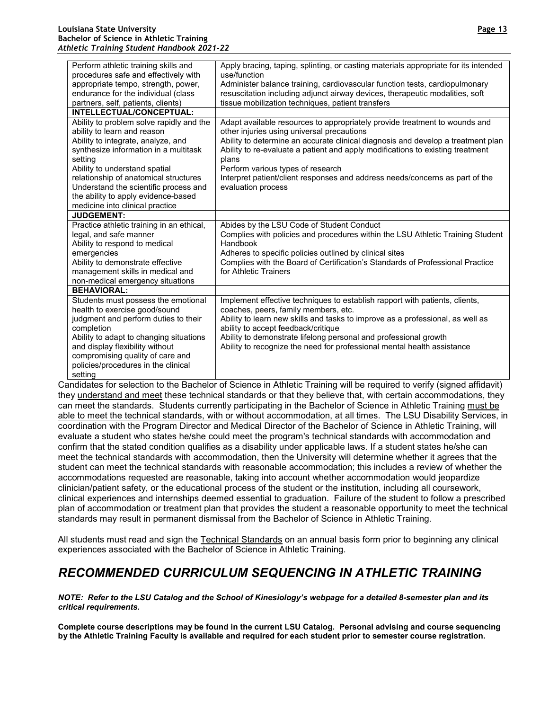| procedures safe and effectively with                                    | Apply bracing, taping, splinting, or casting materials appropriate for its intended                    |
|-------------------------------------------------------------------------|--------------------------------------------------------------------------------------------------------|
|                                                                         | use/function                                                                                           |
| appropriate tempo, strength, power,                                     | Administer balance training, cardiovascular function tests, cardiopulmonary                            |
| endurance for the individual (class                                     | resuscitation including adjunct airway devices, therapeutic modalities, soft                           |
| partners, self, patients, clients)                                      | tissue mobilization techniques, patient transfers                                                      |
| INTELLECTUAL/CONCEPTUAL:                                                |                                                                                                        |
| Ability to problem solve rapidly and the                                | Adapt available resources to appropriately provide treatment to wounds and                             |
| ability to learn and reason                                             | other injuries using universal precautions                                                             |
| Ability to integrate, analyze, and                                      | Ability to determine an accurate clinical diagnosis and develop a treatment plan                       |
| synthesize information in a multitask                                   | Ability to re-evaluate a patient and apply modifications to existing treatment                         |
| setting                                                                 | plans                                                                                                  |
| Ability to understand spatial                                           | Perform various types of research                                                                      |
| relationship of anatomical structures                                   | Interpret patient/client responses and address needs/concerns as part of the                           |
| Understand the scientific process and                                   | evaluation process                                                                                     |
| the ability to apply evidence-based                                     |                                                                                                        |
| medicine into clinical practice                                         |                                                                                                        |
| <b>JUDGEMENT:</b>                                                       |                                                                                                        |
| Practice athletic training in an ethical,                               | Abides by the LSU Code of Student Conduct                                                              |
| legal, and safe manner                                                  | Complies with policies and procedures within the LSU Athletic Training Student                         |
| Ability to respond to medical                                           | Handbook                                                                                               |
|                                                                         |                                                                                                        |
|                                                                         |                                                                                                        |
| emergencies                                                             | Adheres to specific policies outlined by clinical sites                                                |
| Ability to demonstrate effective                                        | Complies with the Board of Certification's Standards of Professional Practice<br>for Athletic Trainers |
| management skills in medical and                                        |                                                                                                        |
| non-medical emergency situations<br><b>BEHAVIORAL:</b>                  |                                                                                                        |
|                                                                         |                                                                                                        |
| Students must possess the emotional                                     | Implement effective techniques to establish rapport with patients, clients,                            |
| health to exercise good/sound                                           | coaches, peers, family members, etc.                                                                   |
| judgment and perform duties to their<br>completion                      | Ability to learn new skills and tasks to improve as a professional, as well as                         |
|                                                                         | ability to accept feedback/critique                                                                    |
| Ability to adapt to changing situations                                 | Ability to demonstrate lifelong personal and professional growth                                       |
| and display flexibility without                                         | Ability to recognize the need for professional mental health assistance                                |
| compromising quality of care and<br>policies/procedures in the clinical |                                                                                                        |
|                                                                         |                                                                                                        |

Candidates for selection to the Bachelor of Science in Athletic Training will be required to verify (signed affidavit) they understand and meet these technical standards or that they believe that, with certain accommodations, they can meet the standards. Students currently participating in the Bachelor of Science in Athletic Training must be able to meet the technical standards, with or without accommodation, at all times. The LSU Disability Services, in coordination with the Program Director and Medical Director of the Bachelor of Science in Athletic Training, will evaluate a student who states he/she could meet the program's technical standards with accommodation and confirm that the stated condition qualifies as a disability under applicable laws. If a student states he/she can meet the technical standards with accommodation, then the University will determine whether it agrees that the student can meet the technical standards with reasonable accommodation; this includes a review of whether the accommodations requested are reasonable, taking into account whether accommodation would jeopardize clinician/patient safety, or the educational process of the student or the institution, including all coursework, clinical experiences and internships deemed essential to graduation. Failure of the student to follow a prescribed plan of accommodation or treatment plan that provides the student a reasonable opportunity to meet the technical standards may result in permanent dismissal from the Bachelor of Science in Athletic Training.

All students must read and sign the Technical Standards on an annual basis form prior to beginning any clinical experiences associated with the Bachelor of Science in Athletic Training.

## <span id="page-13-0"></span>*RECOMMENDED CURRICULUM SEQUENCING IN ATHLETIC TRAINING*

*NOTE: Refer to the LSU Catalog and the School of Kinesiology's webpage for a detailed 8-semester plan and its critical requirements.*

**Complete course descriptions may be found in the current LSU Catalog. Personal advising and course sequencing by the Athletic Training Faculty is available and required for each student prior to semester course registration.**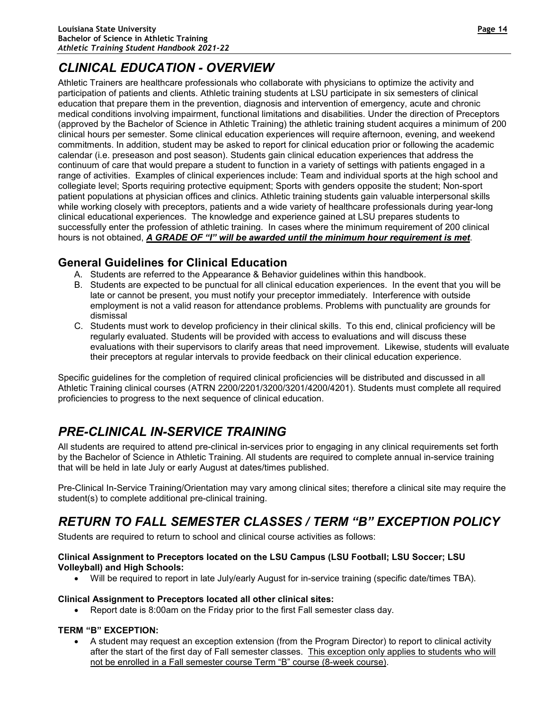## <span id="page-14-0"></span>*CLINICAL EDUCATION - OVERVIEW*

Athletic Trainers are healthcare professionals who collaborate with physicians to optimize the activity and participation of patients and clients. Athletic training students at LSU participate in six semesters of clinical education that prepare them in the prevention, diagnosis and intervention of emergency, acute and chronic medical conditions involving impairment, functional limitations and disabilities. Under the direction of Preceptors (approved by the Bachelor of Science in Athletic Training) the athletic training student acquires a minimum of 200 clinical hours per semester. Some clinical education experiences will require afternoon, evening, and weekend commitments. In addition, student may be asked to report for clinical education prior or following the academic calendar (i.e. preseason and post season). Students gain clinical education experiences that address the continuum of care that would prepare a student to function in a variety of settings with patients engaged in a range of activities. Examples of clinical experiences include: Team and individual sports at the high school and collegiate level; Sports requiring protective equipment; Sports with genders opposite the student; Non-sport patient populations at physician offices and clinics. Athletic training students gain valuable interpersonal skills while working closely with preceptors, patients and a wide variety of healthcare professionals during year-long clinical educational experiences. The knowledge and experience gained at LSU prepares students to successfully enter the profession of athletic training. In cases where the minimum requirement of 200 clinical hours is not obtained, *A GRADE OF "I" will be awarded until the minimum hour requirement is met*.

### **General Guidelines for Clinical Education**

- A. Students are referred to the Appearance & Behavior guidelines within this handbook.
- B. Students are expected to be punctual for all clinical education experiences. In the event that you will be late or cannot be present, you must notify your preceptor immediately. Interference with outside employment is not a valid reason for attendance problems. Problems with punctuality are grounds for dismissal
- C. Students must work to develop proficiency in their clinical skills. To this end, clinical proficiency will be regularly evaluated. Students will be provided with access to evaluations and will discuss these evaluations with their supervisors to clarify areas that need improvement. Likewise, students will evaluate their preceptors at regular intervals to provide feedback on their clinical education experience.

Specific guidelines for the completion of required clinical proficiencies will be distributed and discussed in all Athletic Training clinical courses (ATRN 2200/2201/3200/3201/4200/4201). Students must complete all required proficiencies to progress to the next sequence of clinical education.

## <span id="page-14-1"></span>*PRE-CLINICAL IN-SERVICE TRAINING*

All students are required to attend pre-clinical in-services prior to engaging in any clinical requirements set forth by the Bachelor of Science in Athletic Training. All students are required to complete annual in-service training that will be held in late July or early August at dates/times published.

Pre-Clinical In-Service Training/Orientation may vary among clinical sites; therefore a clinical site may require the student(s) to complete additional pre-clinical training.

## <span id="page-14-2"></span>*RETURN TO FALL SEMESTER CLASSES / TERM "B" EXCEPTION POLICY*

Students are required to return to school and clinical course activities as follows:

#### **Clinical Assignment to Preceptors located on the LSU Campus (LSU Football; LSU Soccer; LSU Volleyball) and High Schools:**

• Will be required to report in late July/early August for in-service training (specific date/times TBA).

### **Clinical Assignment to Preceptors located all other clinical sites:**

• Report date is 8:00am on the Friday prior to the first Fall semester class day.

### **TERM "B" EXCEPTION:**

• A student may request an exception extension (from the Program Director) to report to clinical activity after the start of the first day of Fall semester classes. This exception only applies to students who will not be enrolled in a Fall semester course Term "B" course (8-week course).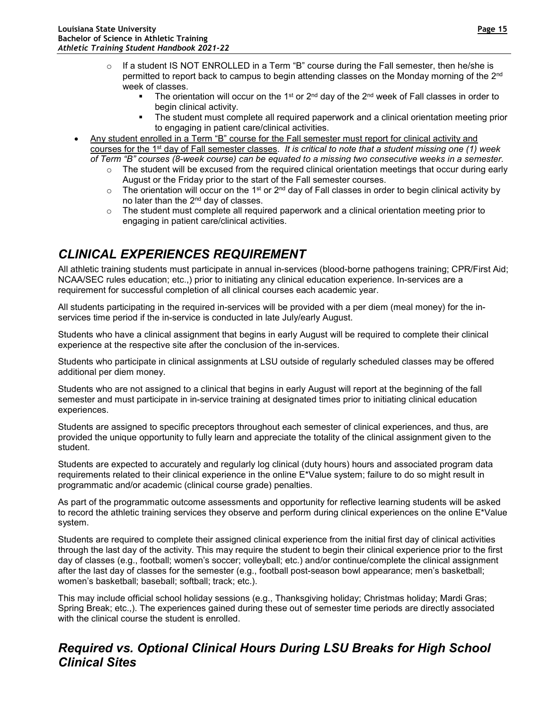- If a student IS NOT ENROLLED in a Term "B" course during the Fall semester, then he/she is permitted to report back to campus to begin attending classes on the Monday morning of the 2nd week of classes.
	- The orientation will occur on the 1<sup>st</sup> or  $2<sup>nd</sup>$  day of the  $2<sup>nd</sup>$  week of Fall classes in order to begin clinical activity.
	- The student must complete all required paperwork and a clinical orientation meeting prior to engaging in patient care/clinical activities.
- Any student enrolled in a Term "B" course for the Fall semester must report for clinical activity and courses for the 1st day of Fall semester classes. *It is critical to note that a student missing one (1) week of Term "B" courses (8-week course) can be equated to a missing two consecutive weeks in a semester.* 
	- $\circ$  The student will be excused from the required clinical orientation meetings that occur during early August or the Friday prior to the start of the Fall semester courses.
	- $\circ$  The orientation will occur on the 1<sup>st</sup> or 2<sup>nd</sup> day of Fall classes in order to begin clinical activity by no later than the 2nd day of classes.
	- $\circ$  The student must complete all required paperwork and a clinical orientation meeting prior to engaging in patient care/clinical activities.

## <span id="page-15-0"></span>*CLINICAL EXPERIENCES REQUIREMENT*

All athletic training students must participate in annual in-services (blood-borne pathogens training; CPR/First Aid; NCAA/SEC rules education; etc.,) prior to initiating any clinical education experience. In-services are a requirement for successful completion of all clinical courses each academic year.

All students participating in the required in-services will be provided with a per diem (meal money) for the inservices time period if the in-service is conducted in late July/early August.

Students who have a clinical assignment that begins in early August will be required to complete their clinical experience at the respective site after the conclusion of the in-services.

Students who participate in clinical assignments at LSU outside of regularly scheduled classes may be offered additional per diem money.

Students who are not assigned to a clinical that begins in early August will report at the beginning of the fall semester and must participate in in-service training at designated times prior to initiating clinical education experiences.

Students are assigned to specific preceptors throughout each semester of clinical experiences, and thus, are provided the unique opportunity to fully learn and appreciate the totality of the clinical assignment given to the student.

Students are expected to accurately and regularly log clinical (duty hours) hours and associated program data requirements related to their clinical experience in the online E\*Value system; failure to do so might result in programmatic and/or academic (clinical course grade) penalties.

As part of the programmatic outcome assessments and opportunity for reflective learning students will be asked to record the athletic training services they observe and perform during clinical experiences on the online E\*Value system.

Students are required to complete their assigned clinical experience from the initial first day of clinical activities through the last day of the activity. This may require the student to begin their clinical experience prior to the first day of classes (e.g., football; women's soccer; volleyball; etc.) and/or continue/complete the clinical assignment after the last day of classes for the semester (e.g., football post-season bowl appearance; men's basketball; women's basketball; baseball; softball; track; etc.).

This may include official school holiday sessions (e.g., Thanksgiving holiday; Christmas holiday; Mardi Gras; Spring Break; etc.,). The experiences gained during these out of semester time periods are directly associated with the clinical course the student is enrolled.

### <span id="page-15-1"></span>*Required vs. Optional Clinical Hours During LSU Breaks for High School Clinical Sites*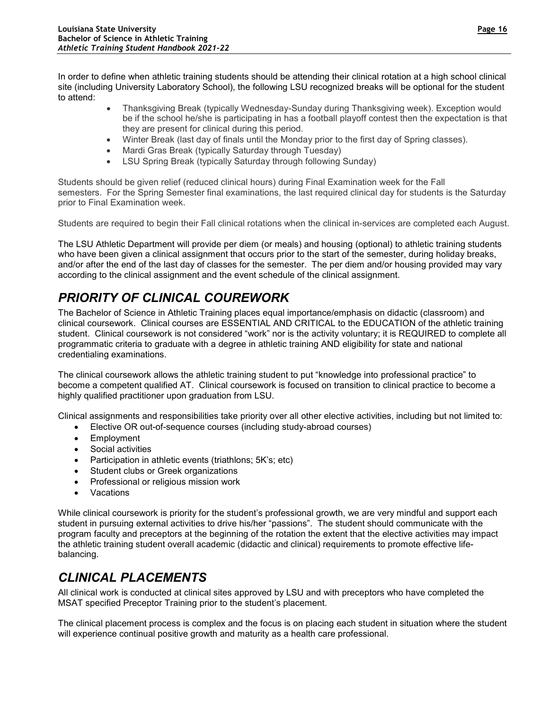In order to define when athletic training students should be attending their clinical rotation at a high school clinical site (including University Laboratory School), the following LSU recognized breaks will be optional for the student to attend:

- Thanksgiving Break (typically Wednesday-Sunday during Thanksgiving week). Exception would be if the school he/she is participating in has a football playoff contest then the expectation is that they are present for clinical during this period.
- Winter Break (last day of finals until the Monday prior to the first day of Spring classes).
- Mardi Gras Break (typically Saturday through Tuesday)
- LSU Spring Break (typically Saturday through following Sunday)

Students should be given relief (reduced clinical hours) during Final Examination week for the Fall semesters. For the Spring Semester final examinations, the last required clinical day for students is the Saturday prior to Final Examination week.

Students are required to begin their Fall clinical rotations when the clinical in-services are completed each August.

The LSU Athletic Department will provide per diem (or meals) and housing (optional) to athletic training students who have been given a clinical assignment that occurs prior to the start of the semester, during holiday breaks, and/or after the end of the last day of classes for the semester. The per diem and/or housing provided may vary according to the clinical assignment and the event schedule of the clinical assignment.

## <span id="page-16-0"></span>*PRIORITY OF CLINICAL COUREWORK*

The Bachelor of Science in Athletic Training places equal importance/emphasis on didactic (classroom) and clinical coursework. Clinical courses are ESSENTIAL AND CRITICAL to the EDUCATION of the athletic training student. Clinical coursework is not considered "work" nor is the activity voluntary; it is REQUIRED to complete all programmatic criteria to graduate with a degree in athletic training AND eligibility for state and national credentialing examinations.

The clinical coursework allows the athletic training student to put "knowledge into professional practice" to become a competent qualified AT. Clinical coursework is focused on transition to clinical practice to become a highly qualified practitioner upon graduation from LSU.

Clinical assignments and responsibilities take priority over all other elective activities, including but not limited to:

- Elective OR out-of-sequence courses (including study-abroad courses)
- **Employment**
- Social activities
- Participation in athletic events (triathlons; 5K's; etc)
- Student clubs or Greek organizations
- Professional or religious mission work
- Vacations

While clinical coursework is priority for the student's professional growth, we are very mindful and support each student in pursuing external activities to drive his/her "passions". The student should communicate with the program faculty and preceptors at the beginning of the rotation the extent that the elective activities may impact the athletic training student overall academic (didactic and clinical) requirements to promote effective lifebalancing.

## <span id="page-16-1"></span>*CLINICAL PLACEMENTS*

All clinical work is conducted at clinical sites approved by LSU and with preceptors who have completed the MSAT specified Preceptor Training prior to the student's placement.

The clinical placement process is complex and the focus is on placing each student in situation where the student will experience continual positive growth and maturity as a health care professional.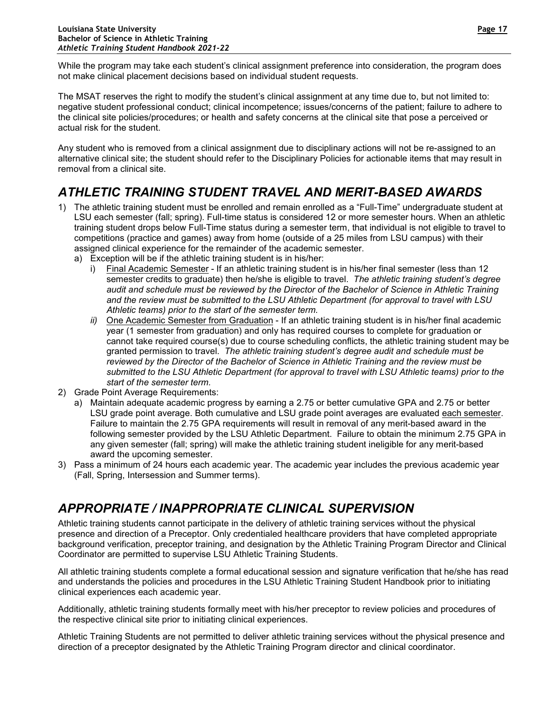The MSAT reserves the right to modify the student's clinical assignment at any time due to, but not limited to: negative student professional conduct; clinical incompetence; issues/concerns of the patient; failure to adhere to the clinical site policies/procedures; or health and safety concerns at the clinical site that pose a perceived or actual risk for the student.

Any student who is removed from a clinical assignment due to disciplinary actions will not be re-assigned to an alternative clinical site; the student should refer to the Disciplinary Policies for actionable items that may result in removal from a clinical site.

## <span id="page-17-0"></span>*ATHLETIC TRAINING STUDENT TRAVEL AND MERIT-BASED AWARDS*

- 1) The athletic training student must be enrolled and remain enrolled as a "Full-Time" undergraduate student at LSU each semester (fall; spring). Full-time status is considered 12 or more semester hours. When an athletic training student drops below Full-Time status during a semester term, that individual is not eligible to travel to competitions (practice and games) away from home (outside of a 25 miles from LSU campus) with their assigned clinical experience for the remainder of the academic semester.
	- a) Exception will be if the athletic training student is in his/her:
		- i) Final Academic Semester If an athletic training student is in his/her final semester (less than 12 semester credits to graduate) then he/she is eligible to travel. *The athletic training student's degree audit and schedule must be reviewed by the Director of the Bachelor of Science in Athletic Training and the review must be submitted to the LSU Athletic Department (for approval to travel with LSU Athletic teams) prior to the start of the semester term.*
		- *ii*) One Academic Semester from Graduation If an athletic training student is in his/her final academic year (1 semester from graduation) and only has required courses to complete for graduation or cannot take required course(s) due to course scheduling conflicts, the athletic training student may be granted permission to travel. *The athletic training student's degree audit and schedule must be reviewed by the Director of the Bachelor of Science in Athletic Training and the review must be submitted to the LSU Athletic Department (for approval to travel with LSU Athletic teams) prior to the start of the semester term.*
- 2) Grade Point Average Requirements:
	- a) Maintain adequate academic progress by earning a 2.75 or better cumulative GPA and 2.75 or better LSU grade point average. Both cumulative and LSU grade point averages are evaluated each semester. Failure to maintain the 2.75 GPA requirements will result in removal of any merit-based award in the following semester provided by the LSU Athletic Department. Failure to obtain the minimum 2.75 GPA in any given semester (fall; spring) will make the athletic training student ineligible for any merit-based award the upcoming semester.
- 3) Pass a minimum of 24 hours each academic year. The academic year includes the previous academic year (Fall, Spring, Intersession and Summer terms).

## <span id="page-17-1"></span>*APPROPRIATE / INAPPROPRIATE CLINICAL SUPERVISION*

Athletic training students cannot participate in the delivery of athletic training services without the physical presence and direction of a Preceptor. Only credentialed healthcare providers that have completed appropriate background verification, preceptor training, and designation by the Athletic Training Program Director and Clinical Coordinator are permitted to supervise LSU Athletic Training Students.

All athletic training students complete a formal educational session and signature verification that he/she has read and understands the policies and procedures in the LSU Athletic Training Student Handbook prior to initiating clinical experiences each academic year.

Additionally, athletic training students formally meet with his/her preceptor to review policies and procedures of the respective clinical site prior to initiating clinical experiences.

Athletic Training Students are not permitted to deliver athletic training services without the physical presence and direction of a preceptor designated by the Athletic Training Program director and clinical coordinator.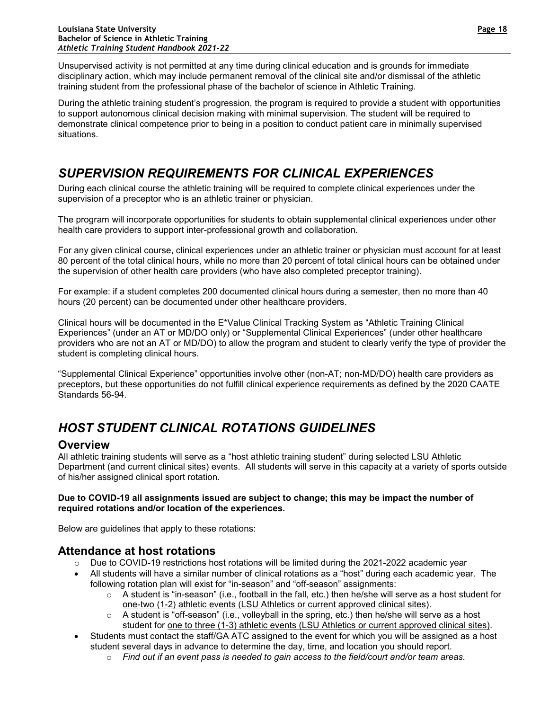Unsupervised activity is not permitted at any time during clinical education and is grounds for immediate disciplinary action, which may include permanent removal of the clinical site and/or dismissal of the athletic training student from the professional phase of the bachelor of science in Athletic Training.

During the athletic training student's progression, the program is required to provide a student with opportunities to support autonomous clinical decision making with minimal supervision. The student will be required to demonstrate clinical competence prior to being in a position to conduct patient care in minimally supervised situations.

## <span id="page-18-0"></span>*SUPERVISION REQUIREMENTS FOR CLINICAL EXPERIENCES*

During each clinical course the athletic training will be required to complete clinical experiences under the supervision of a preceptor who is an athletic trainer or physician.

The program will incorporate opportunities for students to obtain supplemental clinical experiences under other health care providers to support inter-professional growth and collaboration.

For any given clinical course, clinical experiences under an athletic trainer or physician must account for at least 80 percent of the total clinical hours, while no more than 20 percent of total clinical hours can be obtained under the supervision of other health care providers (who have also completed preceptor training).

For example: if a student completes 200 documented clinical hours during a semester, then no more than 40 hours (20 percent) can be documented under other healthcare providers.

Clinical hours will be documented in the E\*Value Clinical Tracking System as "Athletic Training Clinical Experiences" (under an AT or MD/DO only) or "Supplemental Clinical Experiences" (under other healthcare providers who are not an AT or MD/DO) to allow the program and student to clearly verify the type of provider the student is completing clinical hours.

"Supplemental Clinical Experience" opportunities involve other (non-AT; non-MD/DO) health care providers as preceptors, but these opportunities do not fulfill clinical experience requirements as defined by the 2020 CAATE Standards 56-94.

## <span id="page-18-1"></span>*HOST STUDENT CLINICAL ROTATIONS GUIDELINES*

### **Overview**

All athletic training students will serve as a "host athletic training student" during selected LSU Athletic Department (and current clinical sites) events. All students will serve in this capacity at a variety of sports outside of his/her assigned clinical sport rotation.

#### **Due to COVID-19 all assignments issued are subject to change; this may be impact the number of required rotations and/or location of the experiences.**

Below are guidelines that apply to these rotations:

### **Attendance at host rotations**

- o Due to COVID-19 restrictions host rotations will be limited during the 2021-2022 academic year
- All students will have a similar number of clinical rotations as a "host" during each academic year. The following rotation plan will exist for "in-season" and "off-season" assignments:
	- $\circ$  A student is "in-season" (i.e., football in the fall, etc.) then he/she will serve as a host student for one-two (1-2) athletic events (LSU Athletics or current approved clinical sites).
	- $\circ$  A student is "off-season" (i.e., volleyball in the spring, etc.) then he/she will serve as a host student for <u>one to three (1-3) athletic events (LSU Athletics or current approved clinical sites)</u>.
- Students must contact the staff/GA ATC assigned to the event for which you will be assigned as a host student several days in advance to determine the day, time, and location you should report.
	- o *Find out if an event pass is needed to gain access to the field/court and/or team areas.*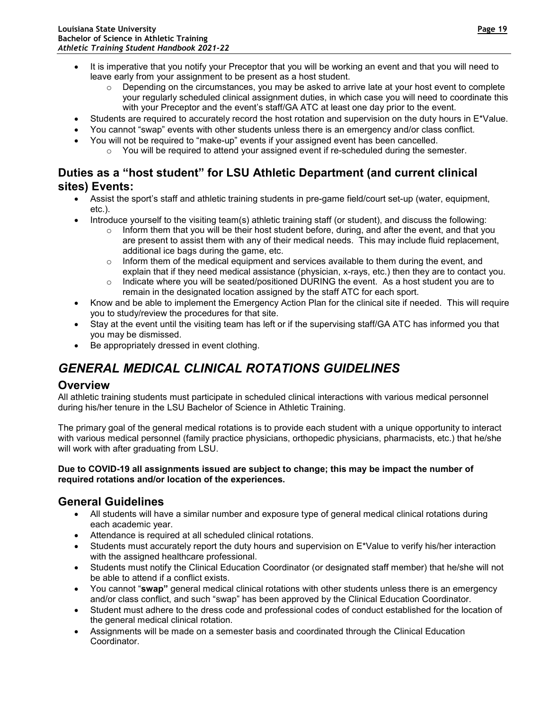- It is imperative that you notify your Preceptor that you will be working an event and that you will need to leave early from your assignment to be present as a host student.
	- $\circ$  Depending on the circumstances, you may be asked to arrive late at your host event to complete your regularly scheduled clinical assignment duties, in which case you will need to coordinate this with your Preceptor and the event's staff/GA ATC at least one day prior to the event.
- Students are required to accurately record the host rotation and supervision on the duty hours in E\*Value.
- You cannot "swap" events with other students unless there is an emergency and/or class conflict.
- You will not be required to "make-up" events if your assigned event has been cancelled.
	- $\circ$  You will be required to attend your assigned event if re-scheduled during the semester.

### **Duties as a "host student" for LSU Athletic Department (and current clinical sites) Events:**

- Assist the sport's staff and athletic training students in pre-game field/court set-up (water, equipment, etc.).
- Introduce yourself to the visiting team(s) athletic training staff (or student), and discuss the following:
	- $\circ$  Inform them that you will be their host student before, during, and after the event, and that you are present to assist them with any of their medical needs. This may include fluid replacement, additional ice bags during the game, etc.
	- $\circ$  Inform them of the medical equipment and services available to them during the event, and explain that if they need medical assistance (physician, x-rays, etc.) then they are to contact you.
	- $\circ$  Indicate where you will be seated/positioned DURING the event. As a host student you are to remain in the designated location assigned by the staff ATC for each sport.
- Know and be able to implement the Emergency Action Plan for the clinical site if needed. This will require you to study/review the procedures for that site.
- Stay at the event until the visiting team has left or if the supervising staff/GA ATC has informed you that you may be dismissed.
- Be appropriately dressed in event clothing.

## <span id="page-19-0"></span>*GENERAL MEDICAL CLINICAL ROTATIONS GUIDELINES*

### **Overview**

All athletic training students must participate in scheduled clinical interactions with various medical personnel during his/her tenure in the LSU Bachelor of Science in Athletic Training.

The primary goal of the general medical rotations is to provide each student with a unique opportunity to interact with various medical personnel (family practice physicians, orthopedic physicians, pharmacists, etc.) that he/she will work with after graduating from LSU.

#### **Due to COVID-19 all assignments issued are subject to change; this may be impact the number of required rotations and/or location of the experiences.**

### **General Guidelines**

- All students will have a similar number and exposure type of general medical clinical rotations during each academic year.
- Attendance is required at all scheduled clinical rotations.
- Students must accurately report the duty hours and supervision on E\*Value to verify his/her interaction with the assigned healthcare professional.
- Students must notify the Clinical Education Coordinator (or designated staff member) that he/she will not be able to attend if a conflict exists.
- You cannot "**swap"** general medical clinical rotations with other students unless there is an emergency and/or class conflict, and such "swap" has been approved by the Clinical Education Coordinator.
- Student must adhere to the dress code and professional codes of conduct established for the location of the general medical clinical rotation.
- Assignments will be made on a semester basis and coordinated through the Clinical Education Coordinator.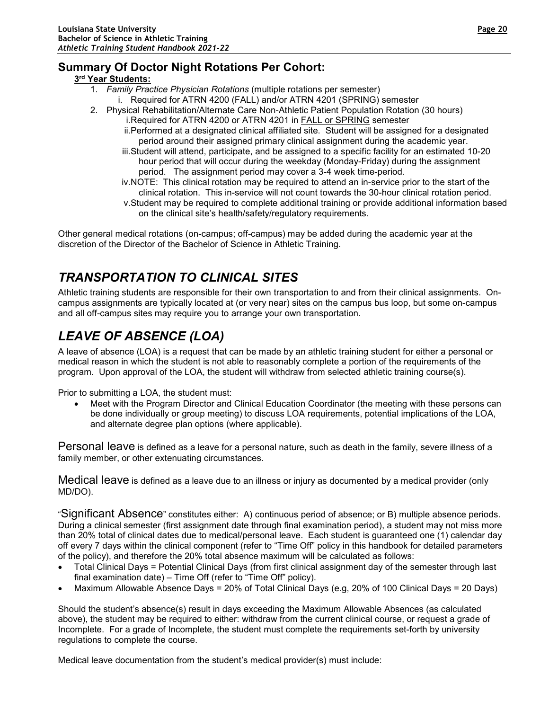### **Summary Of Doctor Night Rotations Per Cohort:**

### **3rd Year Students:**

- 1. *Family Practice Physician Rotations* (multiple rotations per semester) i. Required for ATRN 4200 (FALL) and/or ATRN 4201 (SPRING) semester
- 2. Physical Rehabilitation/Alternate Care Non-Athletic Patient Population Rotation (30 hours) i.Required for ATRN 4200 or ATRN 4201 in FALL or SPRING semester
	- ii.Performed at a designated clinical affiliated site. Student will be assigned for a designated period around their assigned primary clinical assignment during the academic year.
	- iii.Student will attend, participate, and be assigned to a specific facility for an estimated 10-20 hour period that will occur during the weekday (Monday-Friday) during the assignment period. The assignment period may cover a 3-4 week time-period.
	- iv.NOTE: This clinical rotation may be required to attend an in-service prior to the start of the clinical rotation. This in-service will not count towards the 30-hour clinical rotation period.
	- v.Student may be required to complete additional training or provide additional information based on the clinical site's health/safety/regulatory requirements.

Other general medical rotations (on-campus; off-campus) may be added during the academic year at the discretion of the Director of the Bachelor of Science in Athletic Training.

## <span id="page-20-0"></span>*TRANSPORTATION TO CLINICAL SITES*

Athletic training students are responsible for their own transportation to and from their clinical assignments. Oncampus assignments are typically located at (or very near) sites on the campus bus loop, but some on-campus and all off-campus sites may require you to arrange your own transportation.

## <span id="page-20-1"></span>*LEAVE OF ABSENCE (LOA)*

A leave of absence (LOA) is a request that can be made by an athletic training student for either a personal or medical reason in which the student is not able to reasonably complete a portion of the requirements of the program. Upon approval of the LOA, the student will withdraw from selected athletic training course(s).

Prior to submitting a LOA, the student must:

• Meet with the Program Director and Clinical Education Coordinator (the meeting with these persons can be done individually or group meeting) to discuss LOA requirements, potential implications of the LOA, and alternate degree plan options (where applicable).

Personal leave is defined as a leave for a personal nature, such as death in the family, severe illness of a family member, or other extenuating circumstances.

Medical leave is defined as a leave due to an illness or injury as documented by a medical provider (only MD/DO).

"Significant Absence" constitutes either: A) continuous period of absence; or B) multiple absence periods. During a clinical semester (first assignment date through final examination period), a student may not miss more than 20% total of clinical dates due to medical/personal leave. Each student is guaranteed one (1) calendar day off every 7 days within the clinical component (refer to "Time Off" policy in this handbook for detailed parameters of the policy), and therefore the 20% total absence maximum will be calculated as follows:

- Total Clinical Days = Potential Clinical Days (from first clinical assignment day of the semester through last final examination date) – Time Off (refer to "Time Off" policy).
- Maximum Allowable Absence Days = 20% of Total Clinical Days (e.g, 20% of 100 Clinical Days = 20 Days)

Should the student's absence(s) result in days exceeding the Maximum Allowable Absences (as calculated above), the student may be required to either: withdraw from the current clinical course, or request a grade of Incomplete. For a grade of Incomplete, the student must complete the requirements set-forth by university regulations to complete the course.

Medical leave documentation from the student's medical provider(s) must include: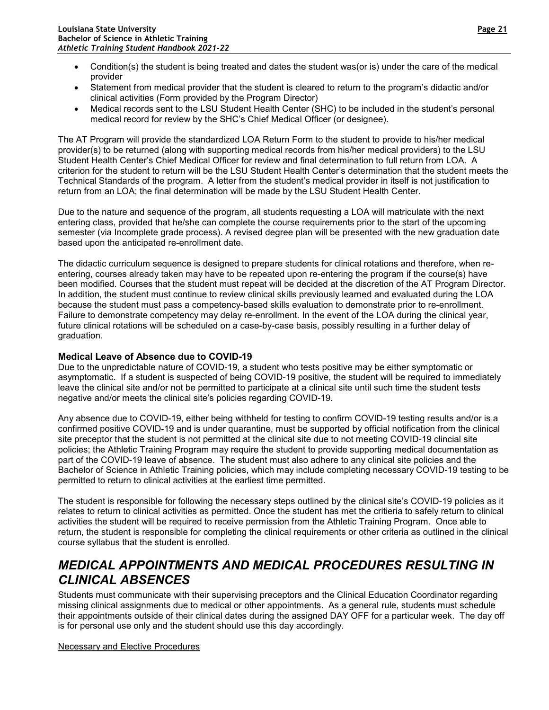- Condition(s) the student is being treated and dates the student was(or is) under the care of the medical provider
- Statement from medical provider that the student is cleared to return to the program's didactic and/or clinical activities (Form provided by the Program Director)
- Medical records sent to the LSU Student Health Center (SHC) to be included in the student's personal medical record for review by the SHC's Chief Medical Officer (or designee).

The AT Program will provide the standardized LOA Return Form to the student to provide to his/her medical provider(s) to be returned (along with supporting medical records from his/her medical providers) to the LSU Student Health Center's Chief Medical Officer for review and final determination to full return from LOA. A criterion for the student to return will be the LSU Student Health Center's determination that the student meets the Technical Standards of the program. A letter from the student's medical provider in itself is not justification to return from an LOA; the final determination will be made by the LSU Student Health Center.

Due to the nature and sequence of the program, all students requesting a LOA will matriculate with the next entering class, provided that he/she can complete the course requirements prior to the start of the upcoming semester (via Incomplete grade process). A revised degree plan will be presented with the new graduation date based upon the anticipated re-enrollment date.

The didactic curriculum sequence is designed to prepare students for clinical rotations and therefore, when reentering, courses already taken may have to be repeated upon re-entering the program if the course(s) have been modified. Courses that the student must repeat will be decided at the discretion of the AT Program Director. In addition, the student must continue to review clinical skills previously learned and evaluated during the LOA because the student must pass a competency-based skills evaluation to demonstrate prior to re-enrollment. Failure to demonstrate competency may delay re-enrollment. In the event of the LOA during the clinical year, future clinical rotations will be scheduled on a case-by-case basis, possibly resulting in a further delay of graduation.

#### **Medical Leave of Absence due to COVID-19**

Due to the unpredictable nature of COVID-19, a student who tests positive may be either symptomatic or asymptomatic. If a student is suspected of being COVID-19 positive, the student will be required to immediately leave the clinical site and/or not be permitted to participate at a clinical site until such time the student tests negative and/or meets the clinical site's policies regarding COVID-19.

Any absence due to COVID-19, either being withheld for testing to confirm COVID-19 testing results and/or is a confirmed positive COVID-19 and is under quarantine, must be supported by official notification from the clinical site preceptor that the student is not permitted at the clinical site due to not meeting COVID-19 clincial site policies; the Athletic Training Program may require the student to provide supporting medical documentation as part of the COVID-19 leave of absence. The student must also adhere to any clinical site policies and the Bachelor of Science in Athletic Training policies, which may include completing necessary COVID-19 testing to be permitted to return to clinical activities at the earliest time permitted.

The student is responsible for following the necessary steps outlined by the clinical site's COVID-19 policies as it relates to return to clinical activities as permitted. Once the student has met the critieria to safely return to clinical activities the student will be required to receive permission from the Athletic Training Program. Once able to return, the student is responsible for completing the clinical requirements or other criteria as outlined in the clinical course syllabus that the student is enrolled.

### <span id="page-21-0"></span>*MEDICAL APPOINTMENTS AND MEDICAL PROCEDURES RESULTING IN CLINICAL ABSENCES*

Students must communicate with their supervising preceptors and the Clinical Education Coordinator regarding missing clinical assignments due to medical or other appointments. As a general rule, students must schedule their appointments outside of their clinical dates during the assigned DAY OFF for a particular week. The day off is for personal use only and the student should use this day accordingly.

#### Necessary and Elective Procedures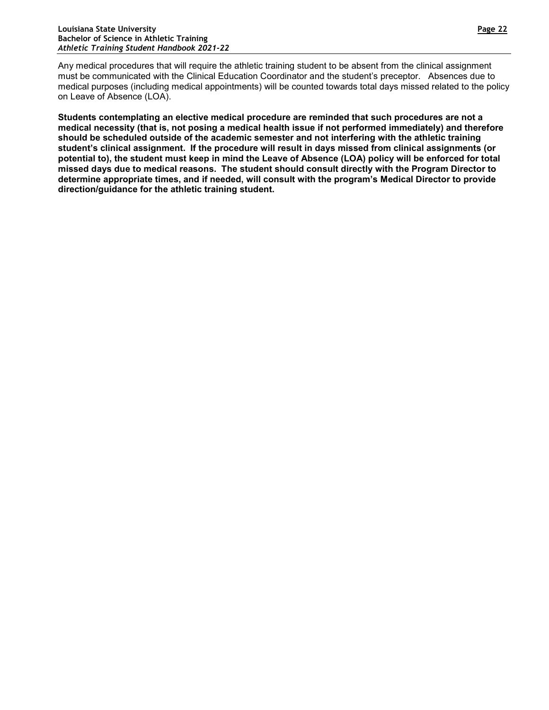Any medical procedures that will require the athletic training student to be absent from the clinical assignment must be communicated with the Clinical Education Coordinator and the student's preceptor. Absences due to medical purposes (including medical appointments) will be counted towards total days missed related to the policy on Leave of Absence (LOA).

**Students contemplating an elective medical procedure are reminded that such procedures are not a medical necessity (that is, not posing a medical health issue if not performed immediately) and therefore should be scheduled outside of the academic semester and not interfering with the athletic training student's clinical assignment. If the procedure will result in days missed from clinical assignments (or potential to), the student must keep in mind the Leave of Absence (LOA) policy will be enforced for total missed days due to medical reasons. The student should consult directly with the Program Director to determine appropriate times, and if needed, will consult with the program's Medical Director to provide direction/guidance for the athletic training student.**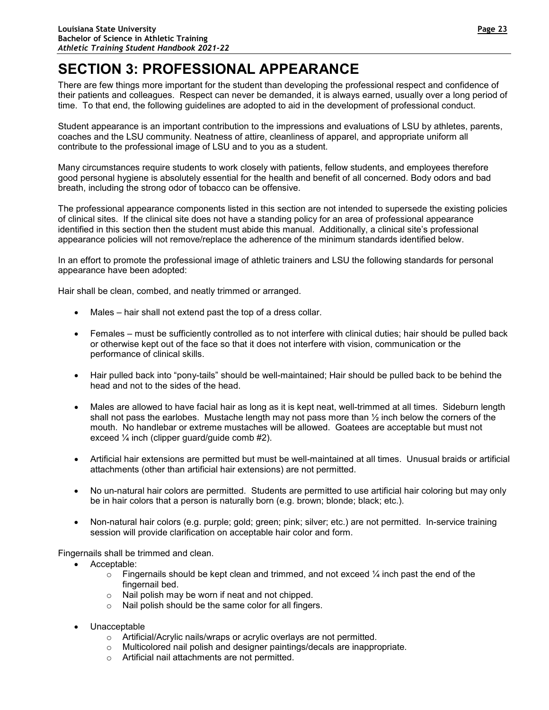# <span id="page-23-0"></span>**SECTION 3: PROFESSIONAL APPEARANCE**

There are few things more important for the student than developing the professional respect and confidence of their patients and colleagues. Respect can never be demanded, it is always earned, usually over a long period of time. To that end, the following guidelines are adopted to aid in the development of professional conduct.

Student appearance is an important contribution to the impressions and evaluations of LSU by athletes, parents, coaches and the LSU community. Neatness of attire, cleanliness of apparel, and appropriate uniform all contribute to the professional image of LSU and to you as a student.

Many circumstances require students to work closely with patients, fellow students, and employees therefore good personal hygiene is absolutely essential for the health and benefit of all concerned. Body odors and bad breath, including the strong odor of tobacco can be offensive.

The professional appearance components listed in this section are not intended to supersede the existing policies of clinical sites. If the clinical site does not have a standing policy for an area of professional appearance identified in this section then the student must abide this manual. Additionally, a clinical site's professional appearance policies will not remove/replace the adherence of the minimum standards identified below.

In an effort to promote the professional image of athletic trainers and LSU the following standards for personal appearance have been adopted:

Hair shall be clean, combed, and neatly trimmed or arranged.

- Males hair shall not extend past the top of a dress collar.
- Females must be sufficiently controlled as to not interfere with clinical duties; hair should be pulled back or otherwise kept out of the face so that it does not interfere with vision, communication or the performance of clinical skills.
- Hair pulled back into "pony-tails" should be well-maintained; Hair should be pulled back to be behind the head and not to the sides of the head.
- Males are allowed to have facial hair as long as it is kept neat, well-trimmed at all times. Sideburn length shall not pass the earlobes. Mustache length may not pass more than  $\frac{1}{2}$  inch below the corners of the mouth. No handlebar or extreme mustaches will be allowed. Goatees are acceptable but must not exceed ¼ inch (clipper guard/guide comb #2).
- Artificial hair extensions are permitted but must be well-maintained at all times. Unusual braids or artificial attachments (other than artificial hair extensions) are not permitted.
- No un-natural hair colors are permitted. Students are permitted to use artificial hair coloring but may only be in hair colors that a person is naturally born (e.g. brown; blonde; black; etc.).
- Non-natural hair colors (e.g. purple; gold; green; pink; silver; etc.) are not permitted. In-service training session will provide clarification on acceptable hair color and form.

Fingernails shall be trimmed and clean.

- Acceptable:
	- $\circ$  Fingernails should be kept clean and trimmed, and not exceed  $\frac{1}{4}$  inch past the end of the fingernail bed.
	- o Nail polish may be worn if neat and not chipped.
	- o Nail polish should be the same color for all fingers.
- Unacceptable
	- o Artificial/Acrylic nails/wraps or acrylic overlays are not permitted.
	- o Multicolored nail polish and designer paintings/decals are inappropriate.
	- o Artificial nail attachments are not permitted.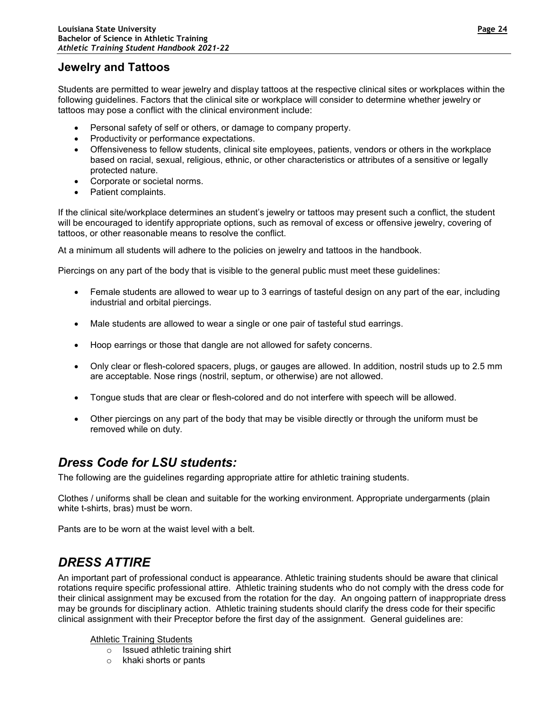### **Jewelry and Tattoos**

Students are permitted to wear jewelry and display tattoos at the respective clinical sites or workplaces within the following guidelines. Factors that the clinical site or workplace will consider to determine whether jewelry or tattoos may pose a conflict with the clinical environment include:

- Personal safety of self or others, or damage to company property.
- Productivity or performance expectations.
- Offensiveness to fellow students, clinical site employees, patients, vendors or others in the workplace based on racial, sexual, religious, ethnic, or other characteristics or attributes of a sensitive or legally protected nature.
- Corporate or societal norms.
- Patient complaints.

If the clinical site/workplace determines an student's jewelry or tattoos may present such a conflict, the student will be encouraged to identify appropriate options, such as removal of excess or offensive jewelry, covering of tattoos, or other reasonable means to resolve the conflict.

At a minimum all students will adhere to the policies on jewelry and tattoos in the handbook.

Piercings on any part of the body that is visible to the general public must meet these guidelines:

- Female students are allowed to wear up to 3 earrings of tasteful design on any part of the ear, including industrial and orbital piercings.
- Male students are allowed to wear a single or one pair of tasteful stud earrings.
- Hoop earrings or those that dangle are not allowed for safety concerns.
- Only clear or flesh-colored spacers, plugs, or gauges are allowed. In addition, nostril studs up to 2.5 mm are acceptable. Nose rings (nostril, septum, or otherwise) are not allowed.
- Tongue studs that are clear or flesh-colored and do not interfere with speech will be allowed.
- Other piercings on any part of the body that may be visible directly or through the uniform must be removed while on duty.

### <span id="page-24-0"></span>*Dress Code for LSU students:*

The following are the guidelines regarding appropriate attire for athletic training students.

Clothes / uniforms shall be clean and suitable for the working environment. Appropriate undergarments (plain white t-shirts, bras) must be worn.

Pants are to be worn at the waist level with a belt.

### <span id="page-24-1"></span>*DRESS ATTIRE*

An important part of professional conduct is appearance. Athletic training students should be aware that clinical rotations require specific professional attire. Athletic training students who do not comply with the dress code for their clinical assignment may be excused from the rotation for the day. An ongoing pattern of inappropriate dress may be grounds for disciplinary action. Athletic training students should clarify the dress code for their specific clinical assignment with their Preceptor before the first day of the assignment. General guidelines are:

Athletic Training Students

- o Issued athletic training shirt
- o khaki shorts or pants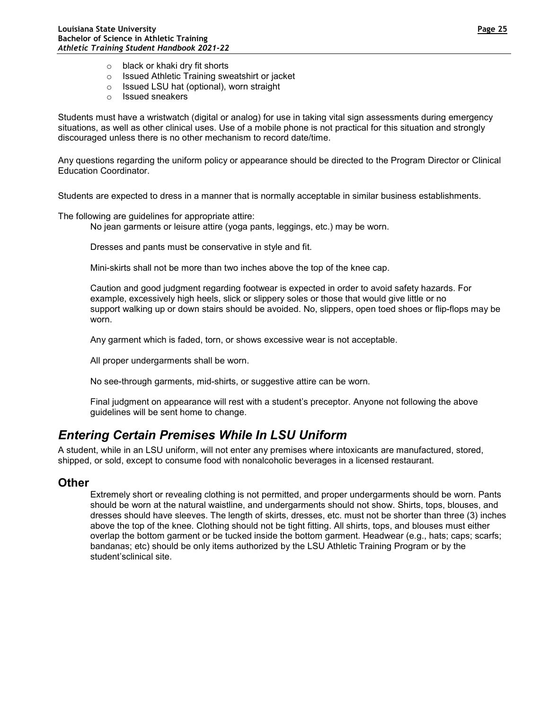- o Issued Athletic Training sweatshirt or jacket
- o Issued LSU hat (optional), worn straight
- o Issued sneakers

Students must have a wristwatch (digital or analog) for use in taking vital sign assessments during emergency situations, as well as other clinical uses. Use of a mobile phone is not practical for this situation and strongly discouraged unless there is no other mechanism to record date/time.

Any questions regarding the uniform policy or appearance should be directed to the Program Director or Clinical Education Coordinator.

Students are expected to dress in a manner that is normally acceptable in similar business establishments.

The following are guidelines for appropriate attire:

No jean garments or leisure attire (yoga pants, leggings, etc.) may be worn.

Dresses and pants must be conservative in style and fit.

Mini-skirts shall not be more than two inches above the top of the knee cap.

Caution and good judgment regarding footwear is expected in order to avoid safety hazards. For example, excessively high heels, slick or slippery soles or those that would give little or no support walking up or down stairs should be avoided. No, slippers, open toed shoes or flip-flops may be worn.

Any garment which is faded, torn, or shows excessive wear is not acceptable.

All proper undergarments shall be worn.

No see-through garments, mid-shirts, or suggestive attire can be worn.

Final judgment on appearance will rest with a student's preceptor. Anyone not following the above guidelines will be sent home to change.

### <span id="page-25-0"></span>*Entering Certain Premises While In LSU Uniform*

A student, while in an LSU uniform, will not enter any premises where intoxicants are manufactured, stored, shipped, or sold, except to consume food with nonalcoholic beverages in a licensed restaurant.

### **Other**

Extremely short or revealing clothing is not permitted, and proper undergarments should be worn. Pants should be worn at the natural waistline, and undergarments should not show. Shirts, tops, blouses, and dresses should have sleeves. The length of skirts, dresses, etc. must not be shorter than three (3) inches above the top of the knee. Clothing should not be tight fitting. All shirts, tops, and blouses must either overlap the bottom garment or be tucked inside the bottom garment. Headwear (e.g., hats; caps; scarfs; bandanas; etc) should be only items authorized by the LSU Athletic Training Program or by the student'sclinical site.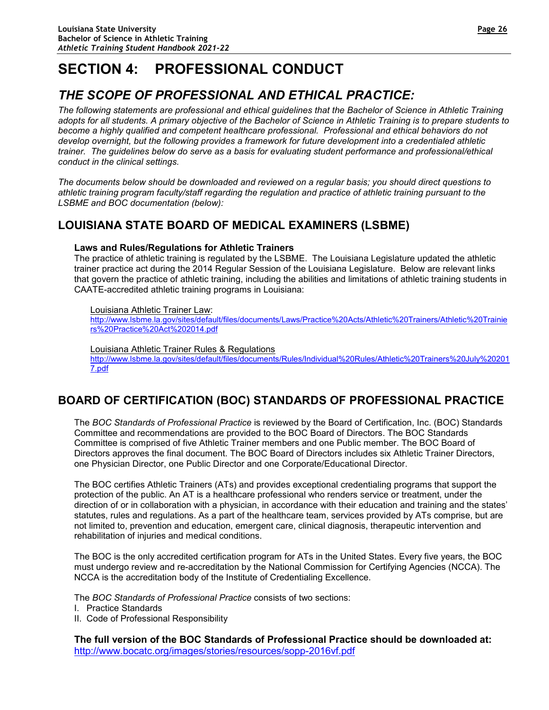## <span id="page-26-0"></span>**SECTION 4: PROFESSIONAL CONDUCT**

## <span id="page-26-1"></span>*THE SCOPE OF PROFESSIONAL AND ETHICAL PRACTICE:*

*The following statements are professional and ethical guidelines that the Bachelor of Science in Athletic Training adopts for all students. A primary objective of the Bachelor of Science in Athletic Training is to prepare students to become a highly qualified and competent healthcare professional. Professional and ethical behaviors do not develop overnight, but the following provides a framework for future development into a credentialed athletic trainer. The guidelines below do serve as a basis for evaluating student performance and professional/ethical conduct in the clinical settings.*

*The documents below should be downloaded and reviewed on a regular basis; you should direct questions to athletic training program faculty/staff regarding the regulation and practice of athletic training pursuant to the LSBME and BOC documentation (below):*

### **LOUISIANA STATE BOARD OF MEDICAL EXAMINERS (LSBME)**

### **Laws and Rules/Regulations for Athletic Trainers**

The practice of athletic training is regulated by the LSBME. The Louisiana Legislature updated the athletic trainer practice act during the 2014 Regular Session of the Louisiana Legislature. Below are relevant links that govern the practice of athletic training, including the abilities and limitations of athletic training students in CAATE-accredited athletic training programs in Louisiana:

#### Louisiana Athletic Trainer Law:

[http://www.lsbme.la.gov/sites/default/files/documents/Laws/Practice%20Acts/Athletic%20Trainers/Athletic%20Trainie](http://www.lsbme.la.gov/sites/default/files/documents/Laws/Practice%20Acts/Athletic%20Trainers/Athletic%20Trainiers%20Practice%20Act%202014.pdf) [rs%20Practice%20Act%202014.pdf](http://www.lsbme.la.gov/sites/default/files/documents/Laws/Practice%20Acts/Athletic%20Trainers/Athletic%20Trainiers%20Practice%20Act%202014.pdf)

#### Louisiana Athletic Trainer Rules & Regulations

http://www.lsbme.la.gov/sites/default/files/documents/Rules/Individual%20Rules/Athletic%20Trainers%20July%20201 7.pdf

### **BOARD OF CERTIFICATION (BOC) STANDARDS OF PROFESSIONAL PRACTICE**

The *BOC Standards of Professional Practice* is reviewed by the Board of Certification, Inc. (BOC) Standards Committee and recommendations are provided to the BOC Board of Directors. The BOC Standards Committee is comprised of five Athletic Trainer members and one Public member. The BOC Board of Directors approves the final document. The BOC Board of Directors includes six Athletic Trainer Directors, one Physician Director, one Public Director and one Corporate/Educational Director.

The BOC certifies Athletic Trainers (ATs) and provides exceptional credentialing programs that support the protection of the public. An AT is a healthcare professional who renders service or treatment, under the direction of or in collaboration with a physician, in accordance with their education and training and the states' statutes, rules and regulations. As a part of the healthcare team, services provided by ATs comprise, but are not limited to, prevention and education, emergent care, clinical diagnosis, therapeutic intervention and rehabilitation of injuries and medical conditions.

The BOC is the only accredited certification program for ATs in the United States. Every five years, the BOC must undergo review and re-accreditation by the National Commission for Certifying Agencies (NCCA). The NCCA is the accreditation body of the Institute of Credentialing Excellence.

The *BOC Standards of Professional Practice* consists of two sections:

- I. Practice Standards
- II. Code of Professional Responsibility

**The full version of the BOC Standards of Professional Practice should be downloaded at:** <http://www.bocatc.org/images/stories/resources/sopp-2016vf.pdf>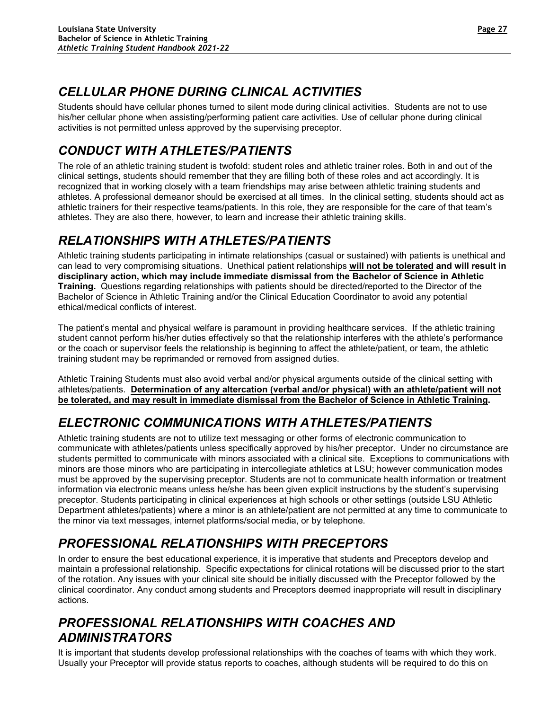## <span id="page-27-0"></span>*CELLULAR PHONE DURING CLINICAL ACTIVITIES*

Students should have cellular phones turned to silent mode during clinical activities. Students are not to use his/her cellular phone when assisting/performing patient care activities. Use of cellular phone during clinical activities is not permitted unless approved by the supervising preceptor.

## <span id="page-27-1"></span>*CONDUCT WITH ATHLETES/PATIENTS*

The role of an athletic training student is twofold: student roles and athletic trainer roles. Both in and out of the clinical settings, students should remember that they are filling both of these roles and act accordingly. It is recognized that in working closely with a team friendships may arise between athletic training students and athletes. A professional demeanor should be exercised at all times. In the clinical setting, students should act as athletic trainers for their respective teams/patients. In this role, they are responsible for the care of that team's athletes. They are also there, however, to learn and increase their athletic training skills.

## <span id="page-27-2"></span>*RELATIONSHIPS WITH ATHLETES/PATIENTS*

Athletic training students participating in intimate relationships (casual or sustained) with patients is unethical and can lead to very compromising situations. Unethical patient relationships **will not be tolerated and will result in disciplinary action, which may include immediate dismissal from the Bachelor of Science in Athletic Training.** Questions regarding relationships with patients should be directed/reported to the Director of the Bachelor of Science in Athletic Training and/or the Clinical Education Coordinator to avoid any potential ethical/medical conflicts of interest.

The patient's mental and physical welfare is paramount in providing healthcare services. If the athletic training student cannot perform his/her duties effectively so that the relationship interferes with the athlete's performance or the coach or supervisor feels the relationship is beginning to affect the athlete/patient, or team, the athletic training student may be reprimanded or removed from assigned duties.

Athletic Training Students must also avoid verbal and/or physical arguments outside of the clinical setting with athletes/patients. **Determination of any altercation (verbal and/or physical) with an athlete/patient will not be tolerated, and may result in immediate dismissal from the Bachelor of Science in Athletic Training.**

## <span id="page-27-3"></span>*ELECTRONIC COMMUNICATIONS WITH ATHLETES/PATIENTS*

Athletic training students are not to utilize text messaging or other forms of electronic communication to communicate with athletes/patients unless specifically approved by his/her preceptor. Under no circumstance are students permitted to communicate with minors associated with a clinical site. Exceptions to communications with minors are those minors who are participating in intercollegiate athletics at LSU; however communication modes must be approved by the supervising preceptor. Students are not to communicate health information or treatment information via electronic means unless he/she has been given explicit instructions by the student's supervising preceptor. Students participating in clinical experiences at high schools or other settings (outside LSU Athletic Department athletes/patients) where a minor is an athlete/patient are not permitted at any time to communicate to the minor via text messages, internet platforms/social media, or by telephone.

## <span id="page-27-4"></span>*PROFESSIONAL RELATIONSHIPS WITH PRECEPTORS*

In order to ensure the best educational experience, it is imperative that students and Preceptors develop and maintain a professional relationship. Specific expectations for clinical rotations will be discussed prior to the start of the rotation. Any issues with your clinical site should be initially discussed with the Preceptor followed by the clinical coordinator. Any conduct among students and Preceptors deemed inappropriate will result in disciplinary actions.

## <span id="page-27-5"></span>*PROFESSIONAL RELATIONSHIPS WITH COACHES AND ADMINISTRATORS*

It is important that students develop professional relationships with the coaches of teams with which they work. Usually your Preceptor will provide status reports to coaches, although students will be required to do this on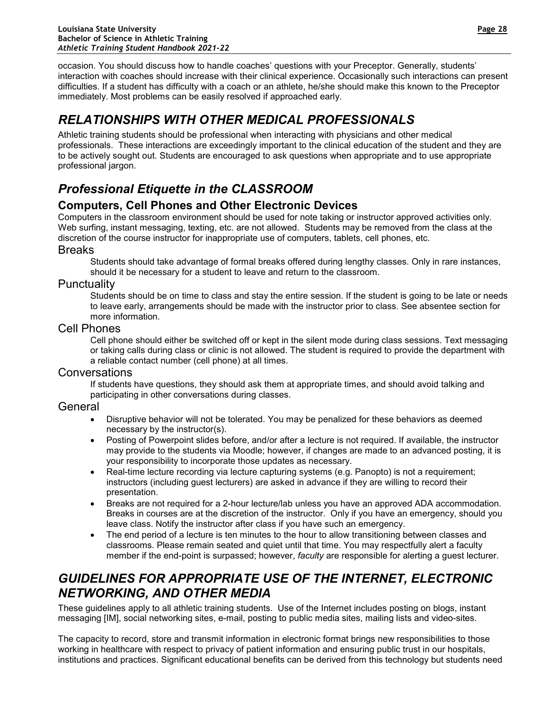occasion. You should discuss how to handle coaches' questions with your Preceptor. Generally, students' interaction with coaches should increase with their clinical experience. Occasionally such interactions can present difficulties. If a student has difficulty with a coach or an athlete, he/she should make this known to the Preceptor immediately. Most problems can be easily resolved if approached early.

## <span id="page-28-0"></span>*RELATIONSHIPS WITH OTHER MEDICAL PROFESSIONALS*

Athletic training students should be professional when interacting with physicians and other medical professionals. These interactions are exceedingly important to the clinical education of the student and they are to be actively sought out. Students are encouraged to ask questions when appropriate and to use appropriate professional jargon.

## <span id="page-28-1"></span>*Professional Etiquette in the CLASSROOM*

### **Computers, Cell Phones and Other Electronic Devices**

Computers in the classroom environment should be used for note taking or instructor approved activities only. Web surfing, instant messaging, texting, etc. are not allowed. Students may be removed from the class at the discretion of the course instructor for inappropriate use of computers, tablets, cell phones, etc.

### Breaks

Students should take advantage of formal breaks offered during lengthy classes. Only in rare instances, should it be necessary for a student to leave and return to the classroom.

### Punctuality

Students should be on time to class and stay the entire session. If the student is going to be late or needs to leave early, arrangements should be made with the instructor prior to class. See absentee section for more information.

### Cell Phones

Cell phone should either be switched off or kept in the silent mode during class sessions. Text messaging or taking calls during class or clinic is not allowed. The student is required to provide the department with a reliable contact number (cell phone) at all times.

### Conversations

If students have questions, they should ask them at appropriate times, and should avoid talking and participating in other conversations during classes.

### General

- Disruptive behavior will not be tolerated. You may be penalized for these behaviors as deemed necessary by the instructor(s).
- Posting of Powerpoint slides before, and/or after a lecture is not required. If available, the instructor may provide to the students via Moodle; however, if changes are made to an advanced posting, it is your responsibility to incorporate those updates as necessary.
- Real-time lecture recording via lecture capturing systems (e.g. Panopto) is not a requirement; instructors (including guest lecturers) are asked in advance if they are willing to record their presentation.
- Breaks are not required for a 2-hour lecture/lab unless you have an approved ADA accommodation. Breaks in courses are at the discretion of the instructor. Only if you have an emergency, should you leave class. Notify the instructor after class if you have such an emergency.
- The end period of a lecture is ten minutes to the hour to allow transitioning between classes and classrooms. Please remain seated and quiet until that time. You may respectfully alert a faculty member if the end-point is surpassed; however, *faculty* are responsible for alerting a guest lecturer.

### <span id="page-28-2"></span>*GUIDELINES FOR APPROPRIATE USE OF THE INTERNET, ELECTRONIC NETWORKING, AND OTHER MEDIA*

These guidelines apply to all athletic training students. Use of the Internet includes posting on blogs, instant messaging [IM], social networking sites, e-mail, posting to public media sites, mailing lists and video-sites.

The capacity to record, store and transmit information in electronic format brings new responsibilities to those working in healthcare with respect to privacy of patient information and ensuring public trust in our hospitals, institutions and practices. Significant educational benefits can be derived from this technology but students need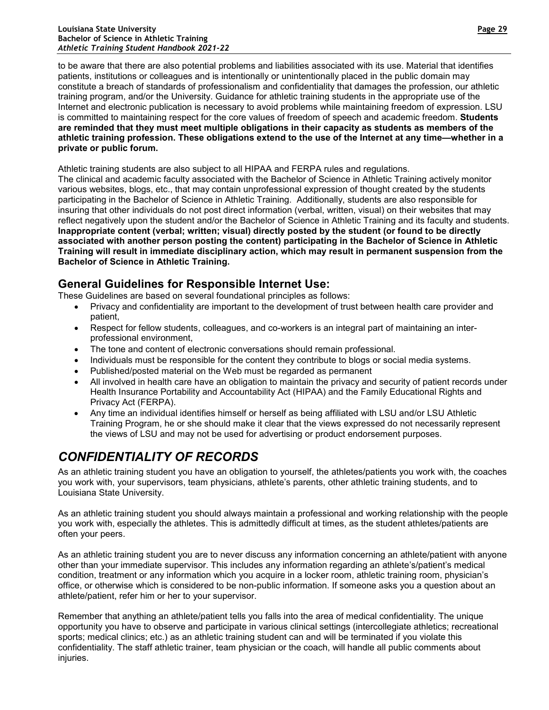to be aware that there are also potential problems and liabilities associated with its use. Material that identifies patients, institutions or colleagues and is intentionally or unintentionally placed in the public domain may constitute a breach of standards of professionalism and confidentiality that damages the profession, our athletic training program, and/or the University. Guidance for athletic training students in the appropriate use of the Internet and electronic publication is necessary to avoid problems while maintaining freedom of expression. LSU is committed to maintaining respect for the core values of freedom of speech and academic freedom. **Students are reminded that they must meet multiple obligations in their capacity as students as members of the athletic training profession. These obligations extend to the use of the Internet at any time—whether in a private or public forum.** 

Athletic training students are also subject to all HIPAA and FERPA rules and regulations.

The clinical and academic faculty associated with the Bachelor of Science in Athletic Training actively monitor various websites, blogs, etc., that may contain unprofessional expression of thought created by the students participating in the Bachelor of Science in Athletic Training. Additionally, students are also responsible for insuring that other individuals do not post direct information (verbal, written, visual) on their websites that may reflect negatively upon the student and/or the Bachelor of Science in Athletic Training and its faculty and students. **Inappropriate content (verbal; written; visual) directly posted by the student (or found to be directly associated with another person posting the content) participating in the Bachelor of Science in Athletic Training will result in immediate disciplinary action, which may result in permanent suspension from the Bachelor of Science in Athletic Training.**

### **General Guidelines for Responsible Internet Use:**

These Guidelines are based on several foundational principles as follows:

- Privacy and confidentiality are important to the development of trust between health care provider and patient,
- Respect for fellow students, colleagues, and co-workers is an integral part of maintaining an interprofessional environment,
- The tone and content of electronic conversations should remain professional.
- Individuals must be responsible for the content they contribute to blogs or social media systems.
- Published/posted material on the Web must be regarded as permanent
- All involved in health care have an obligation to maintain the privacy and security of patient records under Health Insurance Portability and Accountability Act (HIPAA) and the Family Educational Rights and Privacy Act (FERPA).
- Any time an individual identifies himself or herself as being affiliated with LSU and/or LSU Athletic Training Program, he or she should make it clear that the views expressed do not necessarily represent the views of LSU and may not be used for advertising or product endorsement purposes.

## <span id="page-29-0"></span>*CONFIDENTIALITY OF RECORDS*

As an athletic training student you have an obligation to yourself, the athletes/patients you work with, the coaches you work with, your supervisors, team physicians, athlete's parents, other athletic training students, and to Louisiana State University.

As an athletic training student you should always maintain a professional and working relationship with the people you work with, especially the athletes. This is admittedly difficult at times, as the student athletes/patients are often your peers.

As an athletic training student you are to never discuss any information concerning an athlete/patient with anyone other than your immediate supervisor. This includes any information regarding an athlete's/patient's medical condition, treatment or any information which you acquire in a locker room, athletic training room, physician's office, or otherwise which is considered to be non-public information. If someone asks you a question about an athlete/patient, refer him or her to your supervisor.

Remember that anything an athlete/patient tells you falls into the area of medical confidentiality. The unique opportunity you have to observe and participate in various clinical settings (intercollegiate athletics; recreational sports; medical clinics; etc.) as an athletic training student can and will be terminated if you violate this confidentiality. The staff athletic trainer, team physician or the coach, will handle all public comments about iniuries.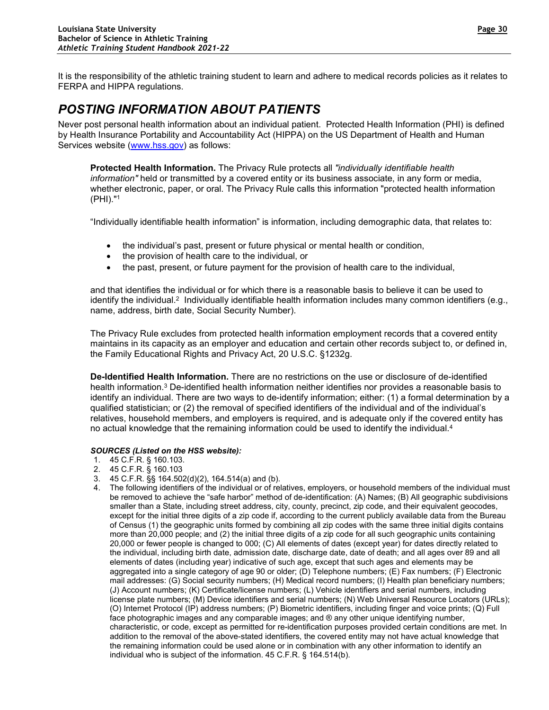It is the responsibility of the athletic training student to learn and adhere to medical records policies as it relates to FERPA and HIPPA regulations.

## <span id="page-30-0"></span>*POSTING INFORMATION ABOUT PATIENTS*

Never post personal health information about an individual patient. Protected Health Information (PHI) is defined by Health Insurance Portability and Accountability Act (HIPPA) on the US Department of Health and Human Services website [\(www.hss.gov\)](http://www.hss.gov/) as follows:

**Protected Health Information.** The Privacy Rule protects all *"individually identifiable health information"* held or transmitted by a covered entity or its business associate, in any form or media, whether electronic, paper, or oral. The Privacy Rule calls this information "protected health information (PHI)."1

"Individually identifiable health information" is information, including demographic data, that relates to:

- the individual's past, present or future physical or mental health or condition,
- the provision of health care to the individual, or
- the past, present, or future payment for the provision of health care to the individual,

and that identifies the individual or for which there is a reasonable basis to believe it can be used to identify the individual.<sup>2</sup> Individually identifiable health information includes many common identifiers (e.g., name, address, birth date, Social Security Number).

The Privacy Rule excludes from protected health information employment records that a covered entity maintains in its capacity as an employer and education and certain other records subject to, or defined in, the Family Educational Rights and Privacy Act, 20 U.S.C. §1232g.

**De-Identified Health Information.** There are no restrictions on the use or disclosure of de-identified health information.<sup>3</sup> De-identified health information neither identifies nor provides a reasonable basis to identify an individual. There are two ways to de-identify information; either: (1) a formal determination by a qualified statistician; or (2) the removal of specified identifiers of the individual and of the individual's relatives, household members, and employers is required, and is adequate only if the covered entity has no actual knowledge that the remaining information could be used to identify the individual.<sup>4</sup>

#### *SOURCES (Listed on the HSS website):*

- 1. 45 C.F.R. § 160.103.
- 2. 45 C.F.R. § 160.103
- 3. 45 C.F.R. §§ 164.502(d)(2), 164.514(a) and (b).
- 4. The following identifiers of the individual or of relatives, employers, or household members of the individual must be removed to achieve the "safe harbor" method of de-identification: (A) Names; (B) All geographic subdivisions smaller than a State, including street address, city, county, precinct, zip code, and their equivalent geocodes, except for the initial three digits of a zip code if, according to the current publicly available data from the Bureau of Census (1) the geographic units formed by combining all zip codes with the same three initial digits contains more than 20,000 people; and (2) the initial three digits of a zip code for all such geographic units containing 20,000 or fewer people is changed to 000; (C) All elements of dates (except year) for dates directly related to the individual, including birth date, admission date, discharge date, date of death; and all ages over 89 and all elements of dates (including year) indicative of such age, except that such ages and elements may be aggregated into a single category of age 90 or older; (D) Telephone numbers; (E) Fax numbers; (F) Electronic mail addresses: (G) Social security numbers; (H) Medical record numbers; (I) Health plan beneficiary numbers; (J) Account numbers; (K) Certificate/license numbers; (L) Vehicle identifiers and serial numbers, including license plate numbers; (M) Device identifiers and serial numbers; (N) Web Universal Resource Locators (URLs); (O) Internet Protocol (IP) address numbers; (P) Biometric identifiers, including finger and voice prints; (Q) Full face photographic images and any comparable images; and ® any other unique identifying number, characteristic, or code, except as permitted for re-identification purposes provided certain conditions are met. In addition to the removal of the above-stated identifiers, the covered entity may not have actual knowledge that the remaining information could be used alone or in combination with any other information to identify an individual who is subject of the information. 45 C.F.R. § 164.514(b).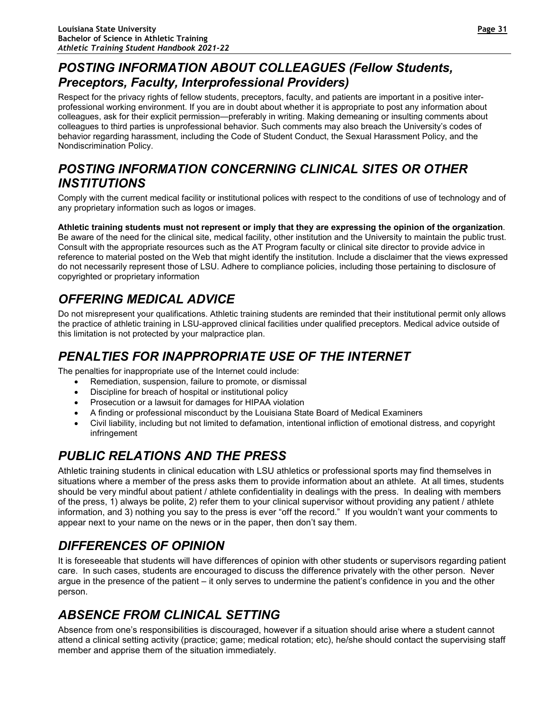## <span id="page-31-0"></span>*POSTING INFORMATION ABOUT COLLEAGUES (Fellow Students, Preceptors, Faculty, Interprofessional Providers)*

Respect for the privacy rights of fellow students, preceptors, faculty, and patients are important in a positive interprofessional working environment. If you are in doubt about whether it is appropriate to post any information about colleagues, ask for their explicit permission—preferably in writing. Making demeaning or insulting comments about colleagues to third parties is unprofessional behavior. Such comments may also breach the University's codes of behavior regarding harassment, including the Code of Student Conduct, the Sexual Harassment Policy, and the Nondiscrimination Policy.

## <span id="page-31-1"></span>*POSTING INFORMATION CONCERNING CLINICAL SITES OR OTHER INSTITUTIONS*

Comply with the current medical facility or institutional polices with respect to the conditions of use of technology and of any proprietary information such as logos or images.

#### **Athletic training students must not represent or imply that they are expressing the opinion of the organization**.

Be aware of the need for the clinical site, medical facility, other institution and the University to maintain the public trust. Consult with the appropriate resources such as the AT Program faculty or clinical site director to provide advice in reference to material posted on the Web that might identify the institution. Include a disclaimer that the views expressed do not necessarily represent those of LSU. Adhere to compliance policies, including those pertaining to disclosure of copyrighted or proprietary information

## <span id="page-31-2"></span>*OFFERING MEDICAL ADVICE*

Do not misrepresent your qualifications. Athletic training students are reminded that their institutional permit only allows the practice of athletic training in LSU-approved clinical facilities under qualified preceptors. Medical advice outside of this limitation is not protected by your malpractice plan.

## <span id="page-31-3"></span>*PENALTIES FOR INAPPROPRIATE USE OF THE INTERNET*

The penalties for inappropriate use of the Internet could include:

- Remediation, suspension, failure to promote, or dismissal
- Discipline for breach of hospital or institutional policy
- Prosecution or a lawsuit for damages for HIPAA violation
- A finding or professional misconduct by the Louisiana State Board of Medical Examiners
- Civil liability, including but not limited to defamation, intentional infliction of emotional distress, and copyright infringement

## <span id="page-31-4"></span>*PUBLIC RELATIONS AND THE PRESS*

Athletic training students in clinical education with LSU athletics or professional sports may find themselves in situations where a member of the press asks them to provide information about an athlete. At all times, students should be very mindful about patient / athlete confidentiality in dealings with the press. In dealing with members of the press, 1) always be polite, 2) refer them to your clinical supervisor without providing any patient / athlete information, and 3) nothing you say to the press is ever "off the record." If you wouldn't want your comments to appear next to your name on the news or in the paper, then don't say them.

## <span id="page-31-5"></span>*DIFFERENCES OF OPINION*

It is foreseeable that students will have differences of opinion with other students or supervisors regarding patient care. In such cases, students are encouraged to discuss the difference privately with the other person. Never argue in the presence of the patient – it only serves to undermine the patient's confidence in you and the other person.

## <span id="page-31-6"></span>*ABSENCE FROM CLINICAL SETTING*

Absence from one's responsibilities is discouraged, however if a situation should arise where a student cannot attend a clinical setting activity (practice; game; medical rotation; etc), he/she should contact the supervising staff member and apprise them of the situation immediately.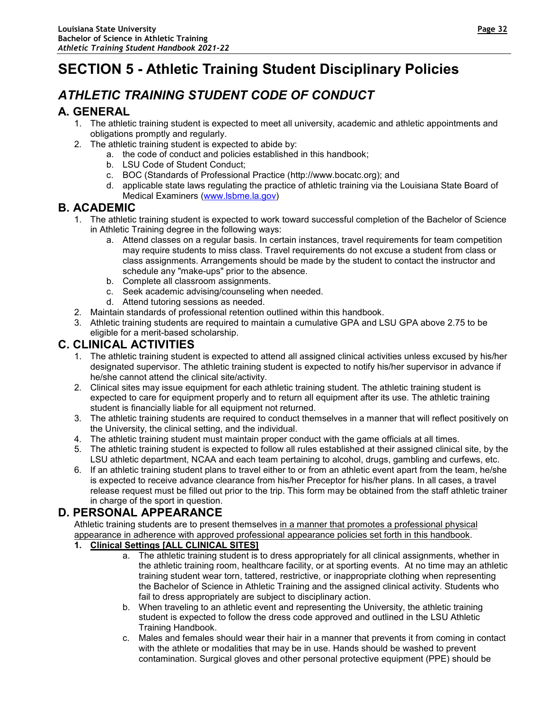# <span id="page-32-0"></span>**SECTION 5 - Athletic Training Student Disciplinary Policies**

## <span id="page-32-1"></span>*ATHLETIC TRAINING STUDENT CODE OF CONDUCT*

### **A. GENERAL**

- 1. The athletic training student is expected to meet all university, academic and athletic appointments and obligations promptly and regularly.
- 2. The athletic training student is expected to abide by:
	- a. the code of conduct and policies established in this handbook;
	- b. LSU Code of Student Conduct;
	- c. BOC (Standards of Professional Practice [\(http://www.bocatc.org\)](http://www.bocatc.org/atc/STD/); and
	- d. applicable state laws regulating the practice of athletic training via the Louisiana State Board of Medical Examiners [\(www.lsbme.la.gov\)](http://www.lsbme.la.gov/)

### **B. ACADEMIC**

- 1. The athletic training student is expected to work toward successful completion of the Bachelor of Science in Athletic Training degree in the following ways:
	- a. Attend classes on a regular basis. In certain instances, travel requirements for team competition may require students to miss class. Travel requirements do not excuse a student from class or class assignments. Arrangements should be made by the student to contact the instructor and schedule any "make-ups" prior to the absence.
	- b. Complete all classroom assignments.
	- c. Seek academic advising/counseling when needed.
	- d. Attend tutoring sessions as needed.
- 2. Maintain standards of professional retention outlined within this handbook.
- 3. Athletic training students are required to maintain a cumulative GPA and LSU GPA above 2.75 to be eligible for a merit-based scholarship.

### **C. CLINICAL ACTIVITIES**

- 1. The athletic training student is expected to attend all assigned clinical activities unless excused by his/her designated supervisor. The athletic training student is expected to notify his/her supervisor in advance if he/she cannot attend the clinical site/activity.
- 2. Clinical sites may issue equipment for each athletic training student. The athletic training student is expected to care for equipment properly and to return all equipment after its use. The athletic training student is financially liable for all equipment not returned.
- 3. The athletic training students are required to conduct themselves in a manner that will reflect positively on the University, the clinical setting, and the individual.
- 4. The athletic training student must maintain proper conduct with the game officials at all times.
- 5. The athletic training student is expected to follow all rules established at their assigned clinical site, by the LSU athletic department, NCAA and each team pertaining to alcohol, drugs, gambling and curfews, etc.
- 6. If an athletic training student plans to travel either to or from an athletic event apart from the team, he/she is expected to receive advance clearance from his/her Preceptor for his/her plans. In all cases, a travel release request must be filled out prior to the trip. This form may be obtained from the staff athletic trainer in charge of the sport in question.

### **D. PERSONAL APPEARANCE**

Athletic training students are to present themselves in a manner that promotes a professional physical appearance in adherence with approved professional appearance policies set forth in this handbook.

### **1. Clinical Settings [ALL CLINICAL SITES]**

- a. The athletic training student is to dress appropriately for all clinical assignments, whether in the athletic training room, healthcare facility, or at sporting events. At no time may an athletic training student wear torn, tattered, restrictive, or inappropriate clothing when representing the Bachelor of Science in Athletic Training and the assigned clinical activity. Students who fail to dress appropriately are subject to disciplinary action.
- b. When traveling to an athletic event and representing the University, the athletic training student is expected to follow the dress code approved and outlined in the LSU Athletic Training Handbook.
- c. Males and females should wear their hair in a manner that prevents it from coming in contact with the athlete or modalities that may be in use. Hands should be washed to prevent contamination. Surgical gloves and other personal protective equipment (PPE) should be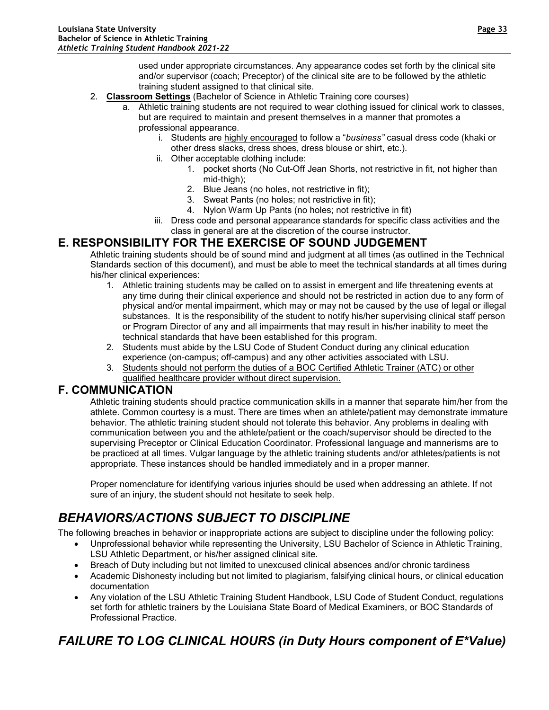used under appropriate circumstances. Any appearance codes set forth by the clinical site and/or supervisor (coach; Preceptor) of the clinical site are to be followed by the athletic training student assigned to that clinical site.

- 2. **Classroom Settings** (Bachelor of Science in Athletic Training core courses)
	- a. Athletic training students are not required to wear clothing issued for clinical work to classes, but are required to maintain and present themselves in a manner that promotes a professional appearance.
		- i. Students are highly encouraged to follow a "*business"* casual dress code (khaki or other dress slacks, dress shoes, dress blouse or shirt, etc.).
		- ii. Other acceptable clothing include:
			- 1. pocket shorts (No Cut-Off Jean Shorts, not restrictive in fit, not higher than mid-thigh);
			- 2. Blue Jeans (no holes, not restrictive in fit);
			- 3. Sweat Pants (no holes; not restrictive in fit);
			- 4. Nylon Warm Up Pants (no holes; not restrictive in fit)
		- iii. Dress code and personal appearance standards for specific class activities and the class in general are at the discretion of the course instructor.

### **E. RESPONSIBILITY FOR THE EXERCISE OF SOUND JUDGEMENT**

Athletic training students should be of sound mind and judgment at all times (as outlined in the Technical Standards section of this document), and must be able to meet the technical standards at all times during his/her clinical experiences:

- 1. Athletic training students may be called on to assist in emergent and life threatening events at any time during their clinical experience and should not be restricted in action due to any form of physical and/or mental impairment, which may or may not be caused by the use of legal or illegal substances. It is the responsibility of the student to notify his/her supervising clinical staff person or Program Director of any and all impairments that may result in his/her inability to meet the technical standards that have been established for this program.
- 2. Students must abide by the LSU Code of Student Conduct during any clinical education experience (on-campus; off-campus) and any other activities associated with LSU.
- 3. Students should not perform the duties of a BOC Certified Athletic Trainer (ATC) or other qualified healthcare provider without direct supervision.

### **F. COMMUNICATION**

Athletic training students should practice communication skills in a manner that separate him/her from the athlete. Common courtesy is a must. There are times when an athlete/patient may demonstrate immature behavior. The athletic training student should not tolerate this behavior. Any problems in dealing with communication between you and the athlete/patient or the coach/supervisor should be directed to the supervising Preceptor or Clinical Education Coordinator. Professional language and mannerisms are to be practiced at all times. Vulgar language by the athletic training students and/or athletes/patients is not appropriate. These instances should be handled immediately and in a proper manner.

Proper nomenclature for identifying various injuries should be used when addressing an athlete. If not sure of an injury, the student should not hesitate to seek help.

## <span id="page-33-0"></span>*BEHAVIORS/ACTIONS SUBJECT TO DISCIPLINE*

The following breaches in behavior or inappropriate actions are subject to discipline under the following policy:

- Unprofessional behavior while representing the University, LSU Bachelor of Science in Athletic Training, LSU Athletic Department, or his/her assigned clinical site.
- Breach of Duty including but not limited to unexcused clinical absences and/or chronic tardiness
- Academic Dishonesty including but not limited to plagiarism, falsifying clinical hours, or clinical education documentation
- Any violation of the LSU Athletic Training Student Handbook, LSU Code of Student Conduct, regulations set forth for athletic trainers by the Louisiana State Board of Medical Examiners, or BOC Standards of Professional Practice.

## <span id="page-33-1"></span>*FAILURE TO LOG CLINICAL HOURS (in Duty Hours component of E\*Value)*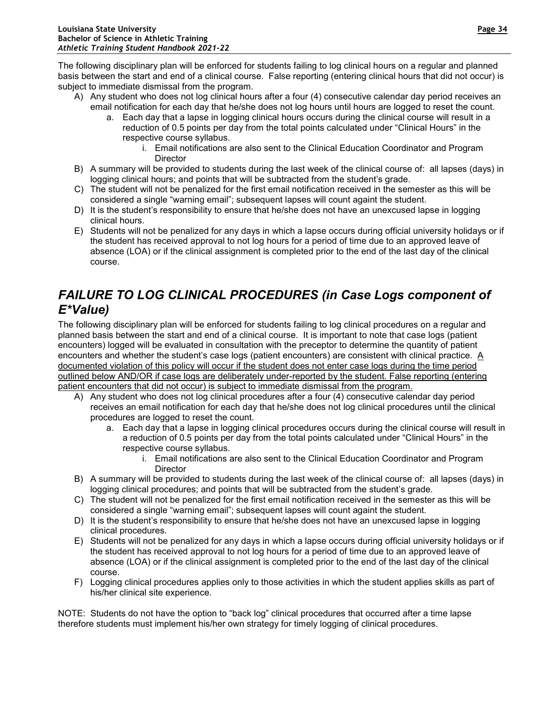The following disciplinary plan will be enforced for students failing to log clinical hours on a regular and planned basis between the start and end of a clinical course. False reporting (entering clinical hours that did not occur) is subject to immediate dismissal from the program.

- A) Any student who does not log clinical hours after a four (4) consecutive calendar day period receives an email notification for each day that he/she does not log hours until hours are logged to reset the count.
	- a. Each day that a lapse in logging clinical hours occurs during the clinical course will result in a reduction of 0.5 points per day from the total points calculated under "Clinical Hours" in the respective course syllabus.
		- i. Email notifications are also sent to the Clinical Education Coordinator and Program **Director**
- B) A summary will be provided to students during the last week of the clinical course of: all lapses (days) in logging clinical hours; and points that will be subtracted from the student's grade.
- C) The student will not be penalized for the first email notification received in the semester as this will be considered a single "warning email"; subsequent lapses will count againt the student.
- D) It is the student's responsibility to ensure that he/she does not have an unexcused lapse in logging clinical hours.
- E) Students will not be penalized for any days in which a lapse occurs during official university holidays or if the student has received approval to not log hours for a period of time due to an approved leave of absence (LOA) or if the clinical assignment is completed prior to the end of the last day of the clinical course.

## <span id="page-34-0"></span>*FAILURE TO LOG CLINICAL PROCEDURES (in Case Logs component of E\*Value)*

The following disciplinary plan will be enforced for students failing to log clinical procedures on a regular and planned basis between the start and end of a clinical course. It is important to note that case logs (patient encounters) logged will be evaluated in consultation with the preceptor to determine the quantity of patient encounters and whether the student's case logs (patient encounters) are consistent with clinical practice. A documented violation of this policy will occur if the student does not enter case logs during the time period outlined below AND/OR if case logs are deliberately under-reported by the student. False reporting (entering patient encounters that did not occur) is subject to immediate dismissal from the program.

- A) Any student who does not log clinical procedures after a four (4) consecutive calendar day period receives an email notification for each day that he/she does not log clinical procedures until the clinical procedures are logged to reset the count.
	- a. Each day that a lapse in logging clinical procedures occurs during the clinical course will result in a reduction of 0.5 points per day from the total points calculated under "Clinical Hours" in the respective course syllabus.
		- i. Email notifications are also sent to the Clinical Education Coordinator and Program **Director**
- B) A summary will be provided to students during the last week of the clinical course of: all lapses (days) in logging clinical procedures; and points that will be subtracted from the student's grade.
- C) The student will not be penalized for the first email notification received in the semester as this will be considered a single "warning email"; subsequent lapses will count againt the student.
- D) It is the student's responsibility to ensure that he/she does not have an unexcused lapse in logging clinical procedures.
- E) Students will not be penalized for any days in which a lapse occurs during official university holidays or if the student has received approval to not log hours for a period of time due to an approved leave of absence (LOA) or if the clinical assignment is completed prior to the end of the last day of the clinical course.
- F) Logging clinical procedures applies only to those activities in which the student applies skills as part of his/her clinical site experience.

NOTE: Students do not have the option to "back log" clinical procedures that occurred after a time lapse therefore students must implement his/her own strategy for timely logging of clinical procedures.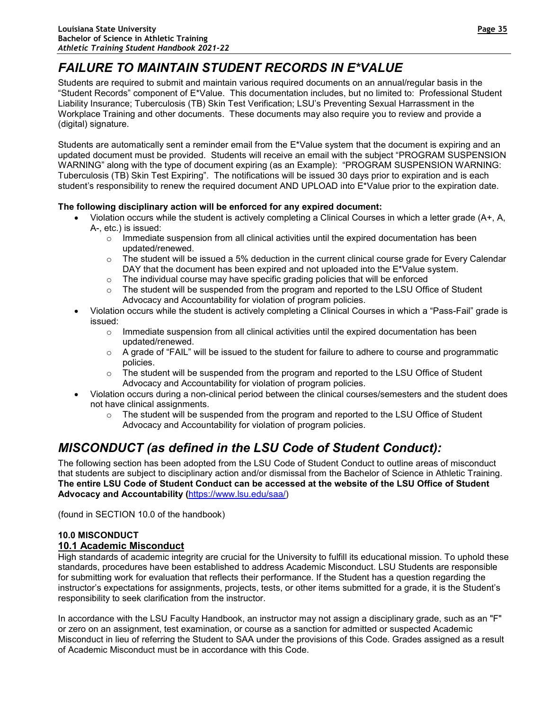## <span id="page-35-0"></span>*FAILURE TO MAINTAIN STUDENT RECORDS IN E\*VALUE*

Students are required to submit and maintain various required documents on an annual/regular basis in the "Student Records" component of E\*Value. This documentation includes, but no limited to: Professional Student Liability Insurance; Tuberculosis (TB) Skin Test Verification; LSU's Preventing Sexual Harrassment in the Workplace Training and other documents. These documents may also require you to review and provide a (digital) signature.

Students are automatically sent a reminder email from the E\*Value system that the document is expiring and an updated document must be provided. Students will receive an email with the subject "PROGRAM SUSPENSION WARNING" along with the type of document expiring (as an Example): "PROGRAM SUSPENSION WARNING: Tuberculosis (TB) Skin Test Expiring". The notifications will be issued 30 days prior to expiration and is each student's responsibility to renew the required document AND UPLOAD into E\*Value prior to the expiration date.

#### **The following disciplinary action will be enforced for any expired document:**

- Violation occurs while the student is actively completing a Clinical Courses in which a letter grade  $(A+, A, A)$ A-, etc.) is issued:
	- $\circ$  Immediate suspension from all clinical activities until the expired documentation has been updated/renewed.
	- $\circ$  The student will be issued a 5% deduction in the current clinical course grade for Every Calendar DAY that the document has been expired and not uploaded into the E\*Value system.
	- $\circ$  The individual course may have specific grading policies that will be enforced
	- $\circ$  The student will be suspended from the program and reported to the LSU Office of Student Advocacy and Accountability for violation of program policies.
- Violation occurs while the student is actively completing a Clinical Courses in which a "Pass-Fail" grade is issued:
	- $\circ$  Immediate suspension from all clinical activities until the expired documentation has been updated/renewed.
	- $\circ$  A grade of "FAIL" will be issued to the student for failure to adhere to course and programmatic policies.
	- $\circ$  The student will be suspended from the program and reported to the LSU Office of Student Advocacy and Accountability for violation of program policies.
- Violation occurs during a non-clinical period between the clinical courses/semesters and the student does not have clinical assignments.
	- $\circ$  The student will be suspended from the program and reported to the LSU Office of Student Advocacy and Accountability for violation of program policies.

## <span id="page-35-1"></span>*MISCONDUCT (as defined in the LSU Code of Student Conduct):*

The following section has been adopted from the LSU Code of Student Conduct to outline areas of misconduct that students are subject to disciplinary action and/or dismissal from the Bachelor of Science in Athletic Training. **The entire LSU Code of Student Conduct can be accessed at the website of the LSU Office of Student Advocacy and Accountability (**[https://www.lsu.edu/saa/\)](https://www.lsu.edu/saa/)

(found in SECTION 10.0 of the handbook)

### **10.0 MISCONDUCT**

### **10.1 Academic Misconduct**

High standards of academic integrity are crucial for the University to fulfill its educational mission. To uphold these standards, procedures have been established to address Academic Misconduct. LSU Students are responsible for submitting work for evaluation that reflects their performance. If the Student has a question regarding the instructor's expectations for assignments, projects, tests, or other items submitted for a grade, it is the Student's responsibility to seek clarification from the instructor.

In accordance with the LSU Faculty Handbook, an instructor may not assign a disciplinary grade, such as an "F" or zero on an assignment, test examination, or course as a sanction for admitted or suspected Academic Misconduct in lieu of referring the Student to SAA under the provisions of this Code. Grades assigned as a result of Academic Misconduct must be in accordance with this Code.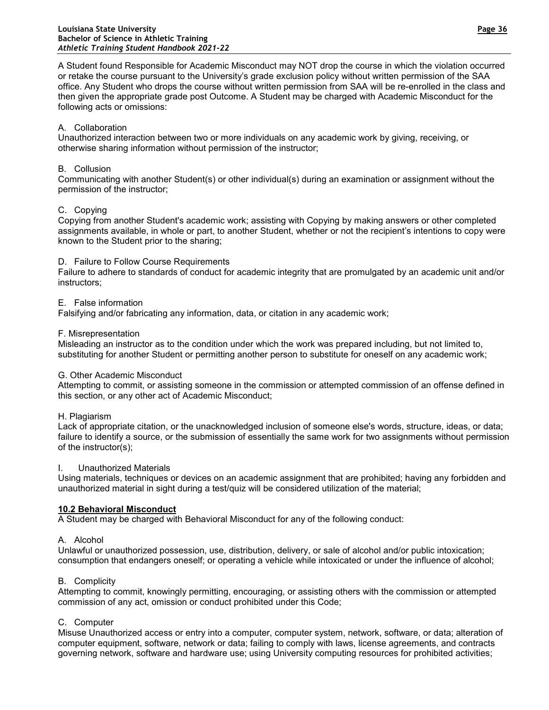A Student found Responsible for Academic Misconduct may NOT drop the course in which the violation occurred or retake the course pursuant to the University's grade exclusion policy without written permission of the SAA office. Any Student who drops the course without written permission from SAA will be re-enrolled in the class and then given the appropriate grade post Outcome. A Student may be charged with Academic Misconduct for the following acts or omissions:

#### A. Collaboration

Unauthorized interaction between two or more individuals on any academic work by giving, receiving, or otherwise sharing information without permission of the instructor;

#### B. Collusion

Communicating with another Student(s) or other individual(s) during an examination or assignment without the permission of the instructor;

#### C. Copying

Copying from another Student's academic work; assisting with Copying by making answers or other completed assignments available, in whole or part, to another Student, whether or not the recipient's intentions to copy were known to the Student prior to the sharing;

#### D. Failure to Follow Course Requirements

Failure to adhere to standards of conduct for academic integrity that are promulgated by an academic unit and/or instructors;

#### E. False information

Falsifying and/or fabricating any information, data, or citation in any academic work;

#### F. Misrepresentation

Misleading an instructor as to the condition under which the work was prepared including, but not limited to, substituting for another Student or permitting another person to substitute for oneself on any academic work;

#### G. Other Academic Misconduct

Attempting to commit, or assisting someone in the commission or attempted commission of an offense defined in this section, or any other act of Academic Misconduct;

#### H. Plagiarism

Lack of appropriate citation, or the unacknowledged inclusion of someone else's words, structure, ideas, or data; failure to identify a source, or the submission of essentially the same work for two assignments without permission of the instructor(s);

#### I. Unauthorized Materials

Using materials, techniques or devices on an academic assignment that are prohibited; having any forbidden and unauthorized material in sight during a test/quiz will be considered utilization of the material;

#### **10.2 Behavioral Misconduct**

A Student may be charged with Behavioral Misconduct for any of the following conduct:

#### A. Alcohol

Unlawful or unauthorized possession, use, distribution, delivery, or sale of alcohol and/or public intoxication; consumption that endangers oneself; or operating a vehicle while intoxicated or under the influence of alcohol;

#### B. Complicity

Attempting to commit, knowingly permitting, encouraging, or assisting others with the commission or attempted commission of any act, omission or conduct prohibited under this Code;

#### C. Computer

Misuse Unauthorized access or entry into a computer, computer system, network, software, or data; alteration of computer equipment, software, network or data; failing to comply with laws, license agreements, and contracts governing network, software and hardware use; using University computing resources for prohibited activities;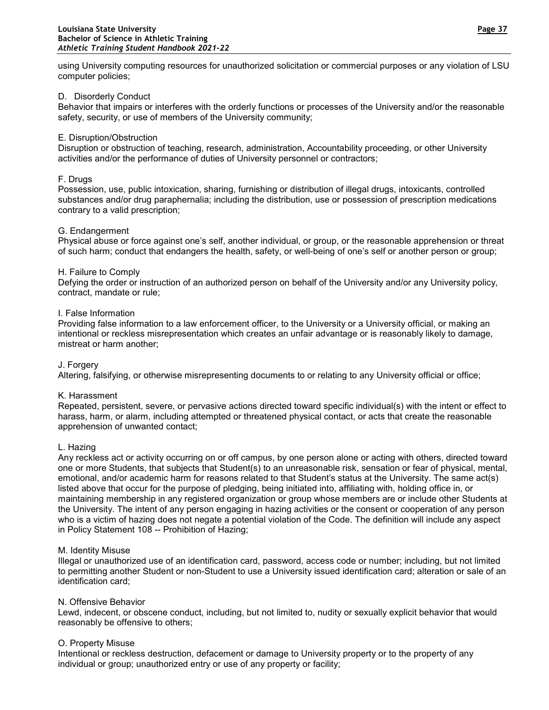using University computing resources for unauthorized solicitation or commercial purposes or any violation of LSU computer policies;

#### D. Disorderly Conduct

Behavior that impairs or interferes with the orderly functions or processes of the University and/or the reasonable safety, security, or use of members of the University community;

#### E. Disruption/Obstruction

Disruption or obstruction of teaching, research, administration, Accountability proceeding, or other University activities and/or the performance of duties of University personnel or contractors;

#### F. Drugs

Possession, use, public intoxication, sharing, furnishing or distribution of illegal drugs, intoxicants, controlled substances and/or drug paraphernalia; including the distribution, use or possession of prescription medications contrary to a valid prescription;

#### G. Endangerment

Physical abuse or force against one's self, another individual, or group, or the reasonable apprehension or threat of such harm; conduct that endangers the health, safety, or well-being of one's self or another person or group;

#### H. Failure to Comply

Defying the order or instruction of an authorized person on behalf of the University and/or any University policy, contract, mandate or rule;

#### I. False Information

Providing false information to a law enforcement officer, to the University or a University official, or making an intentional or reckless misrepresentation which creates an unfair advantage or is reasonably likely to damage, mistreat or harm another;

#### J. Forgery

Altering, falsifying, or otherwise misrepresenting documents to or relating to any University official or office;

#### K. Harassment

Repeated, persistent, severe, or pervasive actions directed toward specific individual(s) with the intent or effect to harass, harm, or alarm, including attempted or threatened physical contact, or acts that create the reasonable apprehension of unwanted contact;

#### L. Hazing

Any reckless act or activity occurring on or off campus, by one person alone or acting with others, directed toward one or more Students, that subjects that Student(s) to an unreasonable risk, sensation or fear of physical, mental, emotional, and/or academic harm for reasons related to that Student's status at the University. The same act(s) listed above that occur for the purpose of pledging, being initiated into, affiliating with, holding office in, or maintaining membership in any registered organization or group whose members are or include other Students at the University. The intent of any person engaging in hazing activities or the consent or cooperation of any person who is a victim of hazing does not negate a potential violation of the Code. The definition will include any aspect in Policy Statement 108 -- Prohibition of Hazing;

#### M. Identity Misuse

Illegal or unauthorized use of an identification card, password, access code or number; including, but not limited to permitting another Student or non-Student to use a University issued identification card; alteration or sale of an identification card;

#### N. Offensive Behavior

Lewd, indecent, or obscene conduct, including, but not limited to, nudity or sexually explicit behavior that would reasonably be offensive to others;

#### O. Property Misuse

Intentional or reckless destruction, defacement or damage to University property or to the property of any individual or group; unauthorized entry or use of any property or facility;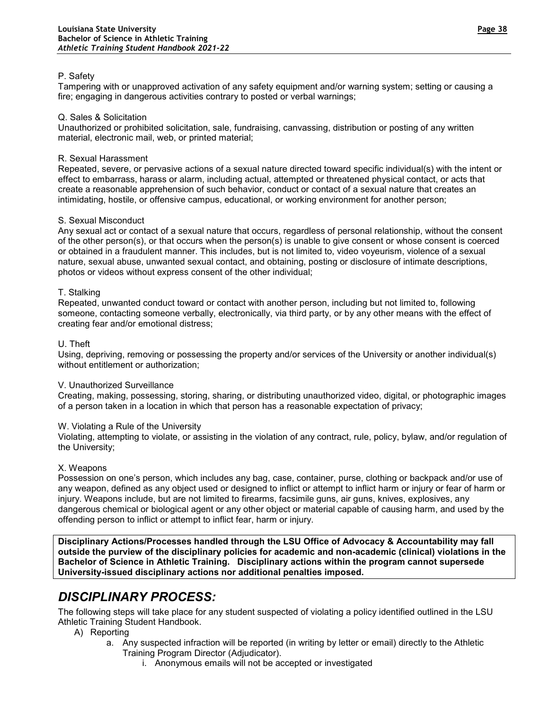#### P. Safety

Tampering with or unapproved activation of any safety equipment and/or warning system; setting or causing a fire; engaging in dangerous activities contrary to posted or verbal warnings;

#### Q. Sales & Solicitation

Unauthorized or prohibited solicitation, sale, fundraising, canvassing, distribution or posting of any written material, electronic mail, web, or printed material;

#### R. Sexual Harassment

Repeated, severe, or pervasive actions of a sexual nature directed toward specific individual(s) with the intent or effect to embarrass, harass or alarm, including actual, attempted or threatened physical contact, or acts that create a reasonable apprehension of such behavior, conduct or contact of a sexual nature that creates an intimidating, hostile, or offensive campus, educational, or working environment for another person;

#### S. Sexual Misconduct

Any sexual act or contact of a sexual nature that occurs, regardless of personal relationship, without the consent of the other person(s), or that occurs when the person(s) is unable to give consent or whose consent is coerced or obtained in a fraudulent manner. This includes, but is not limited to, video voyeurism, violence of a sexual nature, sexual abuse, unwanted sexual contact, and obtaining, posting or disclosure of intimate descriptions, photos or videos without express consent of the other individual;

#### T. Stalking

Repeated, unwanted conduct toward or contact with another person, including but not limited to, following someone, contacting someone verbally, electronically, via third party, or by any other means with the effect of creating fear and/or emotional distress;

#### U. Theft

Using, depriving, removing or possessing the property and/or services of the University or another individual(s) without entitlement or authorization;

#### V. Unauthorized Surveillance

Creating, making, possessing, storing, sharing, or distributing unauthorized video, digital, or photographic images of a person taken in a location in which that person has a reasonable expectation of privacy;

#### W. Violating a Rule of the University

Violating, attempting to violate, or assisting in the violation of any contract, rule, policy, bylaw, and/or regulation of the University;

#### X. Weapons

Possession on one's person, which includes any bag, case, container, purse, clothing or backpack and/or use of any weapon, defined as any object used or designed to inflict or attempt to inflict harm or injury or fear of harm or injury. Weapons include, but are not limited to firearms, facsimile guns, air guns, knives, explosives, any dangerous chemical or biological agent or any other object or material capable of causing harm, and used by the offending person to inflict or attempt to inflict fear, harm or injury.

**Disciplinary Actions/Processes handled through the LSU Office of Advocacy & Accountability may fall outside the purview of the disciplinary policies for academic and non-academic (clinical) violations in the Bachelor of Science in Athletic Training. Disciplinary actions within the program cannot supersede University-issued disciplinary actions nor additional penalties imposed.**

### <span id="page-38-0"></span>*DISCIPLINARY PROCESS:*

The following steps will take place for any student suspected of violating a policy identified outlined in the LSU Athletic Training Student Handbook.

- A) Reporting
	- a. Any suspected infraction will be reported (in writing by letter or email) directly to the Athletic Training Program Director (Adjudicator).
		- i. Anonymous emails will not be accepted or investigated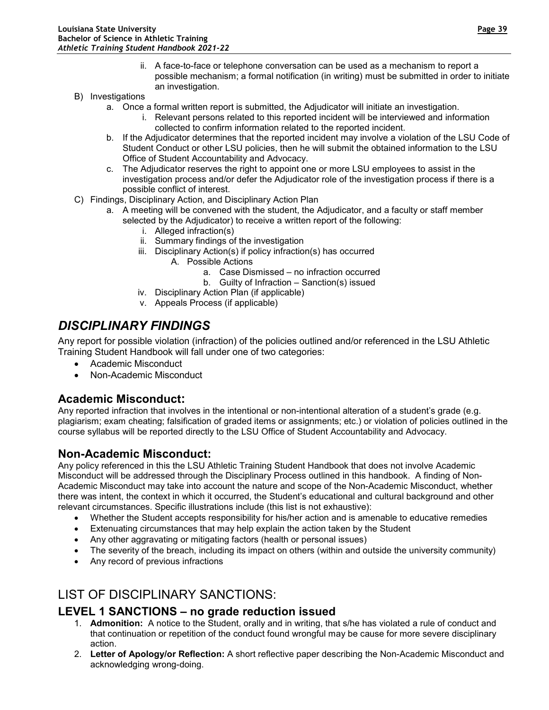- ii. A face-to-face or telephone conversation can be used as a mechanism to report a possible mechanism; a formal notification (in writing) must be submitted in order to initiate an investigation.
- B) Investigations
	- a. Once a formal written report is submitted, the Adjudicator will initiate an investigation.
		- i. Relevant persons related to this reported incident will be interviewed and information collected to confirm information related to the reported incident.
	- b. If the Adjudicator determines that the reported incident may involve a violation of the LSU Code of Student Conduct or other LSU policies, then he will submit the obtained information to the LSU Office of Student Accountability and Advocacy.
	- c. The Adjudicator reserves the right to appoint one or more LSU employees to assist in the investigation process and/or defer the Adjudicator role of the investigation process if there is a possible conflict of interest.
- C) Findings, Disciplinary Action, and Disciplinary Action Plan
	- a. A meeting will be convened with the student, the Adjudicator, and a faculty or staff member selected by the Adjudicator) to receive a written report of the following:
		- i. Alleged infraction(s)
		- ii. Summary findings of the investigation
		- iii. Disciplinary Action(s) if policy infraction(s) has occurred
			- A. Possible Actions
				- a. Case Dismissed no infraction occurred
				- b. Guilty of Infraction Sanction(s) issued
		- iv. Disciplinary Action Plan (if applicable)
		- v. Appeals Process (if applicable)

## <span id="page-39-0"></span>*DISCIPLINARY FINDINGS*

Any report for possible violation (infraction) of the policies outlined and/or referenced in the LSU Athletic Training Student Handbook will fall under one of two categories:

- Academic Misconduct
- Non-Academic Misconduct

### **Academic Misconduct:**

Any reported infraction that involves in the intentional or non-intentional alteration of a student's grade (e.g. plagiarism; exam cheating; falsification of graded items or assignments; etc.) or violation of policies outlined in the course syllabus will be reported directly to the LSU Office of Student Accountability and Advocacy.

### **Non-Academic Misconduct:**

Any policy referenced in this the LSU Athletic Training Student Handbook that does not involve Academic Misconduct will be addressed through the Disciplinary Process outlined in this handbook. A finding of Non-Academic Misconduct may take into account the nature and scope of the Non-Academic Misconduct, whether there was intent, the context in which it occurred, the Student's educational and cultural background and other relevant circumstances. Specific illustrations include (this list is not exhaustive):

- Whether the Student accepts responsibility for his/her action and is amenable to educative remedies
- Extenuating circumstances that may help explain the action taken by the Student
- Any other aggravating or mitigating factors (health or personal issues)
- The severity of the breach, including its impact on others (within and outside the university community)
- Any record of previous infractions

### <span id="page-39-1"></span>LIST OF DISCIPLINARY SANCTIONS:

### **LEVEL 1 SANCTIONS – no grade reduction issued**

- 1. **Admonition:** A notice to the Student, orally and in writing, that s/he has violated a rule of conduct and that continuation or repetition of the conduct found wrongful may be cause for more severe disciplinary action.
- 2. **Letter of Apology/or Reflection:** A short reflective paper describing the Non-Academic Misconduct and acknowledging wrong-doing.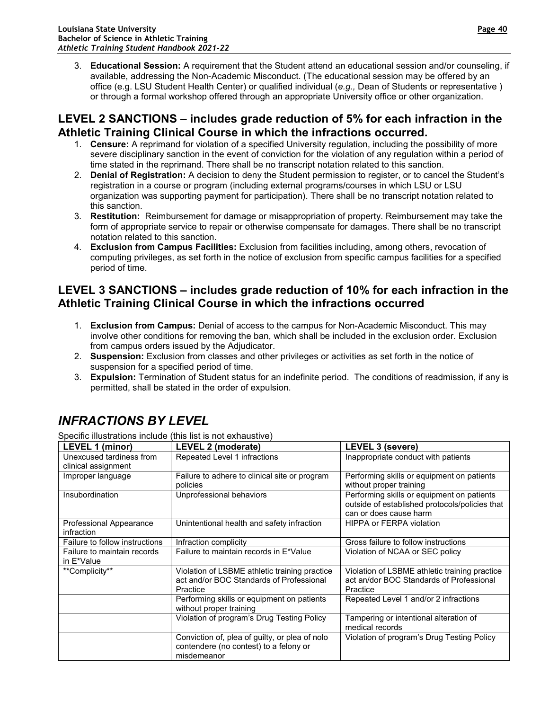3. **Educational Session:** A requirement that the Student attend an educational session and/or counseling, if available, addressing the Non-Academic Misconduct. (The educational session may be offered by an office (e.g. LSU Student Health Center) or qualified individual (*e.g.,* Dean of Students or representative ) or through a formal workshop offered through an appropriate University office or other organization.

### **LEVEL 2 SANCTIONS – includes grade reduction of 5% for each infraction in the Athletic Training Clinical Course in which the infractions occurred.**

- 1. **Censure:** A reprimand for violation of a specified University regulation, including the possibility of more severe disciplinary sanction in the event of conviction for the violation of any regulation within a period of time stated in the reprimand. There shall be no transcript notation related to this sanction.
- 2. **Denial of Registration:** A decision to deny the Student permission to register, or to cancel the Student's registration in a course or program (including external programs/courses in which LSU or LSU organization was supporting payment for participation). There shall be no transcript notation related to this sanction.
- 3. **Restitution:** Reimbursement for damage or misappropriation of property. Reimbursement may take the form of appropriate service to repair or otherwise compensate for damages. There shall be no transcript notation related to this sanction.
- 4. **Exclusion from Campus Facilities:** Exclusion from facilities including, among others, revocation of computing privileges, as set forth in the notice of exclusion from specific campus facilities for a specified period of time.

### **LEVEL 3 SANCTIONS – includes grade reduction of 10% for each infraction in the Athletic Training Clinical Course in which the infractions occurred**

- 1. **Exclusion from Campus:** Denial of access to the campus for Non-Academic Misconduct. This may involve other conditions for removing the ban, which shall be included in the exclusion order. Exclusion from campus orders issued by the Adjudicator.
- 2. **Suspension:** Exclusion from classes and other privileges or activities as set forth in the notice of suspension for a specified period of time.
- 3. **Expulsion:** Termination of Student status for an indefinite period. The conditions of readmission, if any is permitted, shall be stated in the order of expulsion.

## <span id="page-40-0"></span>*INFRACTIONS BY LEVEL*

| LEVEL 1 (minor)                                 | LEVEL 2 (moderate)                                                                                      | LEVEL 3 (severe)                                                                                                       |
|-------------------------------------------------|---------------------------------------------------------------------------------------------------------|------------------------------------------------------------------------------------------------------------------------|
| Unexcused tardiness from<br>clinical assignment | Repeated Level 1 infractions                                                                            | Inappropriate conduct with patients                                                                                    |
| Improper language                               | Failure to adhere to clinical site or program<br>policies                                               | Performing skills or equipment on patients<br>without proper training                                                  |
| Insubordination                                 | Unprofessional behaviors                                                                                | Performing skills or equipment on patients<br>outside of established protocols/policies that<br>can or does cause harm |
| Professional Appearance<br>infraction           | Unintentional health and safety infraction                                                              | <b>HIPPA or FERPA violation</b>                                                                                        |
| Failure to follow instructions                  | Infraction complicity                                                                                   | Gross failure to follow instructions                                                                                   |
| Failure to maintain records<br>in E*Value       | Failure to maintain records in E*Value                                                                  | Violation of NCAA or SEC policy                                                                                        |
| **Complicity**                                  | Violation of LSBME athletic training practice<br>act and/or BOC Standards of Professional<br>Practice   | Violation of LSBME athletic training practice<br>act an/dor BOC Standards of Professional<br>Practice                  |
|                                                 | Performing skills or equipment on patients<br>without proper training                                   | Repeated Level 1 and/or 2 infractions                                                                                  |
|                                                 | Violation of program's Drug Testing Policy                                                              | Tampering or intentional alteration of<br>medical records                                                              |
|                                                 | Conviction of, plea of guilty, or plea of nolo<br>contendere (no contest) to a felony or<br>misdemeanor | Violation of program's Drug Testing Policy                                                                             |

Specific illustrations include (this list is not exhaustive)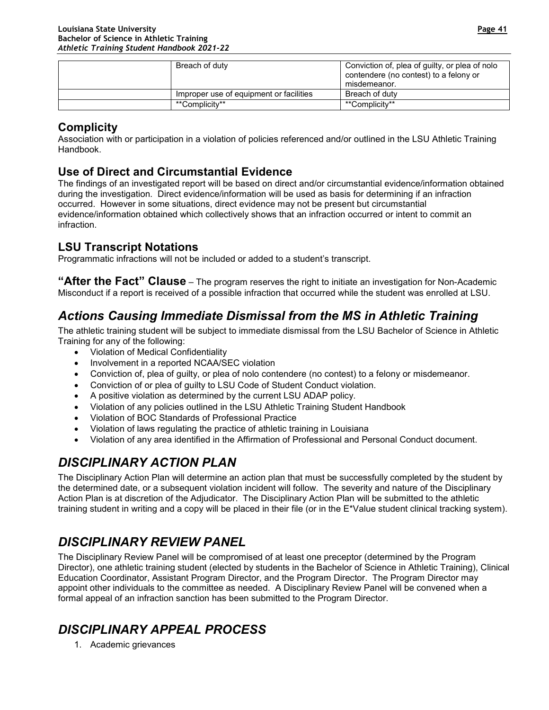| Breach of duty                          | Conviction of, plea of guilty, or plea of nolo<br>contendere (no contest) to a felony or<br>misdemeanor. |
|-----------------------------------------|----------------------------------------------------------------------------------------------------------|
| Improper use of equipment or facilities | Breach of duty                                                                                           |
| **Complicity**                          | **Complicity**                                                                                           |

### **Complicity**

Association with or participation in a violation of policies referenced and/or outlined in the LSU Athletic Training Handbook.

### **Use of Direct and Circumstantial Evidence**

The findings of an investigated report will be based on direct and/or circumstantial evidence/information obtained during the investigation. Direct evidence/information will be used as basis for determining if an infraction occurred. However in some situations, direct evidence may not be present but circumstantial evidence/information obtained which collectively shows that an infraction occurred or intent to commit an infraction.

### **LSU Transcript Notations**

Programmatic infractions will not be included or added to a student's transcript.

**"After the Fact" Clause** – The program reserves the right to initiate an investigation for Non-Academic Misconduct if a report is received of a possible infraction that occurred while the student was enrolled at LSU.

## <span id="page-41-0"></span>*Actions Causing Immediate Dismissal from the MS in Athletic Training*

The athletic training student will be subject to immediate dismissal from the LSU Bachelor of Science in Athletic Training for any of the following:

- Violation of Medical Confidentiality
- Involvement in a reported NCAA/SEC violation
- Conviction of, plea of guilty, or plea of nolo contendere (no contest) to a felony or misdemeanor.
- Conviction of or plea of guilty to LSU Code of Student Conduct violation.
- A positive violation as determined by the current LSU ADAP policy.
- Violation of any policies outlined in the LSU Athletic Training Student Handbook
- Violation of BOC Standards of Professional Practice
- Violation of laws regulating the practice of athletic training in Louisiana
- Violation of any area identified in the Affirmation of Professional and Personal Conduct document.

## <span id="page-41-1"></span>*DISCIPLINARY ACTION PLAN*

The Disciplinary Action Plan will determine an action plan that must be successfully completed by the student by the determined date, or a subsequent violation incident will follow. The severity and nature of the Disciplinary Action Plan is at discretion of the Adjudicator. The Disciplinary Action Plan will be submitted to the athletic training student in writing and a copy will be placed in their file (or in the E\*Value student clinical tracking system).

## <span id="page-41-2"></span>*DISCIPLINARY REVIEW PANEL*

The Disciplinary Review Panel will be compromised of at least one preceptor (determined by the Program Director), one athletic training student (elected by students in the Bachelor of Science in Athletic Training), Clinical Education Coordinator, Assistant Program Director, and the Program Director. The Program Director may appoint other individuals to the committee as needed. A Disciplinary Review Panel will be convened when a formal appeal of an infraction sanction has been submitted to the Program Director.

## <span id="page-41-3"></span>*DISCIPLINARY APPEAL PROCESS*

1. Academic grievances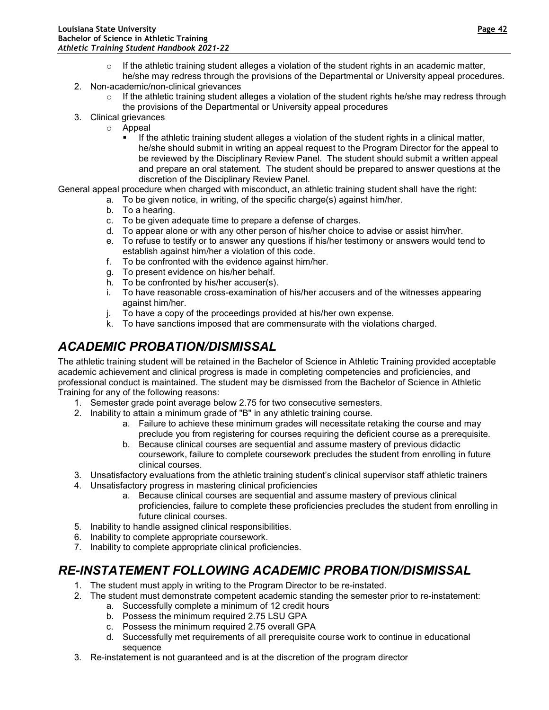- If the athletic training student alleges a violation of the student rights in an academic matter, he/she may redress through the provisions of the Departmental or University appeal procedures.
- 2. Non-academic/non-clinical grievances
	- $\circ$  If the athletic training student alleges a violation of the student rights he/she may redress through the provisions of the Departmental or University appeal procedures
- 3. Clinical grievances
	- o Appeal
		- If the athletic training student alleges a violation of the student rights in a clinical matter, he/she should submit in writing an appeal request to the Program Director for the appeal to be reviewed by the Disciplinary Review Panel. The student should submit a written appeal and prepare an oral statement. The student should be prepared to answer questions at the discretion of the Disciplinary Review Panel.

General appeal procedure when charged with misconduct, an athletic training student shall have the right:

- a. To be given notice, in writing, of the specific charge(s) against him/her.
	- b. To a hearing.
	- c. To be given adequate time to prepare a defense of charges.
	- d. To appear alone or with any other person of his/her choice to advise or assist him/her.
	- e. To refuse to testify or to answer any questions if his/her testimony or answers would tend to establish against him/her a violation of this code.
	- f. To be confronted with the evidence against him/her.
	- g. To present evidence on his/her behalf.
	- h. To be confronted by his/her accuser(s).
	- i. To have reasonable cross-examination of his/her accusers and of the witnesses appearing against him/her.
	- j. To have a copy of the proceedings provided at his/her own expense.
	- k. To have sanctions imposed that are commensurate with the violations charged.

## <span id="page-42-0"></span>*ACADEMIC PROBATION/DISMISSAL*

The athletic training student will be retained in the Bachelor of Science in Athletic Training provided acceptable academic achievement and clinical progress is made in completing competencies and proficiencies, and professional conduct is maintained. The student may be dismissed from the Bachelor of Science in Athletic Training for any of the following reasons:

- 1. Semester grade point average below 2.75 for two consecutive semesters.
- 2. Inability to attain a minimum grade of "B" in any athletic training course.
	- a. Failure to achieve these minimum grades will necessitate retaking the course and may preclude you from registering for courses requiring the deficient course as a prerequisite.
	- b. Because clinical courses are sequential and assume mastery of previous didactic coursework, failure to complete coursework precludes the student from enrolling in future clinical courses.
- 3. Unsatisfactory evaluations from the athletic training student's clinical supervisor staff athletic trainers
- 4. Unsatisfactory progress in mastering clinical proficiencies
	- a. Because clinical courses are sequential and assume mastery of previous clinical proficiencies, failure to complete these proficiencies precludes the student from enrolling in future clinical courses.
- 5. Inability to handle assigned clinical responsibilities.
- 6. Inability to complete appropriate coursework.
- 7. Inability to complete appropriate clinical proficiencies.

## <span id="page-42-1"></span>*RE-INSTATEMENT FOLLOWING ACADEMIC PROBATION/DISMISSAL*

- 1. The student must apply in writing to the Program Director to be re-instated.
- 2. The student must demonstrate competent academic standing the semester prior to re-instatement:
	- a. Successfully complete a minimum of 12 credit hours
	- b. Possess the minimum required 2.75 LSU GPA
	- c. Possess the minimum required 2.75 overall GPA
	- d. Successfully met requirements of all prerequisite course work to continue in educational sequence
- 3. Re-instatement is not guaranteed and is at the discretion of the program director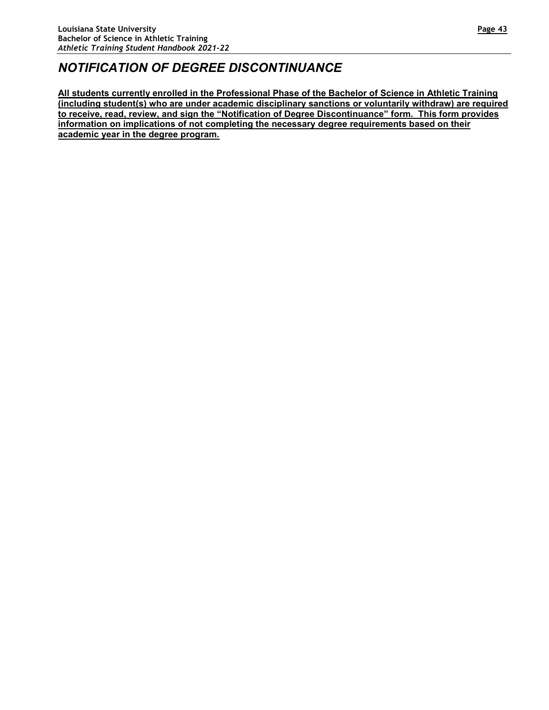## <span id="page-43-0"></span>*NOTIFICATION OF DEGREE DISCONTINUANCE*

<span id="page-43-1"></span>**All students currently enrolled in the Professional Phase of the Bachelor of Science in Athletic Training (including student(s) who are under academic disciplinary sanctions or voluntarily withdraw) are required to receive, read, review, and sign the "Notification of Degree Discontinuance" form. This form provides information on implications of not completing the necessary degree requirements based on their academic year in the degree program.**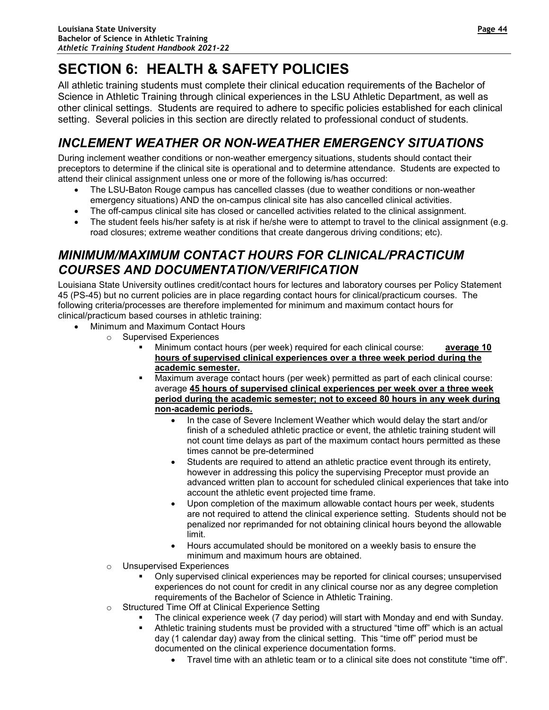# **SECTION 6: HEALTH & SAFETY POLICIES**

All athletic training students must complete their clinical education requirements of the Bachelor of Science in Athletic Training through clinical experiences in the LSU Athletic Department, as well as other clinical settings. Students are required to adhere to specific policies established for each clinical setting. Several policies in this section are directly related to professional conduct of students.

## <span id="page-44-0"></span>*INCLEMENT WEATHER OR NON-WEATHER EMERGENCY SITUATIONS*

During inclement weather conditions or non-weather emergency situations, students should contact their preceptors to determine if the clinical site is operational and to determine attendance. Students are expected to attend their clinical assignment unless one or more of the following is/has occurred:

- The LSU-Baton Rouge campus has cancelled classes (due to weather conditions or non-weather emergency situations) AND the on-campus clinical site has also cancelled clinical activities.
- The off-campus clinical site has closed or cancelled activities related to the clinical assignment.
- The student feels his/her safety is at risk if he/she were to attempt to travel to the clinical assignment (e.g. road closures; extreme weather conditions that create dangerous driving conditions; etc).

## <span id="page-44-1"></span>*MINIMUM/MAXIMUM CONTACT HOURS FOR CLINICAL/PRACTICUM COURSES AND DOCUMENTATION/VERIFICATION*

Louisiana State University outlines credit/contact hours for lectures and laboratory courses per Policy Statement 45 (PS-45) but no current policies are in place regarding contact hours for clinical/practicum courses. The following criteria/processes are therefore implemented for minimum and maximum contact hours for clinical/practicum based courses in athletic training:

- Minimum and Maximum Contact Hours
	- o Supervised Experiences
		- Minimum contact hours (per week) required for each clinical course: **average 10 hours of supervised clinical experiences over a three week period during the academic semester.**
		- Maximum average contact hours (per week) permitted as part of each clinical course: average **45 hours of supervised clinical experiences per week over a three week period during the academic semester; not to exceed 80 hours in any week during non-academic periods.**
			- In the case of Severe Inclement Weather which would delay the start and/or finish of a scheduled athletic practice or event, the athletic training student will not count time delays as part of the maximum contact hours permitted as these times cannot be pre-determined
			- Students are required to attend an athletic practice event through its entirety, however in addressing this policy the supervising Preceptor must provide an advanced written plan to account for scheduled clinical experiences that take into account the athletic event projected time frame.
			- Upon completion of the maximum allowable contact hours per week, students are not required to attend the clinical experience setting. Students should not be penalized nor reprimanded for not obtaining clinical hours beyond the allowable limit.
			- Hours accumulated should be monitored on a weekly basis to ensure the minimum and maximum hours are obtained.
	- o Unsupervised Experiences
		- Only supervised clinical experiences may be reported for clinical courses; unsupervised experiences do not count for credit in any clinical course nor as any degree completion requirements of the Bachelor of Science in Athletic Training.
	- Structured Time Off at Clinical Experience Setting
		- The clinical experience week (7 day period) will start with Monday and end with Sunday.
		- Athletic training students must be provided with a structured "time off" which is an actual day (1 calendar day) away from the clinical setting. This "time off" period must be documented on the clinical experience documentation forms.
			- Travel time with an athletic team or to a clinical site does not constitute "time off".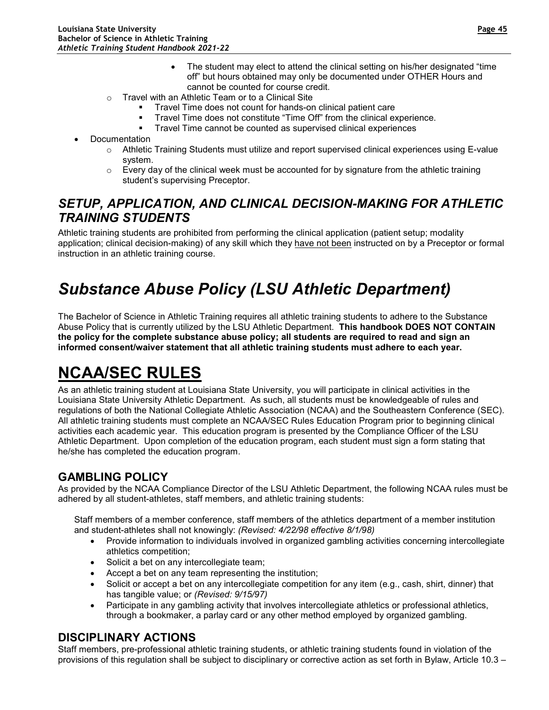- The student may elect to attend the clinical setting on his/her designated "time off" but hours obtained may only be documented under OTHER Hours and cannot be counted for course credit.
- o Travel with an Athletic Team or to a Clinical Site
	- Travel Time does not count for hands-on clinical patient care
	- Travel Time does not constitute "Time Off" from the clinical experience.<br>■ Travel Time cannot be counted as supervised clinical experiences
	- Travel Time cannot be counted as supervised clinical experiences
- **Documentation** 
	- o Athletic Training Students must utilize and report supervised clinical experiences using E-value system.
	- $\circ$  Every day of the clinical week must be accounted for by signature from the athletic training student's supervising Preceptor.

### <span id="page-45-0"></span>*SETUP, APPLICATION, AND CLINICAL DECISION-MAKING FOR ATHLETIC TRAINING STUDENTS*

Athletic training students are prohibited from performing the clinical application (patient setup; modality application; clinical decision-making) of any skill which they have not been instructed on by a Preceptor or formal instruction in an athletic training course.

# <span id="page-45-1"></span>*Substance Abuse Policy (LSU Athletic Department)*

The Bachelor of Science in Athletic Training requires all athletic training students to adhere to the Substance Abuse Policy that is currently utilized by the LSU Athletic Department. **This handbook DOES NOT CONTAIN the policy for the complete substance abuse policy; all students are required to read and sign an informed consent/waiver statement that all athletic training students must adhere to each year.**

# <span id="page-45-2"></span>**NCAA/SEC RULES**

As an athletic training student at Louisiana State University, you will participate in clinical activities in the Louisiana State University Athletic Department. As such, all students must be knowledgeable of rules and regulations of both the National Collegiate Athletic Association (NCAA) and the Southeastern Conference (SEC). All athletic training students must complete an NCAA/SEC Rules Education Program prior to beginning clinical activities each academic year. This education program is presented by the Compliance Officer of the LSU Athletic Department. Upon completion of the education program, each student must sign a form stating that he/she has completed the education program.

### **GAMBLING POLICY**

As provided by the NCAA Compliance Director of the LSU Athletic Department, the following NCAA rules must be adhered by all student-athletes, staff members, and athletic training students:

Staff members of a member conference, staff members of the athletics department of a member institution and student-athletes shall not knowingly: *(Revised: 4/22/98 effective 8/1/98)*

- Provide information to individuals involved in organized gambling activities concerning intercollegiate athletics competition;
- Solicit a bet on any intercollegiate team;
- Accept a bet on any team representing the institution;
- Solicit or accept a bet on any intercollegiate competition for any item (e.g., cash, shirt, dinner) that has tangible value; or *(Revised: 9/15/97)*
- Participate in any gambling activity that involves intercollegiate athletics or professional athletics, through a bookmaker, a parlay card or any other method employed by organized gambling.

### **DISCIPLINARY ACTIONS**

Staff members, pre-professional athletic training students, or athletic training students found in violation of the provisions of this regulation shall be subject to disciplinary or corrective action as set forth in Bylaw, Article 10.3 –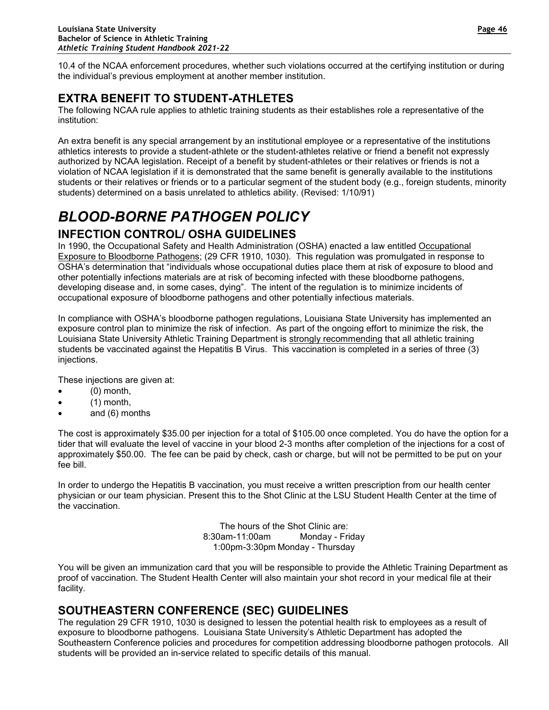10.4 of the NCAA enforcement procedures, whether such violations occurred at the certifying institution or during the individual's previous employment at another member institution.

## **EXTRA BENEFIT TO STUDENT-ATHLETES**

The following NCAA rule applies to athletic training students as their establishes role a representative of the institution:

An extra benefit is any special arrangement by an institutional employee or a representative of the institutions athletics interests to provide a student-athlete or the student-athletes relative or friend a benefit not expressly authorized by NCAA legislation. Receipt of a benefit by student-athletes or their relatives or friends is not a violation of NCAA legislation if it is demonstrated that the same benefit is generally available to the institutions students or their relatives or friends or to a particular segment of the student body (e.g., foreign students, minority students) determined on a basis unrelated to athletics ability. (Revised: 1/10/91)

# <span id="page-46-0"></span>*BLOOD-BORNE PATHOGEN POLICY*

### **INFECTION CONTROL/ OSHA GUIDELINES**

In 1990, the Occupational Safety and Health Administration (OSHA) enacted a law entitled Occupational Exposure to Bloodborne Pathogens; (29 CFR 1910, 1030). This regulation was promulgated in response to OSHA's determination that "individuals whose occupational duties place them at risk of exposure to blood and other potentially infections materials are at risk of becoming infected with these bloodborne pathogens, developing disease and, in some cases, dying". The intent of the regulation is to minimize incidents of occupational exposure of bloodborne pathogens and other potentially infectious materials.

In compliance with OSHA's bloodborne pathogen regulations, Louisiana State University has implemented an exposure control plan to minimize the risk of infection. As part of the ongoing effort to minimize the risk, the Louisiana State University Athletic Training Department is strongly recommending that all athletic training students be vaccinated against the Hepatitis B Virus. This vaccination is completed in a series of three (3) injections.

These injections are given at:

- $(0)$  month,
- $\bullet$  (1) month,
- and (6) months

The cost is approximately \$35.00 per injection for a total of \$105.00 once completed. You do have the option for a tider that will evaluate the level of vaccine in your blood 2-3 months after completion of the injections for a cost of approximately \$50.00. The fee can be paid by check, cash or charge, but will not be permitted to be put on your fee bill.

In order to undergo the Hepatitis B vaccination, you must receive a written prescription from our health center physician or our team physician. Present this to the Shot Clinic at the LSU Student Health Center at the time of the vaccination.

> The hours of the Shot Clinic are: 8:30am-11:00am Monday - Friday 1:00pm-3:30pm Monday - Thursday

You will be given an immunization card that you will be responsible to provide the Athletic Training Department as proof of vaccination. The Student Health Center will also maintain your shot record in your medical file at their facility.

### **SOUTHEASTERN CONFERENCE (SEC) GUIDELINES**

The regulation 29 CFR 1910, 1030 is designed to lessen the potential health risk to employees as a result of exposure to bloodborne pathogens. Louisiana State University's Athletic Department has adopted the Southeastern Conference policies and procedures for competition addressing bloodborne pathogen protocols. All students will be provided an in-service related to specific details of this manual.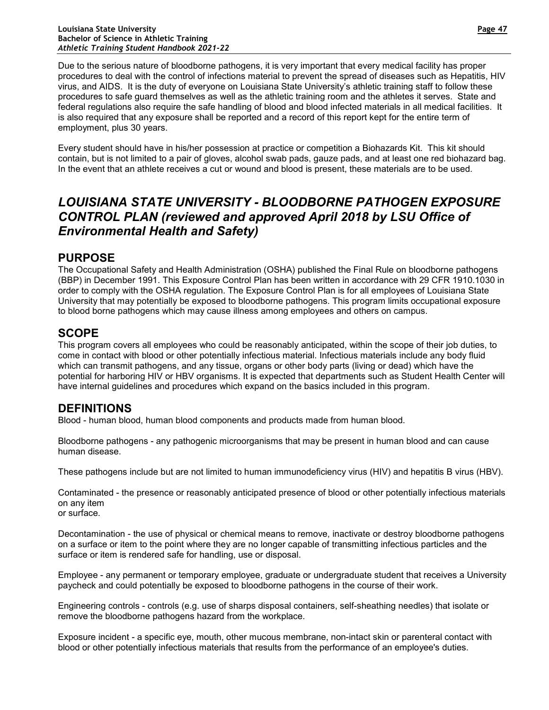Due to the serious nature of bloodborne pathogens, it is very important that every medical facility has proper procedures to deal with the control of infections material to prevent the spread of diseases such as Hepatitis, HIV virus, and AIDS. It is the duty of everyone on Louisiana State University's athletic training staff to follow these procedures to safe guard themselves as well as the athletic training room and the athletes it serves. State and federal regulations also require the safe handling of blood and blood infected materials in all medical facilities. It is also required that any exposure shall be reported and a record of this report kept for the entire term of employment, plus 30 years.

Every student should have in his/her possession at practice or competition a Biohazards Kit. This kit should contain, but is not limited to a pair of gloves, alcohol swab pads, gauze pads, and at least one red biohazard bag. In the event that an athlete receives a cut or wound and blood is present, these materials are to be used.

### <span id="page-47-0"></span>*LOUISIANA STATE UNIVERSITY - BLOODBORNE PATHOGEN EXPOSURE CONTROL PLAN (reviewed and approved April 2018 by LSU Office of Environmental Health and Safety)*

### **PURPOSE**

The Occupational Safety and Health Administration (OSHA) published the Final Rule on bloodborne pathogens (BBP) in December 1991. This Exposure Control Plan has been written in accordance with 29 CFR 1910.1030 in order to comply with the OSHA regulation. The Exposure Control Plan is for all employees of Louisiana State University that may potentially be exposed to bloodborne pathogens. This program limits occupational exposure to blood borne pathogens which may cause illness among employees and others on campus.

### **SCOPE**

This program covers all employees who could be reasonably anticipated, within the scope of their job duties, to come in contact with blood or other potentially infectious material. Infectious materials include any body fluid which can transmit pathogens, and any tissue, organs or other body parts (living or dead) which have the potential for harboring HIV or HBV organisms. It is expected that departments such as Student Health Center will have internal guidelines and procedures which expand on the basics included in this program.

### **DEFINITIONS**

Blood - human blood, human blood components and products made from human blood.

Bloodborne pathogens - any pathogenic microorganisms that may be present in human blood and can cause human disease.

These pathogens include but are not limited to human immunodeficiency virus (HIV) and hepatitis B virus (HBV).

Contaminated - the presence or reasonably anticipated presence of blood or other potentially infectious materials on any item or surface.

Decontamination - the use of physical or chemical means to remove, inactivate or destroy bloodborne pathogens on a surface or item to the point where they are no longer capable of transmitting infectious particles and the surface or item is rendered safe for handling, use or disposal.

Employee - any permanent or temporary employee, graduate or undergraduate student that receives a University paycheck and could potentially be exposed to bloodborne pathogens in the course of their work.

Engineering controls - controls (e.g. use of sharps disposal containers, self-sheathing needles) that isolate or remove the bloodborne pathogens hazard from the workplace.

Exposure incident - a specific eye, mouth, other mucous membrane, non-intact skin or parenteral contact with blood or other potentially infectious materials that results from the performance of an employee's duties.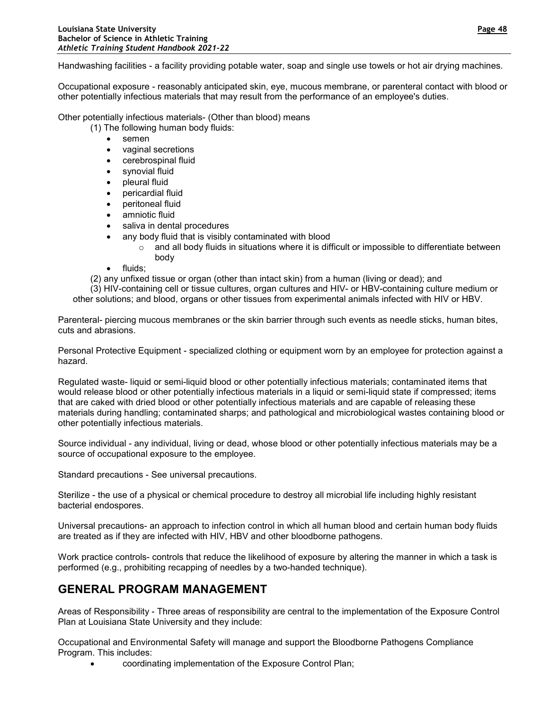Handwashing facilities - a facility providing potable water, soap and single use towels or hot air drying machines.

Occupational exposure - reasonably anticipated skin, eye, mucous membrane, or parenteral contact with blood or other potentially infectious materials that may result from the performance of an employee's duties.

Other potentially infectious materials- (Other than blood) means

- (1) The following human body fluids:
	- semen
	- vaginal secretions
	- cerebrospinal fluid
	- synovial fluid
	- pleural fluid
	- pericardial fluid
	- peritoneal fluid
	- amniotic fluid
	- saliva in dental procedures
	- any body fluid that is visibly contaminated with blood
		- $\circ$  and all body fluids in situations where it is difficult or impossible to differentiate between body
	- fluids;
	- (2) any unfixed tissue or organ (other than intact skin) from a human (living or dead); and

(3) HIV-containing cell or tissue cultures, organ cultures and HIV- or HBV-containing culture medium or other solutions; and blood, organs or other tissues from experimental animals infected with HIV or HBV.

Parenteral- piercing mucous membranes or the skin barrier through such events as needle sticks, human bites, cuts and abrasions.

Personal Protective Equipment - specialized clothing or equipment worn by an employee for protection against a hazard.

Regulated waste- liquid or semi-liquid blood or other potentially infectious materials; contaminated items that would release blood or other potentially infectious materials in a liquid or semi-liquid state if compressed; items that are caked with dried blood or other potentially infectious materials and are capable of releasing these materials during handling; contaminated sharps; and pathological and microbiological wastes containing blood or other potentially infectious materials.

Source individual - any individual, living or dead, whose blood or other potentially infectious materials may be a source of occupational exposure to the employee.

Standard precautions - See universal precautions.

Sterilize - the use of a physical or chemical procedure to destroy all microbial life including highly resistant bacterial endospores.

Universal precautions- an approach to infection control in which all human blood and certain human body fluids are treated as if they are infected with HIV, HBV and other bloodborne pathogens.

Work practice controls- controls that reduce the likelihood of exposure by altering the manner in which a task is performed (e.g., prohibiting recapping of needles by a two-handed technique).

### **GENERAL PROGRAM MANAGEMENT**

Areas of Responsibility - Three areas of responsibility are central to the implementation of the Exposure Control Plan at Louisiana State University and they include:

Occupational and Environmental Safety will manage and support the Bloodborne Pathogens Compliance Program. This includes:

• coordinating implementation of the Exposure Control Plan;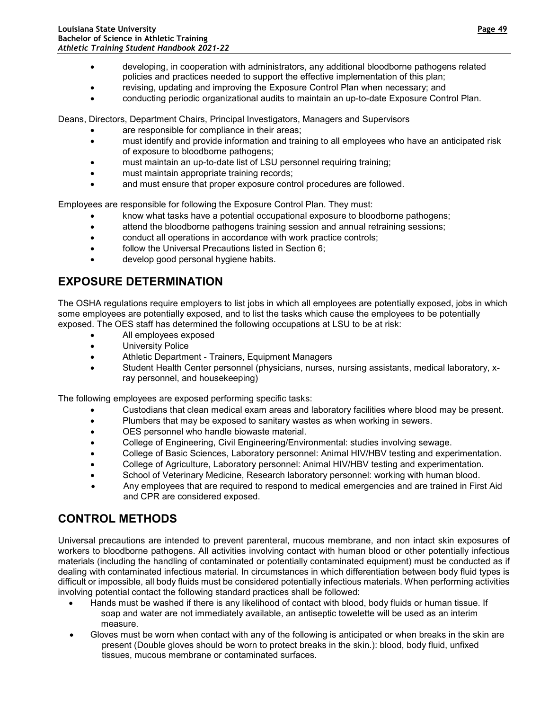- developing, in cooperation with administrators, any additional bloodborne pathogens related policies and practices needed to support the effective implementation of this plan;
- revising, updating and improving the Exposure Control Plan when necessary; and
- conducting periodic organizational audits to maintain an up-to-date Exposure Control Plan.

Deans, Directors, Department Chairs, Principal Investigators, Managers and Supervisors

- are responsible for compliance in their areas:
- must identify and provide information and training to all employees who have an anticipated risk of exposure to bloodborne pathogens;
- must maintain an up-to-date list of LSU personnel requiring training;
- must maintain appropriate training records;
- and must ensure that proper exposure control procedures are followed.

Employees are responsible for following the Exposure Control Plan. They must:

- know what tasks have a potential occupational exposure to bloodborne pathogens;
- attend the bloodborne pathogens training session and annual retraining sessions;
- conduct all operations in accordance with work practice controls;
- follow the Universal Precautions listed in Section 6:
- develop good personal hygiene habits.

### **EXPOSURE DETERMINATION**

The OSHA regulations require employers to list jobs in which all employees are potentially exposed, jobs in which some employees are potentially exposed, and to list the tasks which cause the employees to be potentially exposed. The OES staff has determined the following occupations at LSU to be at risk:

- All employees exposed
- University Police
- Athletic Department Trainers, Equipment Managers
- Student Health Center personnel (physicians, nurses, nursing assistants, medical laboratory, xray personnel, and housekeeping)

The following employees are exposed performing specific tasks:

- Custodians that clean medical exam areas and laboratory facilities where blood may be present.
- Plumbers that may be exposed to sanitary wastes as when working in sewers.
- OES personnel who handle biowaste material.
- College of Engineering, Civil Engineering/Environmental: studies involving sewage.
- College of Basic Sciences, Laboratory personnel: Animal HIV/HBV testing and experimentation.
- College of Agriculture, Laboratory personnel: Animal HIV/HBV testing and experimentation.
- School of Veterinary Medicine, Research laboratory personnel: working with human blood.
- Any employees that are required to respond to medical emergencies and are trained in First Aid and CPR are considered exposed.

### **CONTROL METHODS**

Universal precautions are intended to prevent parenteral, mucous membrane, and non intact skin exposures of workers to bloodborne pathogens. All activities involving contact with human blood or other potentially infectious materials (including the handling of contaminated or potentially contaminated equipment) must be conducted as if dealing with contaminated infectious material. In circumstances in which differentiation between body fluid types is difficult or impossible, all body fluids must be considered potentially infectious materials. When performing activities involving potential contact the following standard practices shall be followed:

- Hands must be washed if there is any likelihood of contact with blood, body fluids or human tissue. If soap and water are not immediately available, an antiseptic towelette will be used as an interim measure.
- Gloves must be worn when contact with any of the following is anticipated or when breaks in the skin are present (Double gloves should be worn to protect breaks in the skin.): blood, body fluid, unfixed tissues, mucous membrane or contaminated surfaces.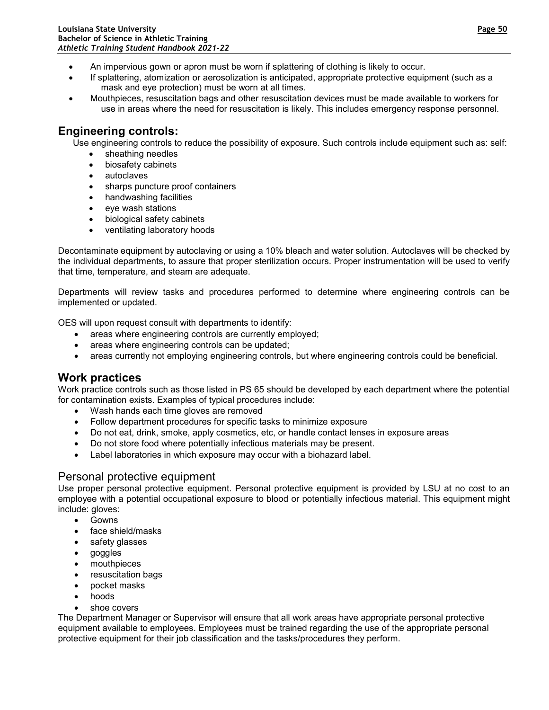- An impervious gown or apron must be worn if splattering of clothing is likely to occur.
- If splattering, atomization or aerosolization is anticipated, appropriate protective equipment (such as a mask and eye protection) must be worn at all times.
- Mouthpieces, resuscitation bags and other resuscitation devices must be made available to workers for use in areas where the need for resuscitation is likely. This includes emergency response personnel.

### **Engineering controls:**

Use engineering controls to reduce the possibility of exposure. Such controls include equipment such as: self:

- sheathing needles
- biosafety cabinets
- autoclaves
- sharps puncture proof containers
- handwashing facilities
- eye wash stations
- biological safety cabinets
- ventilating laboratory hoods

Decontaminate equipment by autoclaving or using a 10% bleach and water solution. Autoclaves will be checked by the individual departments, to assure that proper sterilization occurs. Proper instrumentation will be used to verify that time, temperature, and steam are adequate.

Departments will review tasks and procedures performed to determine where engineering controls can be implemented or updated.

OES will upon request consult with departments to identify:

- areas where engineering controls are currently employed;
- areas where engineering controls can be updated;
- areas currently not employing engineering controls, but where engineering controls could be beneficial.

### **Work practices**

Work practice controls such as those listed in PS 65 should be developed by each department where the potential for contamination exists. Examples of typical procedures include:

- Wash hands each time gloves are removed
- Follow department procedures for specific tasks to minimize exposure
- Do not eat, drink, smoke, apply cosmetics, etc, or handle contact lenses in exposure areas
- Do not store food where potentially infectious materials may be present.
- Label laboratories in which exposure may occur with a biohazard label.

### Personal protective equipment

Use proper personal protective equipment. Personal protective equipment is provided by LSU at no cost to an employee with a potential occupational exposure to blood or potentially infectious material. This equipment might include: gloves:

- Gowns
- face shield/masks
- safety glasses
- goggles
- mouthpieces
- resuscitation bags
- pocket masks
- hoods
- shoe covers

The Department Manager or Supervisor will ensure that all work areas have appropriate personal protective equipment available to employees. Employees must be trained regarding the use of the appropriate personal protective equipment for their job classification and the tasks/procedures they perform.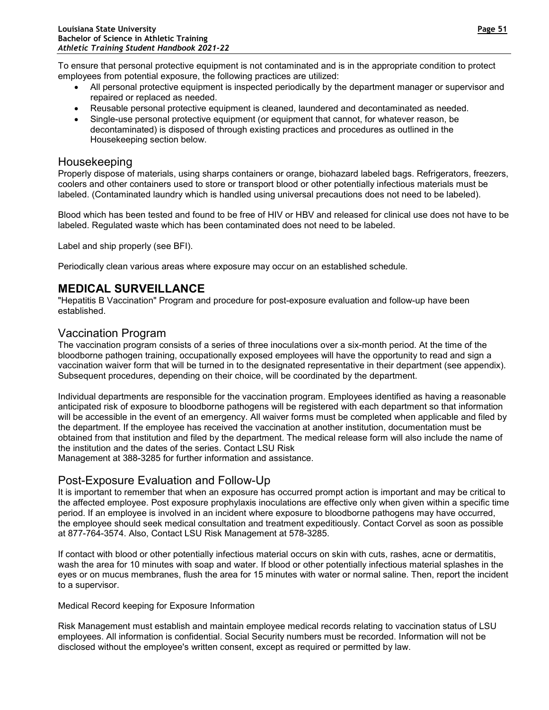To ensure that personal protective equipment is not contaminated and is in the appropriate condition to protect employees from potential exposure, the following practices are utilized:

- All personal protective equipment is inspected periodically by the department manager or supervisor and repaired or replaced as needed.
- Reusable personal protective equipment is cleaned, laundered and decontaminated as needed.
- Single-use personal protective equipment (or equipment that cannot, for whatever reason, be decontaminated) is disposed of through existing practices and procedures as outlined in the Housekeeping section below.

### Housekeeping

Properly dispose of materials, using sharps containers or orange, biohazard labeled bags. Refrigerators, freezers, coolers and other containers used to store or transport blood or other potentially infectious materials must be labeled. (Contaminated laundry which is handled using universal precautions does not need to be labeled).

Blood which has been tested and found to be free of HIV or HBV and released for clinical use does not have to be labeled. Regulated waste which has been contaminated does not need to be labeled.

Label and ship properly (see BFI).

Periodically clean various areas where exposure may occur on an established schedule.

### **MEDICAL SURVEILLANCE**

"Hepatitis B Vaccination" Program and procedure for post-exposure evaluation and follow-up have been established.

### Vaccination Program

The vaccination program consists of a series of three inoculations over a six-month period. At the time of the bloodborne pathogen training, occupationally exposed employees will have the opportunity to read and sign a vaccination waiver form that will be turned in to the designated representative in their department (see appendix). Subsequent procedures, depending on their choice, will be coordinated by the department.

Individual departments are responsible for the vaccination program. Employees identified as having a reasonable anticipated risk of exposure to bloodborne pathogens will be registered with each department so that information will be accessible in the event of an emergency. All waiver forms must be completed when applicable and filed by the department. If the employee has received the vaccination at another institution, documentation must be obtained from that institution and filed by the department. The medical release form will also include the name of the institution and the dates of the series. Contact LSU Risk

Management at 388-3285 for further information and assistance.

### Post-Exposure Evaluation and Follow-Up

It is important to remember that when an exposure has occurred prompt action is important and may be critical to the affected employee. Post exposure prophylaxis inoculations are effective only when given within a specific time period. If an employee is involved in an incident where exposure to bloodborne pathogens may have occurred, the employee should seek medical consultation and treatment expeditiously. Contact Corvel as soon as possible at 877-764-3574. Also, Contact LSU Risk Management at 578-3285.

If contact with blood or other potentially infectious material occurs on skin with cuts, rashes, acne or dermatitis, wash the area for 10 minutes with soap and water. If blood or other potentially infectious material splashes in the eyes or on mucus membranes, flush the area for 15 minutes with water or normal saline. Then, report the incident to a supervisor.

Medical Record keeping for Exposure Information

Risk Management must establish and maintain employee medical records relating to vaccination status of LSU employees. All information is confidential. Social Security numbers must be recorded. Information will not be disclosed without the employee's written consent, except as required or permitted by law.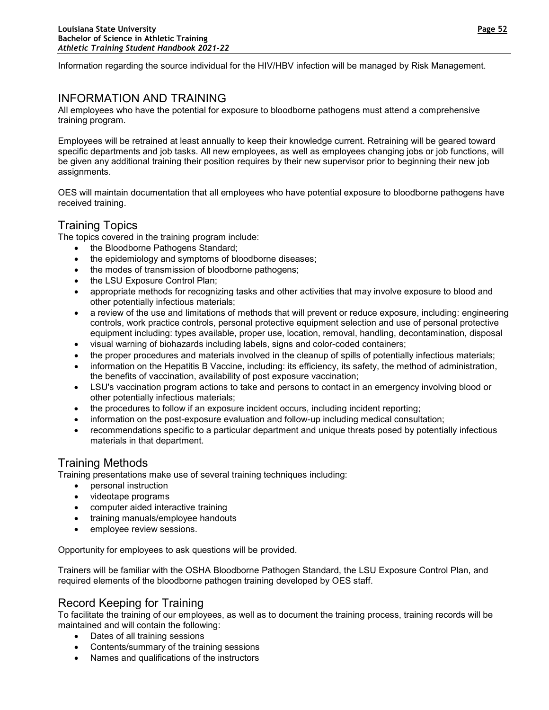Information regarding the source individual for the HIV/HBV infection will be managed by Risk Management.

### INFORMATION AND TRAINING

All employees who have the potential for exposure to bloodborne pathogens must attend a comprehensive training program.

Employees will be retrained at least annually to keep their knowledge current. Retraining will be geared toward specific departments and job tasks. All new employees, as well as employees changing jobs or job functions, will be given any additional training their position requires by their new supervisor prior to beginning their new job assignments.

OES will maintain documentation that all employees who have potential exposure to bloodborne pathogens have received training.

### Training Topics

The topics covered in the training program include:

- the Bloodborne Pathogens Standard;
- the epidemiology and symptoms of bloodborne diseases;
- the modes of transmission of bloodborne pathogens;
- the LSU Exposure Control Plan;
- appropriate methods for recognizing tasks and other activities that may involve exposure to blood and other potentially infectious materials;
- a review of the use and limitations of methods that will prevent or reduce exposure, including: engineering controls, work practice controls, personal protective equipment selection and use of personal protective equipment including: types available, proper use, location, removal, handling, decontamination, disposal
- visual warning of biohazards including labels, signs and color-coded containers;
- the proper procedures and materials involved in the cleanup of spills of potentially infectious materials;
- information on the Hepatitis B Vaccine, including: its efficiency, its safety, the method of administration, the benefits of vaccination, availability of post exposure vaccination;
- LSU's vaccination program actions to take and persons to contact in an emergency involving blood or other potentially infectious materials;
- the procedures to follow if an exposure incident occurs, including incident reporting;
- information on the post-exposure evaluation and follow-up including medical consultation;
- recommendations specific to a particular department and unique threats posed by potentially infectious materials in that department.

### Training Methods

Training presentations make use of several training techniques including:

- personal instruction
- videotape programs
- computer aided interactive training
- training manuals/employee handouts
- employee review sessions.

Opportunity for employees to ask questions will be provided.

Trainers will be familiar with the OSHA Bloodborne Pathogen Standard, the LSU Exposure Control Plan, and required elements of the bloodborne pathogen training developed by OES staff.

### Record Keeping for Training

To facilitate the training of our employees, as well as to document the training process, training records will be maintained and will contain the following:

- Dates of all training sessions
- Contents/summary of the training sessions
- Names and qualifications of the instructors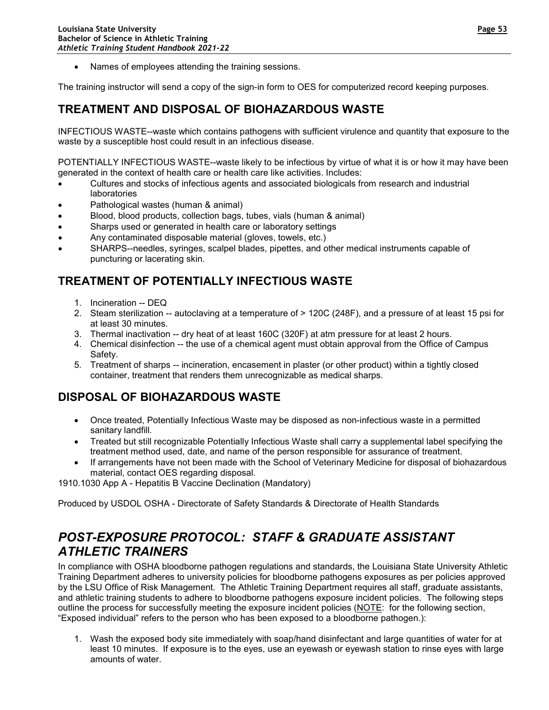• Names of employees attending the training sessions.

The training instructor will send a copy of the sign-in form to OES for computerized record keeping purposes.

### **TREATMENT AND DISPOSAL OF BIOHAZARDOUS WASTE**

INFECTIOUS WASTE--waste which contains pathogens with sufficient virulence and quantity that exposure to the waste by a susceptible host could result in an infectious disease.

POTENTIALLY INFECTIOUS WASTE--waste likely to be infectious by virtue of what it is or how it may have been generated in the context of health care or health care like activities. Includes:

- Cultures and stocks of infectious agents and associated biologicals from research and industrial laboratories
- Pathological wastes (human & animal)
- Blood, blood products, collection bags, tubes, vials (human & animal)
- Sharps used or generated in health care or laboratory settings
- Any contaminated disposable material (gloves, towels, etc.)
- SHARPS--needles, syringes, scalpel blades, pipettes, and other medical instruments capable of puncturing or lacerating skin.

### **TREATMENT OF POTENTIALLY INFECTIOUS WASTE**

- 1. Incineration -- DEQ
- 2. Steam sterilization -- autoclaving at a temperature of > 120C (248F), and a pressure of at least 15 psi for at least 30 minutes.
- 3. Thermal inactivation -- dry heat of at least 160C (320F) at atm pressure for at least 2 hours.
- 4. Chemical disinfection -- the use of a chemical agent must obtain approval from the Office of Campus Safety.
- 5. Treatment of sharps -- incineration, encasement in plaster (or other product) within a tightly closed container, treatment that renders them unrecognizable as medical sharps.

### **DISPOSAL OF BIOHAZARDOUS WASTE**

- Once treated, Potentially Infectious Waste may be disposed as non-infectious waste in a permitted sanitary landfill.
- Treated but still recognizable Potentially Infectious Waste shall carry a supplemental label specifying the treatment method used, date, and name of the person responsible for assurance of treatment.
- If arrangements have not been made with the School of Veterinary Medicine for disposal of biohazardous material, contact OES regarding disposal.

1910.1030 App A - Hepatitis B Vaccine Declination (Mandatory)

Produced by USDOL OSHA - Directorate of Safety Standards & Directorate of Health Standards

## <span id="page-53-0"></span>*POST-EXPOSURE PROTOCOL: STAFF & GRADUATE ASSISTANT ATHLETIC TRAINERS*

In compliance with OSHA bloodborne pathogen regulations and standards, the Louisiana State University Athletic Training Department adheres to university policies for bloodborne pathogens exposures as per policies approved by the LSU Office of Risk Management. The Athletic Training Department requires all staff, graduate assistants, and athletic training students to adhere to bloodborne pathogens exposure incident policies. The following steps outline the process for successfully meeting the exposure incident policies (NOTE: for the following section, "Exposed individual" refers to the person who has been exposed to a bloodborne pathogen.):

1. Wash the exposed body site immediately with soap/hand disinfectant and large quantities of water for at least 10 minutes. If exposure is to the eyes, use an eyewash or eyewash station to rinse eyes with large amounts of water.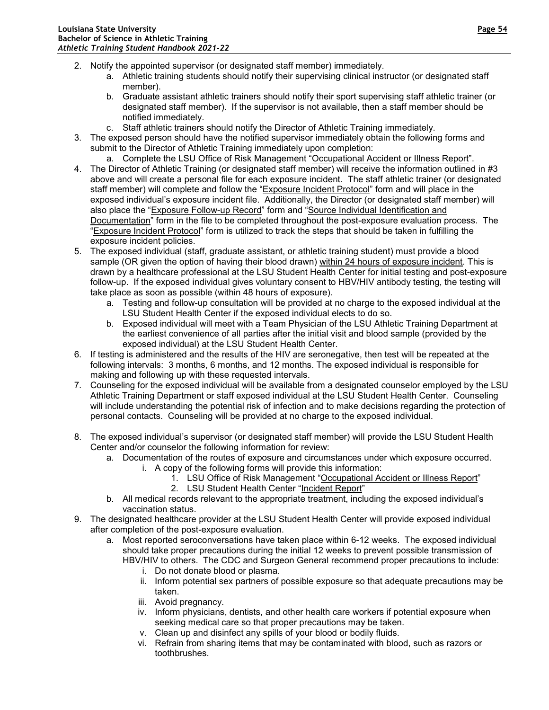- 2. Notify the appointed supervisor (or designated staff member) immediately.
	- a. Athletic training students should notify their supervising clinical instructor (or designated staff member).
	- b. Graduate assistant athletic trainers should notify their sport supervising staff athletic trainer (or designated staff member). If the supervisor is not available, then a staff member should be notified immediately.
	- c. Staff athletic trainers should notify the Director of Athletic Training immediately.
- 3. The exposed person should have the notified supervisor immediately obtain the following forms and submit to the Director of Athletic Training immediately upon completion:
	- a. Complete the LSU Office of Risk Management "Occupational Accident or Illness Report".
- 4. The Director of Athletic Training (or designated staff member) will receive the information outlined in #3 above and will create a personal file for each exposure incident. The staff athletic trainer (or designated staff member) will complete and follow the "Exposure Incident Protocol" form and will place in the exposed individual's exposure incident file. Additionally, the Director (or designated staff member) will also place the "Exposure Follow-up Record" form and "Source Individual Identification and Documentation" form in the file to be completed throughout the post-exposure evaluation process. The "Exposure Incident Protocol" form is utilized to track the steps that should be taken in fulfilling the exposure incident policies.
- 5. The exposed individual (staff, graduate assistant, or athletic training student) must provide a blood sample (OR given the option of having their blood drawn) within 24 hours of exposure incident. This is drawn by a healthcare professional at the LSU Student Health Center for initial testing and post-exposure follow-up. If the exposed individual gives voluntary consent to HBV/HIV antibody testing, the testing will take place as soon as possible (within 48 hours of exposure).
	- a. Testing and follow-up consultation will be provided at no charge to the exposed individual at the LSU Student Health Center if the exposed individual elects to do so.
	- b. Exposed individual will meet with a Team Physician of the LSU Athletic Training Department at the earliest convenience of all parties after the initial visit and blood sample (provided by the exposed individual) at the LSU Student Health Center.
- 6. If testing is administered and the results of the HIV are seronegative, then test will be repeated at the following intervals: 3 months, 6 months, and 12 months. The exposed individual is responsible for making and following up with these requested intervals.
- 7. Counseling for the exposed individual will be available from a designated counselor employed by the LSU Athletic Training Department or staff exposed individual at the LSU Student Health Center. Counseling will include understanding the potential risk of infection and to make decisions regarding the protection of personal contacts. Counseling will be provided at no charge to the exposed individual.
- 8. The exposed individual's supervisor (or designated staff member) will provide the LSU Student Health Center and/or counselor the following information for review:
	- a. Documentation of the routes of exposure and circumstances under which exposure occurred.
		- i. A copy of the following forms will provide this information:
			- 1. LSU Office of Risk Management "Occupational Accident or Illness Report"
			- 2. LSU Student Health Center "Incident Report"
	- b. All medical records relevant to the appropriate treatment, including the exposed individual's vaccination status.
- 9. The designated healthcare provider at the LSU Student Health Center will provide exposed individual after completion of the post-exposure evaluation.
	- a. Most reported seroconversations have taken place within 6-12 weeks. The exposed individual should take proper precautions during the initial 12 weeks to prevent possible transmission of HBV/HIV to others. The CDC and Surgeon General recommend proper precautions to include:
		- i. Do not donate blood or plasma.
		- ii. Inform potential sex partners of possible exposure so that adequate precautions may be taken.
		- iii. Avoid pregnancy.
		- iv. Inform physicians, dentists, and other health care workers if potential exposure when seeking medical care so that proper precautions may be taken.
		- v. Clean up and disinfect any spills of your blood or bodily fluids.
		- vi. Refrain from sharing items that may be contaminated with blood, such as razors or toothbrushes.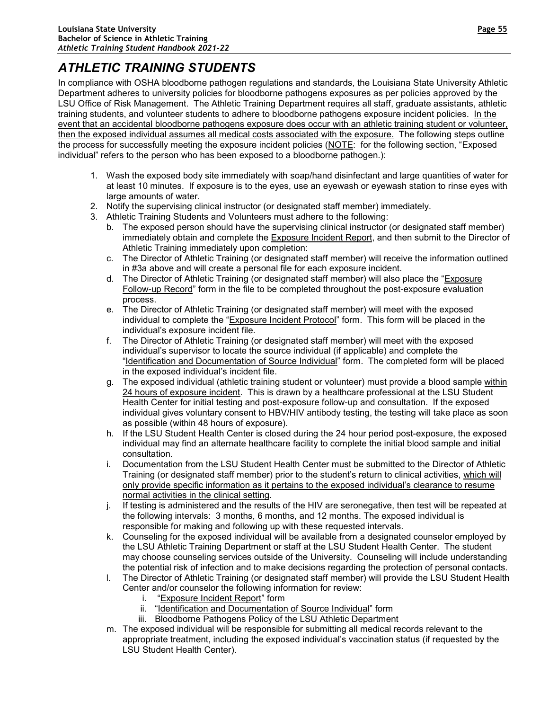## <span id="page-55-0"></span>*ATHLETIC TRAINING STUDENTS*

In compliance with OSHA bloodborne pathogen regulations and standards, the Louisiana State University Athletic Department adheres to university policies for bloodborne pathogens exposures as per policies approved by the LSU Office of Risk Management. The Athletic Training Department requires all staff, graduate assistants, athletic training students, and volunteer students to adhere to bloodborne pathogens exposure incident policies. In the event that an accidental bloodborne pathogens exposure does occur with an athletic training student or volunteer, then the exposed individual assumes all medical costs associated with the exposure. The following steps outline the process for successfully meeting the exposure incident policies (NOTE: for the following section, "Exposed individual" refers to the person who has been exposed to a bloodborne pathogen.):

- 1. Wash the exposed body site immediately with soap/hand disinfectant and large quantities of water for at least 10 minutes. If exposure is to the eyes, use an eyewash or eyewash station to rinse eyes with large amounts of water.
- 2. Notify the supervising clinical instructor (or designated staff member) immediately.
- 3. Athletic Training Students and Volunteers must adhere to the following:
	- b. The exposed person should have the supervising clinical instructor (or designated staff member) immediately obtain and complete the Exposure Incident Report, and then submit to the Director of Athletic Training immediately upon completion:
	- c. The Director of Athletic Training (or designated staff member) will receive the information outlined in #3a above and will create a personal file for each exposure incident.
	- d. The Director of Athletic Training (or designated staff member) will also place the "Exposure Follow-up Record" form in the file to be completed throughout the post-exposure evaluation process.
	- e. The Director of Athletic Training (or designated staff member) will meet with the exposed individual to complete the "Exposure Incident Protocol" form. This form will be placed in the individual's exposure incident file.
	- f. The Director of Athletic Training (or designated staff member) will meet with the exposed individual's supervisor to locate the source individual (if applicable) and complete the "Identification and Documentation of Source Individual" form. The completed form will be placed in the exposed individual's incident file.
	- g. The exposed individual (athletic training student or volunteer) must provide a blood sample within 24 hours of exposure incident. This is drawn by a healthcare professional at the LSU Student Health Center for initial testing and post-exposure follow-up and consultation. If the exposed individual gives voluntary consent to HBV/HIV antibody testing, the testing will take place as soon as possible (within 48 hours of exposure).
	- h. If the LSU Student Health Center is closed during the 24 hour period post-exposure, the exposed individual may find an alternate healthcare facility to complete the initial blood sample and initial consultation.
	- i. Documentation from the LSU Student Health Center must be submitted to the Director of Athletic Training (or designated staff member) prior to the student's return to clinical activities, which will only provide specific information as it pertains to the exposed individual's clearance to resume normal activities in the clinical setting.
	- j. If testing is administered and the results of the HIV are seronegative, then test will be repeated at the following intervals: 3 months, 6 months, and 12 months. The exposed individual is responsible for making and following up with these requested intervals.
	- k. Counseling for the exposed individual will be available from a designated counselor employed by the LSU Athletic Training Department or staff at the LSU Student Health Center. The student may choose counseling services outside of the University. Counseling will include understanding the potential risk of infection and to make decisions regarding the protection of personal contacts.
	- l. The Director of Athletic Training (or designated staff member) will provide the LSU Student Health Center and/or counselor the following information for review:
		- i. "Exposure Incident Report" form
		- ii. "Identification and Documentation of Source Individual" form
		- iii. Bloodborne Pathogens Policy of the LSU Athletic Department
	- m. The exposed individual will be responsible for submitting all medical records relevant to the appropriate treatment, including the exposed individual's vaccination status (if requested by the LSU Student Health Center).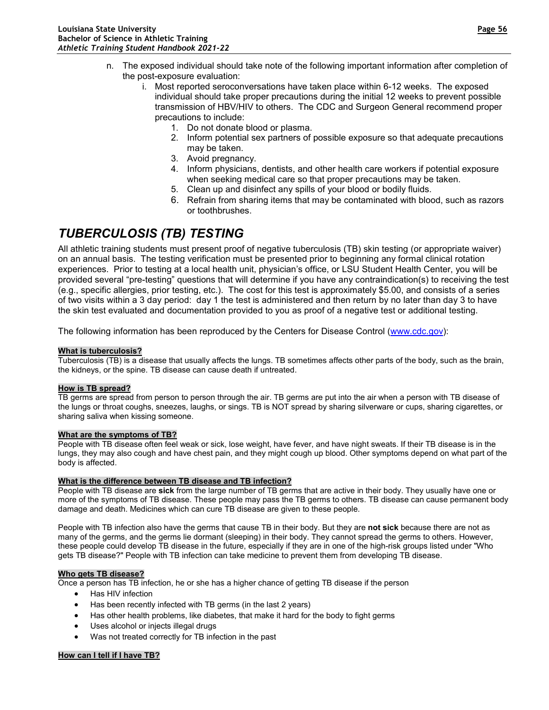- n. The exposed individual should take note of the following important information after completion of the post-exposure evaluation:
	- i. Most reported seroconversations have taken place within 6-12 weeks. The exposed individual should take proper precautions during the initial 12 weeks to prevent possible transmission of HBV/HIV to others. The CDC and Surgeon General recommend proper precautions to include:
		- 1. Do not donate blood or plasma.
		- 2. Inform potential sex partners of possible exposure so that adequate precautions may be taken.
		- 3. Avoid pregnancy.
		- 4. Inform physicians, dentists, and other health care workers if potential exposure when seeking medical care so that proper precautions may be taken.
		- 5. Clean up and disinfect any spills of your blood or bodily fluids.
		- 6. Refrain from sharing items that may be contaminated with blood, such as razors or toothbrushes.

## <span id="page-56-0"></span>*TUBERCULOSIS (TB) TESTING*

All athletic training students must present proof of negative tuberculosis (TB) skin testing (or appropriate waiver) on an annual basis. The testing verification must be presented prior to beginning any formal clinical rotation experiences. Prior to testing at a local health unit, physician's office, or LSU Student Health Center, you will be provided several "pre-testing" questions that will determine if you have any contraindication(s) to receiving the test (e.g., specific allergies, prior testing, etc.). The cost for this test is approximately \$5.00, and consists of a series of two visits within a 3 day period: day 1 the test is administered and then return by no later than day 3 to have the skin test evaluated and documentation provided to you as proof of a negative test or additional testing.

The following information has been reproduced by the Centers for Disease Control [\(www.cdc.gov\)](http://www.cdc.gov/):

#### **What is tuberculosis?**

Tuberculosis (TB) is a disease that usually affects the lungs. TB sometimes affects other parts of the body, such as the brain, the kidneys, or the spine. TB disease can cause death if untreated.

#### **How is TB spread?**

TB germs are spread from person to person through the air. TB germs are put into the air when a person with TB disease of the lungs or throat coughs, sneezes, laughs, or sings. TB is NOT spread by sharing silverware or cups, sharing cigarettes, or sharing saliva when kissing someone.

#### **What are the symptoms of TB?**

People with TB disease often feel weak or sick, lose weight, have fever, and have night sweats. If their TB disease is in the lungs, they may also cough and have chest pain, and they might cough up blood. Other symptoms depend on what part of the body is affected.

#### **What is the difference between TB disease and TB infection?**

People with TB disease are **sick** from the large number of TB germs that are active in their body. They usually have one or more of the symptoms of TB disease. These people may pass the TB germs to others. TB disease can cause permanent body damage and death. Medicines which can cure TB disease are given to these people.

People with TB infection also have the germs that cause TB in their body. But they are **not sick** because there are not as many of the germs, and the germs lie dormant (sleeping) in their body. They cannot spread the germs to others. However, these people could develop TB disease in the future, especially if they are in one of the high-risk groups listed under "Who gets TB disease?" People with TB infection can take medicine to prevent them from developing TB disease.

#### **Who gets TB disease?**

Once a person has TB infection, he or she has a higher chance of getting TB disease if the person

- Has HIV infection
- Has been recently infected with TB germs (in the last 2 years)
- Has other health problems, like diabetes, that make it hard for the body to fight germs
- Uses alcohol or injects illegal drugs
- Was not treated correctly for TB infection in the past

#### **How can I tell if I have TB?**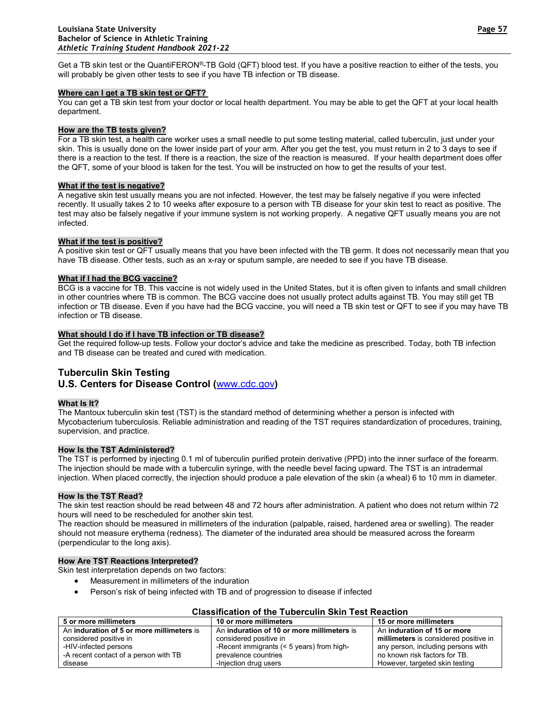#### **Where can I get a TB skin test or QFT?**

You can get a TB skin test from your doctor or local health department. You may be able to get the QFT at your local health department.

#### **How are the TB tests given?**

For a TB skin test, a health care worker uses a small needle to put some testing material, called tuberculin, just under your skin. This is usually done on the lower inside part of your arm. After you get the test, you must return in 2 to 3 days to see if there is a reaction to the test. If there is a reaction, the size of the reaction is measured. If your health department does offer the QFT, some of your blood is taken for the test. You will be instructed on how to get the results of your test.

#### **What if the test is negative?**

A negative skin test usually means you are not infected. However, the test may be falsely negative if you were infected recently. It usually takes 2 to 10 weeks after exposure to a person with TB disease for your skin test to react as positive. The test may also be falsely negative if your immune system is not working properly. A negative QFT usually means you are not infected.

#### **What if the test is positive?**

A positive skin test or QFT usually means that you have been infected with the TB germ. It does not necessarily mean that you have TB disease. Other tests, such as an x-ray or sputum sample, are needed to see if you have TB disease.

#### **What if I had the BCG vaccine?**

BCG is a vaccine for TB. This vaccine is not widely used in the United States, but it is often given to infants and small children in other countries where TB is common. The BCG vaccine does not usually protect adults against TB. You may still get TB infection or TB disease. Even if you have had the BCG vaccine, you will need a TB skin test or QFT to see if you may have TB infection or TB disease.

#### **What should I do if I have TB infection or TB disease?**

Get the required follow-up tests. Follow your doctor's advice and take the medicine as prescribed. Today, both TB infection and TB disease can be treated and cured with medication.

### **Tuberculin Skin Testing**

**U.S. Centers for Disease Control (**[www.cdc.gov](http://www.cdc.gov/)**)** 

#### **What Is It?**

The Mantoux tuberculin skin test (TST) is the standard method of determining whether a person is infected with Mycobacterium tuberculosis. Reliable administration and reading of the TST requires standardization of procedures, training, supervision, and practice.

#### **How Is the TST Administered?**

The TST is performed by injecting 0.1 ml of tuberculin purified protein derivative (PPD) into the inner surface of the forearm. The injection should be made with a tuberculin syringe, with the needle bevel facing upward. The TST is an intradermal injection. When placed correctly, the injection should produce a pale elevation of the skin (a wheal) 6 to 10 mm in diameter.

#### **How Is the TST Read?**

The skin test reaction should be read between 48 and 72 hours after administration. A patient who does not return within 72 hours will need to be rescheduled for another skin test.

The reaction should be measured in millimeters of the induration (palpable, raised, hardened area or swelling). The reader should not measure erythema (redness). The diameter of the indurated area should be measured across the forearm (perpendicular to the long axis).

#### **How Are TST Reactions Interpreted?**

Skin test interpretation depends on two factors:

- Measurement in millimeters of the induration
- Person's risk of being infected with TB and of progression to disease if infected

#### **Classification of the Tuberculin Skin Test Reaction**

| 5 or more millimeters                     | 10 or more millimeters                      | 15 or more millimeters                |
|-------------------------------------------|---------------------------------------------|---------------------------------------|
| An induration of 5 or more millimeters is | An induration of 10 or more millimeters is  | An induration of 15 or more           |
| considered positive in                    | considered positive in                      | millimeters is considered positive in |
| -HIV-infected persons                     | -Recent immigrants $(< 5$ years) from high- | any person, including persons with    |
| -A recent contact of a person with TB     | prevalence countries                        | no known risk factors for TB.         |
| disease                                   | -Injection drug users                       | However, targeted skin testing        |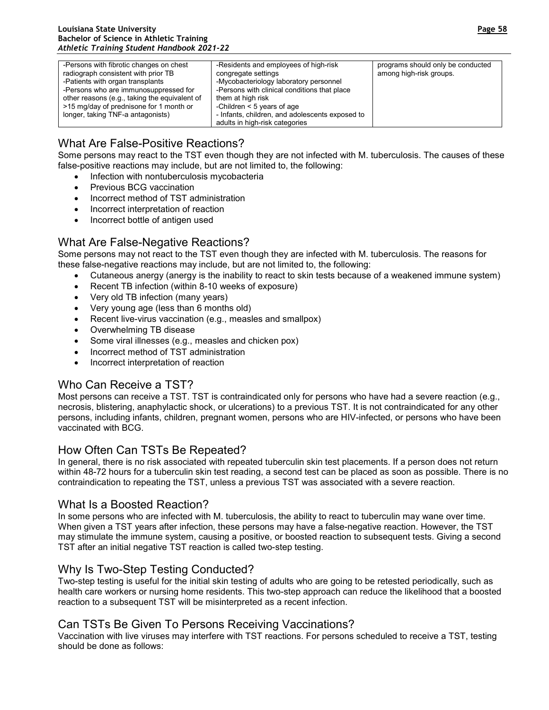| -Persons with fibrotic changes on chest       | -Residents and employees of high-risk           | programs should only be conducted |
|-----------------------------------------------|-------------------------------------------------|-----------------------------------|
| radiograph consistent with prior TB           | congregate settings                             | among high-risk groups.           |
| -Patients with organ transplants              | -Mycobacteriology laboratory personnel          |                                   |
| -Persons who are immunosuppressed for         | -Persons with clinical conditions that place    |                                   |
| other reasons (e.g., taking the equivalent of | them at high risk                               |                                   |
| >15 mg/day of prednisone for 1 month or       | -Children $\leq$ 5 years of age                 |                                   |
| longer, taking TNF-a antagonists)             | - Infants, children, and adolescents exposed to |                                   |
|                                               | adults in high-risk categories                  |                                   |

### What Are False-Positive Reactions?

Some persons may react to the TST even though they are not infected with M. tuberculosis. The causes of these false-positive reactions may include, but are not limited to, the following:

- Infection with nontuberculosis mycobacteria
- Previous BCG vaccination
- Incorrect method of TST administration
- Incorrect interpretation of reaction
- Incorrect bottle of antigen used

### What Are False-Negative Reactions?

Some persons may not react to the TST even though they are infected with M. tuberculosis. The reasons for these false-negative reactions may include, but are not limited to, the following:

- Cutaneous anergy (anergy is the inability to react to skin tests because of a weakened immune system)
- Recent TB infection (within 8-10 weeks of exposure)
- Very old TB infection (many years)
- Very young age (less than 6 months old)
- Recent live-virus vaccination (e.g., measles and smallpox)
- Overwhelming TB disease
- Some viral illnesses (e.g., measles and chicken pox)
- Incorrect method of TST administration
- Incorrect interpretation of reaction

### Who Can Receive a TST?

Most persons can receive a TST. TST is contraindicated only for persons who have had a severe reaction (e.g., necrosis, blistering, anaphylactic shock, or ulcerations) to a previous TST. It is not contraindicated for any other persons, including infants, children, pregnant women, persons who are HIV-infected, or persons who have been vaccinated with BCG.

### How Often Can TSTs Be Repeated?

In general, there is no risk associated with repeated tuberculin skin test placements. If a person does not return within 48-72 hours for a tuberculin skin test reading, a second test can be placed as soon as possible. There is no contraindication to repeating the TST, unless a previous TST was associated with a severe reaction.

### What Is a Boosted Reaction?

In some persons who are infected with M. tuberculosis, the ability to react to tuberculin may wane over time. When given a TST years after infection, these persons may have a false-negative reaction. However, the TST may stimulate the immune system, causing a positive, or boosted reaction to subsequent tests. Giving a second TST after an initial negative TST reaction is called two-step testing.

### Why Is Two-Step Testing Conducted?

Two-step testing is useful for the initial skin testing of adults who are going to be retested periodically, such as health care workers or nursing home residents. This two-step approach can reduce the likelihood that a boosted reaction to a subsequent TST will be misinterpreted as a recent infection.

### Can TSTs Be Given To Persons Receiving Vaccinations?

Vaccination with live viruses may interfere with TST reactions. For persons scheduled to receive a TST, testing should be done as follows: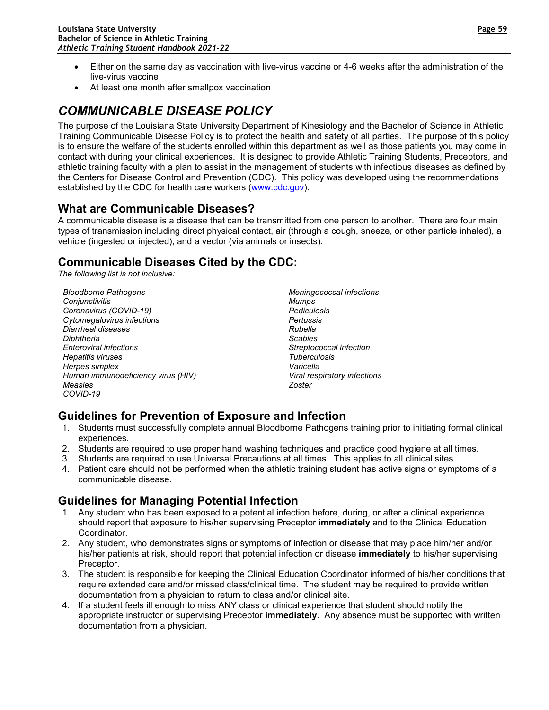- Either on the same day as vaccination with live-virus vaccine or 4-6 weeks after the administration of the live-virus vaccine
- At least one month after smallpox vaccination

## <span id="page-59-0"></span>*COMMUNICABLE DISEASE POLICY*

The purpose of the Louisiana State University Department of Kinesiology and the Bachelor of Science in Athletic Training Communicable Disease Policy is to protect the health and safety of all parties. The purpose of this policy is to ensure the welfare of the students enrolled within this department as well as those patients you may come in contact with during your clinical experiences. It is designed to provide Athletic Training Students, Preceptors, and athletic training faculty with a plan to assist in the management of students with infectious diseases as defined by the Centers for Disease Control and Prevention (CDC). This policy was developed using the recommendations established by the CDC for health care workers [\(www.cdc.gov\)](http://www.cdc.gov/).

### **What are Communicable Diseases?**

A communicable disease is a disease that can be transmitted from one person to another. There are four main types of transmission including direct physical contact, air (through a cough, sneeze, or other particle inhaled), a vehicle (ingested or injected), and a vector (via animals or insects).

### **Communicable Diseases Cited by the CDC:**

*The following list is not inclusive:*

*Bloodborne Pathogens Conjunctivitis Coronavirus (COVID-19) Cytomegalovirus infections Diarrheal diseases Diphtheria Enteroviral infections Hepatitis viruses Herpes simplex Human immunodeficiency virus (HIV) Measles COVID-19*

*Meningococcal infections Mumps Pediculosis Pertussis Rubella Scabies Streptococcal infection Tuberculosis Varicella Viral respiratory infections Zoster*

### **Guidelines for Prevention of Exposure and Infection**

- 1. Students must successfully complete annual Bloodborne Pathogens training prior to initiating formal clinical experiences.
- 2. Students are required to use proper hand washing techniques and practice good hygiene at all times.
- 3. Students are required to use Universal Precautions at all times. This applies to all clinical sites.
- 4. Patient care should not be performed when the athletic training student has active signs or symptoms of a communicable disease.

### **Guidelines for Managing Potential Infection**

- 1. Any student who has been exposed to a potential infection before, during, or after a clinical experience should report that exposure to his/her supervising Preceptor **immediately** and to the Clinical Education Coordinator.
- 2. Any student, who demonstrates signs or symptoms of infection or disease that may place him/her and/or his/her patients at risk, should report that potential infection or disease **immediately** to his/her supervising Preceptor.
- 3. The student is responsible for keeping the Clinical Education Coordinator informed of his/her conditions that require extended care and/or missed class/clinical time. The student may be required to provide written documentation from a physician to return to class and/or clinical site.
- 4. If a student feels ill enough to miss ANY class or clinical experience that student should notify the appropriate instructor or supervising Preceptor **immediately**. Any absence must be supported with written documentation from a physician.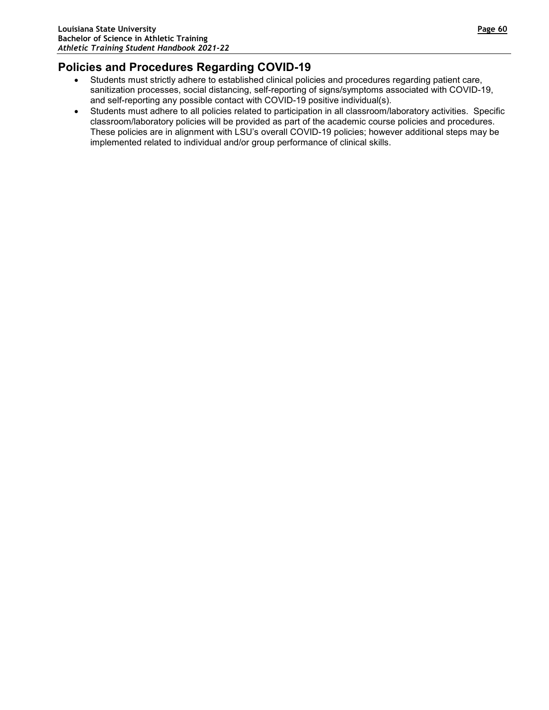### **Policies and Procedures Regarding COVID-19**

- Students must strictly adhere to established clinical policies and procedures regarding patient care, sanitization processes, social distancing, self-reporting of signs/symptoms associated with COVID-19, and self-reporting any possible contact with COVID-19 positive individual(s).
- Students must adhere to all policies related to participation in all classroom/laboratory activities. Specific classroom/laboratory policies will be provided as part of the academic course policies and procedures. These policies are in alignment with LSU's overall COVID-19 policies; however additional steps may be implemented related to individual and/or group performance of clinical skills.